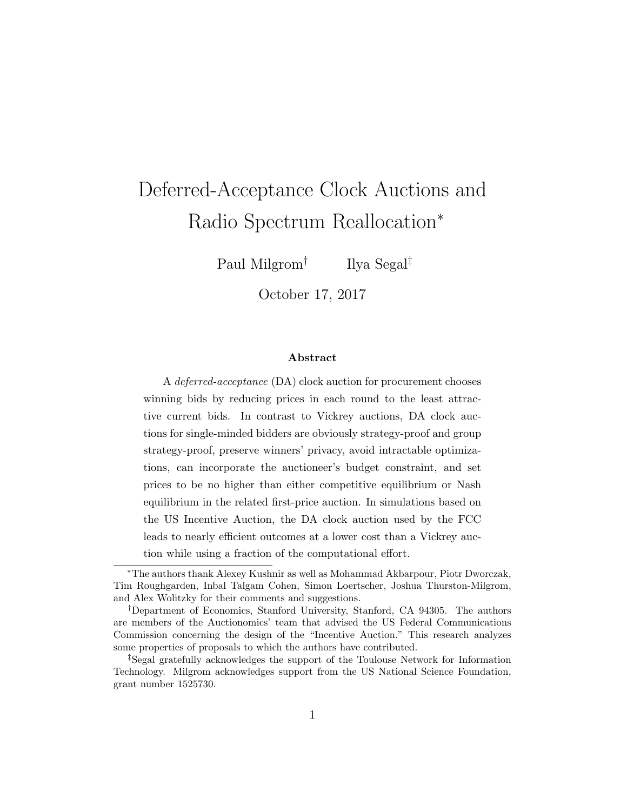# Deferred-Acceptance Clock Auctions and Radio Spectrum Reallocation<sup>∗</sup>

Paul Milgrom†

Ilya Segal‡

October 17, 2017

#### Abstract

A deferred-acceptance (DA) clock auction for procurement chooses winning bids by reducing prices in each round to the least attractive current bids. In contrast to Vickrey auctions, DA clock auctions for single-minded bidders are obviously strategy-proof and group strategy-proof, preserve winners' privacy, avoid intractable optimizations, can incorporate the auctioneer's budget constraint, and set prices to be no higher than either competitive equilibrium or Nash equilibrium in the related first-price auction. In simulations based on the US Incentive Auction, the DA clock auction used by the FCC leads to nearly efficient outcomes at a lower cost than a Vickrey auction while using a fraction of the computational effort.

<sup>∗</sup>The authors thank Alexey Kushnir as well as Mohammad Akbarpour, Piotr Dworczak, Tim Roughgarden, Inbal Talgam Cohen, Simon Loertscher, Joshua Thurston-Milgrom, and Alex Wolitzky for their comments and suggestions.

<sup>†</sup>Department of Economics, Stanford University, Stanford, CA 94305. The authors are members of the Auctionomics' team that advised the US Federal Communications Commission concerning the design of the "Incentive Auction." This research analyzes some properties of proposals to which the authors have contributed.

<sup>‡</sup>Segal gratefully acknowledges the support of the Toulouse Network for Information Technology. Milgrom acknowledges support from the US National Science Foundation, grant number 1525730.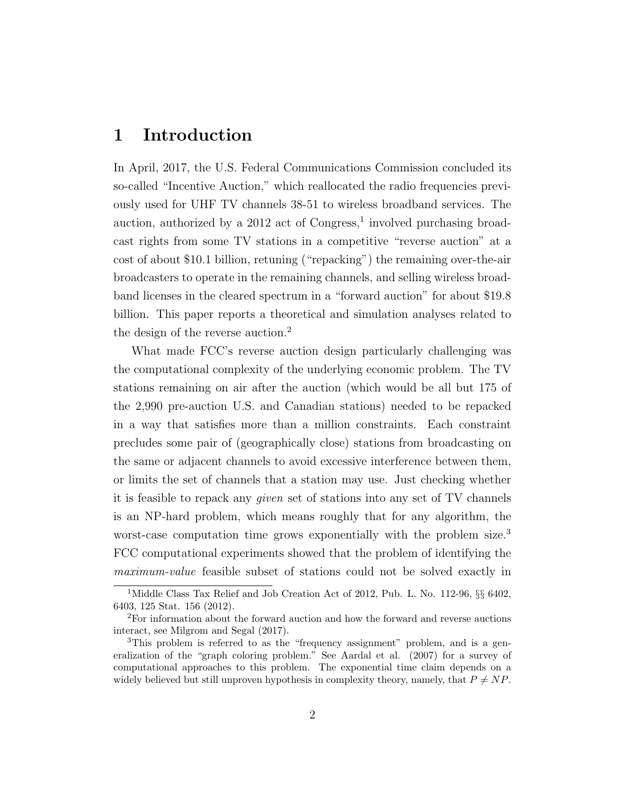#### 1 Introduction

In April, 2017, the U.S. Federal Communications Commission concluded its so-called "Incentive Auction," which reallocated the radio frequencies previously used for UHF TV channels 38-51 to wireless broadband services. The auction, authorized by a  $2012$  act of Congress,<sup>1</sup> involved purchasing broadcast rights from some TV stations in a competitive "reverse auction" at a cost of about \$10.1 billion, retuning ("repacking") the remaining over-the-air broadcasters to operate in the remaining channels, and selling wireless broadband licenses in the cleared spectrum in a "forward auction" for about \$19.8 billion. This paper reports a theoretical and simulation analyses related to the design of the reverse auction.<sup>2</sup>

What made FCC's reverse auction design particularly challenging was the computational complexity of the underlying economic problem. The TV stations remaining on air after the auction (which would be all but 175 of the 2,990 pre-auction U.S. and Canadian stations) needed to be repacked in a way that satisfies more than a million constraints. Each constraint precludes some pair of (geographically close) stations from broadcasting on the same or adjacent channels to avoid excessive interference between them, or limits the set of channels that a station may use. Just checking whether it is feasible to repack any given set of stations into any set of TV channels is an NP-hard problem, which means roughly that for any algorithm, the worst-case computation time grows exponentially with the problem size.<sup>3</sup> FCC computational experiments showed that the problem of identifying the maximum-value feasible subset of stations could not be solved exactly in

<sup>&</sup>lt;sup>1</sup>Middle Class Tax Relief and Job Creation Act of 2012, Pub. L. No. 112-96,  $\S\S$  6402, 6403, 125 Stat. 156 (2012).

<sup>2</sup>For information about the forward auction and how the forward and reverse auctions interact, see Milgrom and Segal (2017).

<sup>&</sup>lt;sup>3</sup>This problem is referred to as the "frequency assignment" problem, and is a generalization of the "graph coloring problem." See Aardal et al. (2007) for a survey of computational approaches to this problem. The exponential time claim depends on a widely believed but still unproven hypothesis in complexity theory, namely, that  $P \neq NP$ .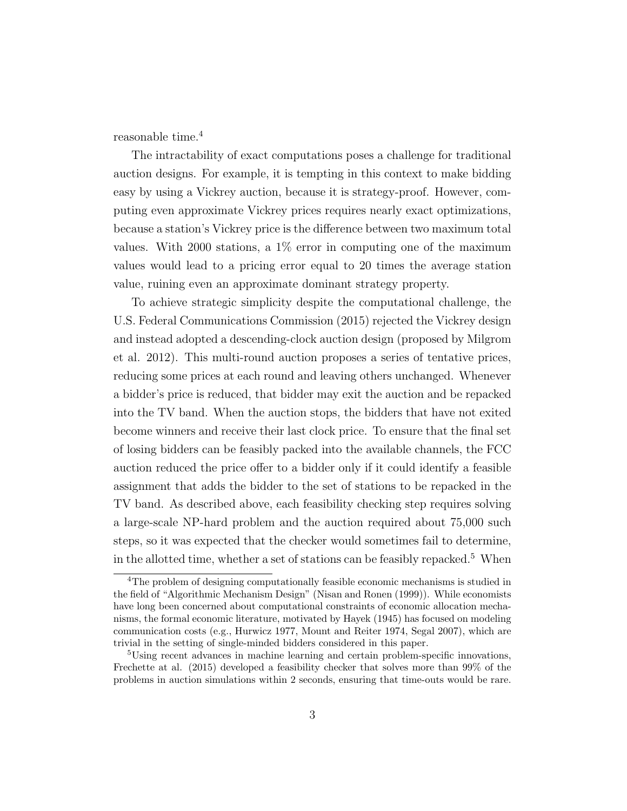reasonable time.<sup>4</sup>

The intractability of exact computations poses a challenge for traditional auction designs. For example, it is tempting in this context to make bidding easy by using a Vickrey auction, because it is strategy-proof. However, computing even approximate Vickrey prices requires nearly exact optimizations, because a station's Vickrey price is the difference between two maximum total values. With 2000 stations, a  $1\%$  error in computing one of the maximum values would lead to a pricing error equal to 20 times the average station value, ruining even an approximate dominant strategy property.

To achieve strategic simplicity despite the computational challenge, the U.S. Federal Communications Commission (2015) rejected the Vickrey design and instead adopted a descending-clock auction design (proposed by Milgrom et al. 2012). This multi-round auction proposes a series of tentative prices, reducing some prices at each round and leaving others unchanged. Whenever a bidder's price is reduced, that bidder may exit the auction and be repacked into the TV band. When the auction stops, the bidders that have not exited become winners and receive their last clock price. To ensure that the final set of losing bidders can be feasibly packed into the available channels, the FCC auction reduced the price offer to a bidder only if it could identify a feasible assignment that adds the bidder to the set of stations to be repacked in the TV band. As described above, each feasibility checking step requires solving a large-scale NP-hard problem and the auction required about 75,000 such steps, so it was expected that the checker would sometimes fail to determine, in the allotted time, whether a set of stations can be feasibly repacked.<sup>5</sup> When

<sup>&</sup>lt;sup>4</sup>The problem of designing computationally feasible economic mechanisms is studied in the field of "Algorithmic Mechanism Design" (Nisan and Ronen (1999)). While economists have long been concerned about computational constraints of economic allocation mechanisms, the formal economic literature, motivated by Hayek (1945) has focused on modeling communication costs (e.g., Hurwicz 1977, Mount and Reiter 1974, Segal 2007), which are trivial in the setting of single-minded bidders considered in this paper.

<sup>&</sup>lt;sup>5</sup>Using recent advances in machine learning and certain problem-specific innovations, Frechette at al. (2015) developed a feasibility checker that solves more than 99% of the problems in auction simulations within 2 seconds, ensuring that time-outs would be rare.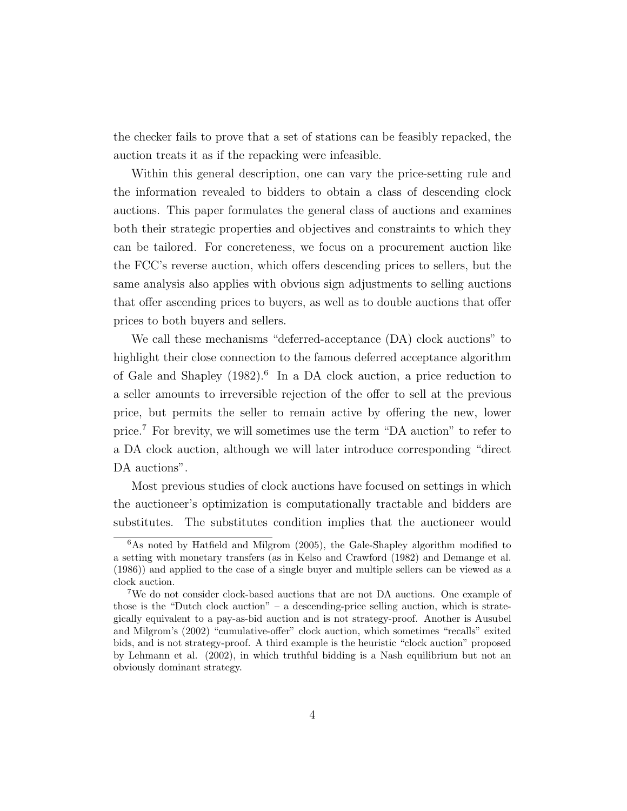the checker fails to prove that a set of stations can be feasibly repacked, the auction treats it as if the repacking were infeasible.

Within this general description, one can vary the price-setting rule and the information revealed to bidders to obtain a class of descending clock auctions. This paper formulates the general class of auctions and examines both their strategic properties and objectives and constraints to which they can be tailored. For concreteness, we focus on a procurement auction like the FCC's reverse auction, which offers descending prices to sellers, but the same analysis also applies with obvious sign adjustments to selling auctions that offer ascending prices to buyers, as well as to double auctions that offer prices to both buyers and sellers.

We call these mechanisms "deferred-acceptance (DA) clock auctions" to highlight their close connection to the famous deferred acceptance algorithm of Gale and Shapley (1982).<sup>6</sup> In a DA clock auction, a price reduction to a seller amounts to irreversible rejection of the offer to sell at the previous price, but permits the seller to remain active by offering the new, lower price.<sup>7</sup> For brevity, we will sometimes use the term "DA auction" to refer to a DA clock auction, although we will later introduce corresponding "direct DA auctions".

Most previous studies of clock auctions have focused on settings in which the auctioneer's optimization is computationally tractable and bidders are substitutes. The substitutes condition implies that the auctioneer would

<sup>6</sup>As noted by Hatfield and Milgrom (2005), the Gale-Shapley algorithm modified to a setting with monetary transfers (as in Kelso and Crawford (1982) and Demange et al. (1986)) and applied to the case of a single buyer and multiple sellers can be viewed as a clock auction.

<sup>7</sup>We do not consider clock-based auctions that are not DA auctions. One example of those is the "Dutch clock auction" – a descending-price selling auction, which is strategically equivalent to a pay-as-bid auction and is not strategy-proof. Another is Ausubel and Milgrom's (2002) "cumulative-offer" clock auction, which sometimes "recalls" exited bids, and is not strategy-proof. A third example is the heuristic "clock auction" proposed by Lehmann et al. (2002), in which truthful bidding is a Nash equilibrium but not an obviously dominant strategy.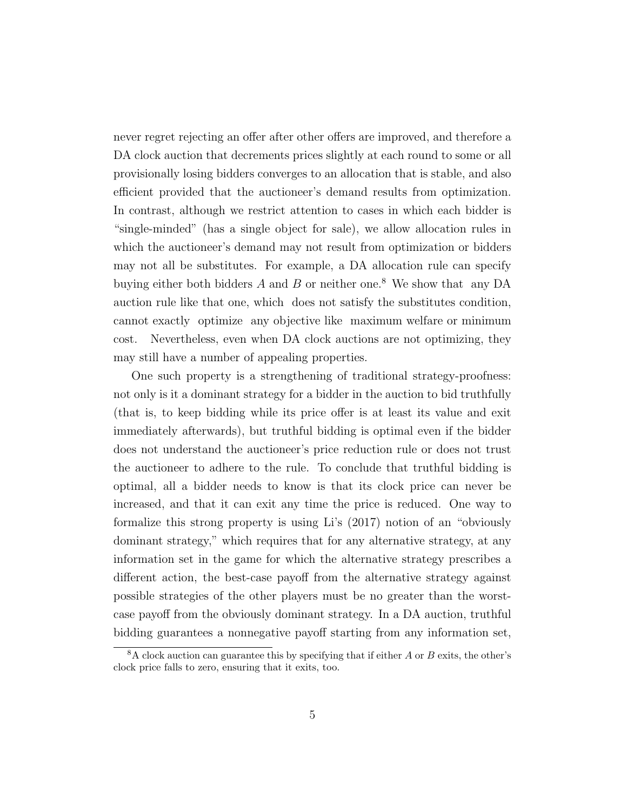never regret rejecting an offer after other offers are improved, and therefore a DA clock auction that decrements prices slightly at each round to some or all provisionally losing bidders converges to an allocation that is stable, and also efficient provided that the auctioneer's demand results from optimization. In contrast, although we restrict attention to cases in which each bidder is "single-minded" (has a single object for sale), we allow allocation rules in which the auctioneer's demand may not result from optimization or bidders may not all be substitutes. For example, a DA allocation rule can specify buying either both bidders A and B or neither one.<sup>8</sup> We show that any DA auction rule like that one, which does not satisfy the substitutes condition, cannot exactly optimize any objective like maximum welfare or minimum cost. Nevertheless, even when DA clock auctions are not optimizing, they may still have a number of appealing properties.

One such property is a strengthening of traditional strategy-proofness: not only is it a dominant strategy for a bidder in the auction to bid truthfully (that is, to keep bidding while its price offer is at least its value and exit immediately afterwards), but truthful bidding is optimal even if the bidder does not understand the auctioneer's price reduction rule or does not trust the auctioneer to adhere to the rule. To conclude that truthful bidding is optimal, all a bidder needs to know is that its clock price can never be increased, and that it can exit any time the price is reduced. One way to formalize this strong property is using Li's (2017) notion of an "obviously dominant strategy," which requires that for any alternative strategy, at any information set in the game for which the alternative strategy prescribes a different action, the best-case payoff from the alternative strategy against possible strategies of the other players must be no greater than the worstcase payoff from the obviously dominant strategy. In a DA auction, truthful bidding guarantees a nonnegative payoff starting from any information set,

 $8A$  clock auction can guarantee this by specifying that if either A or B exits, the other's clock price falls to zero, ensuring that it exits, too.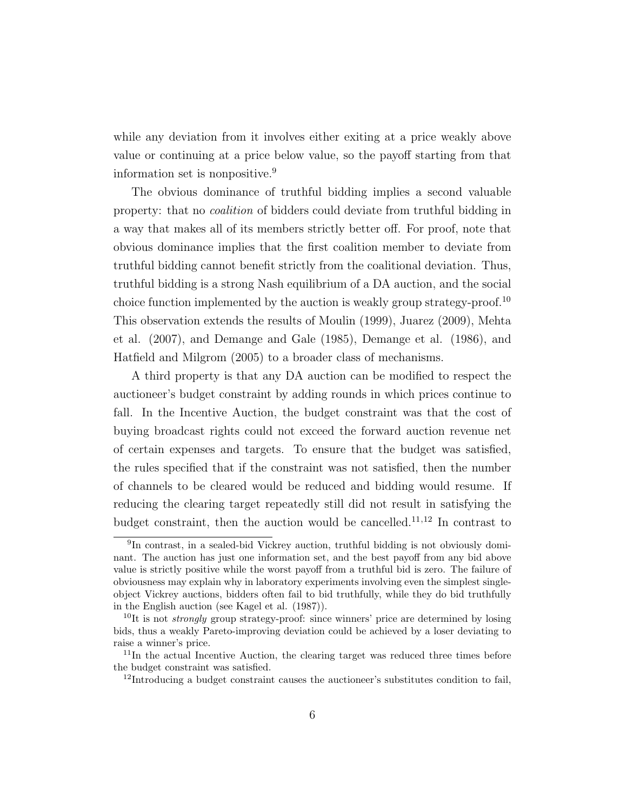while any deviation from it involves either exiting at a price weakly above value or continuing at a price below value, so the payoff starting from that information set is nonpositive.<sup>9</sup>

The obvious dominance of truthful bidding implies a second valuable property: that no coalition of bidders could deviate from truthful bidding in a way that makes all of its members strictly better off. For proof, note that obvious dominance implies that the first coalition member to deviate from truthful bidding cannot benefit strictly from the coalitional deviation. Thus, truthful bidding is a strong Nash equilibrium of a DA auction, and the social choice function implemented by the auction is weakly group strategy-proof.<sup>10</sup> This observation extends the results of Moulin (1999), Juarez (2009), Mehta et al. (2007), and Demange and Gale (1985), Demange et al. (1986), and Hatfield and Milgrom (2005) to a broader class of mechanisms.

A third property is that any DA auction can be modified to respect the auctioneer's budget constraint by adding rounds in which prices continue to fall. In the Incentive Auction, the budget constraint was that the cost of buying broadcast rights could not exceed the forward auction revenue net of certain expenses and targets. To ensure that the budget was satisfied, the rules specified that if the constraint was not satisfied, then the number of channels to be cleared would be reduced and bidding would resume. If reducing the clearing target repeatedly still did not result in satisfying the budget constraint, then the auction would be cancelled.<sup>11,12</sup> In contrast to

<sup>9</sup> In contrast, in a sealed-bid Vickrey auction, truthful bidding is not obviously dominant. The auction has just one information set, and the best payoff from any bid above value is strictly positive while the worst payoff from a truthful bid is zero. The failure of obviousness may explain why in laboratory experiments involving even the simplest singleobject Vickrey auctions, bidders often fail to bid truthfully, while they do bid truthfully in the English auction (see Kagel et al. (1987)).

<sup>&</sup>lt;sup>10</sup>It is not *strongly* group strategy-proof: since winners' price are determined by losing bids, thus a weakly Pareto-improving deviation could be achieved by a loser deviating to raise a winner's price.

<sup>11</sup>In the actual Incentive Auction, the clearing target was reduced three times before the budget constraint was satisfied.

<sup>&</sup>lt;sup>12</sup>Introducing a budget constraint causes the auctioneer's substitutes condition to fail,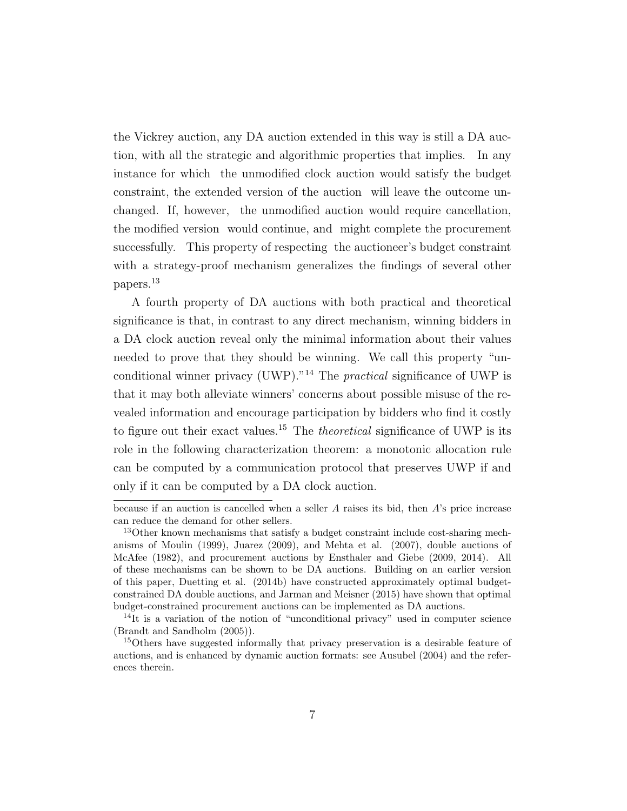the Vickrey auction, any DA auction extended in this way is still a DA auction, with all the strategic and algorithmic properties that implies. In any instance for which the unmodified clock auction would satisfy the budget constraint, the extended version of the auction will leave the outcome unchanged. If, however, the unmodified auction would require cancellation, the modified version would continue, and might complete the procurement successfully. This property of respecting the auctioneer's budget constraint with a strategy-proof mechanism generalizes the findings of several other papers.<sup>13</sup>

A fourth property of DA auctions with both practical and theoretical significance is that, in contrast to any direct mechanism, winning bidders in a DA clock auction reveal only the minimal information about their values needed to prove that they should be winning. We call this property "unconditional winner privacy (UWP)."<sup>14</sup> The *practical* significance of UWP is that it may both alleviate winners' concerns about possible misuse of the revealed information and encourage participation by bidders who find it costly to figure out their exact values.<sup>15</sup> The *theoretical* significance of UWP is its role in the following characterization theorem: a monotonic allocation rule can be computed by a communication protocol that preserves UWP if and only if it can be computed by a DA clock auction.

because if an auction is cancelled when a seller  $A$  raises its bid, then  $A$ 's price increase can reduce the demand for other sellers.

<sup>&</sup>lt;sup>13</sup>Other known mechanisms that satisfy a budget constraint include cost-sharing mechanisms of Moulin (1999), Juarez (2009), and Mehta et al. (2007), double auctions of McAfee (1982), and procurement auctions by Ensthaler and Giebe (2009, 2014). All of these mechanisms can be shown to be DA auctions. Building on an earlier version of this paper, Duetting et al. (2014b) have constructed approximately optimal budgetconstrained DA double auctions, and Jarman and Meisner (2015) have shown that optimal budget-constrained procurement auctions can be implemented as DA auctions.

 $14$ It is a variation of the notion of "unconditional privacy" used in computer science (Brandt and Sandholm (2005)).

<sup>&</sup>lt;sup>15</sup>Others have suggested informally that privacy preservation is a desirable feature of auctions, and is enhanced by dynamic auction formats: see Ausubel (2004) and the references therein.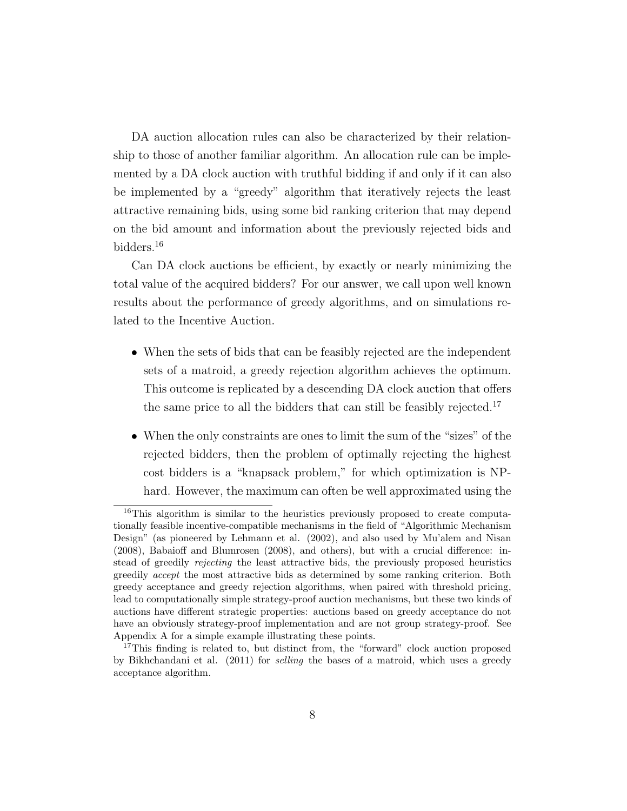DA auction allocation rules can also be characterized by their relationship to those of another familiar algorithm. An allocation rule can be implemented by a DA clock auction with truthful bidding if and only if it can also be implemented by a "greedy" algorithm that iteratively rejects the least attractive remaining bids, using some bid ranking criterion that may depend on the bid amount and information about the previously rejected bids and bidders.<sup>16</sup>

Can DA clock auctions be efficient, by exactly or nearly minimizing the total value of the acquired bidders? For our answer, we call upon well known results about the performance of greedy algorithms, and on simulations related to the Incentive Auction.

- When the sets of bids that can be feasibly rejected are the independent sets of a matroid, a greedy rejection algorithm achieves the optimum. This outcome is replicated by a descending DA clock auction that offers the same price to all the bidders that can still be feasibly rejected.<sup>17</sup>
- When the only constraints are ones to limit the sum of the "sizes" of the rejected bidders, then the problem of optimally rejecting the highest cost bidders is a "knapsack problem," for which optimization is NPhard. However, the maximum can often be well approximated using the

<sup>&</sup>lt;sup>16</sup>This algorithm is similar to the heuristics previously proposed to create computationally feasible incentive-compatible mechanisms in the field of "Algorithmic Mechanism Design" (as pioneered by Lehmann et al. (2002), and also used by Mu'alem and Nisan (2008), Babaioff and Blumrosen (2008), and others), but with a crucial difference: instead of greedily rejecting the least attractive bids, the previously proposed heuristics greedily accept the most attractive bids as determined by some ranking criterion. Both greedy acceptance and greedy rejection algorithms, when paired with threshold pricing, lead to computationally simple strategy-proof auction mechanisms, but these two kinds of auctions have different strategic properties: auctions based on greedy acceptance do not have an obviously strategy-proof implementation and are not group strategy-proof. See Appendix A for a simple example illustrating these points.

<sup>&</sup>lt;sup>17</sup>This finding is related to, but distinct from, the "forward" clock auction proposed by Bikhchandani et al. (2011) for selling the bases of a matroid, which uses a greedy acceptance algorithm.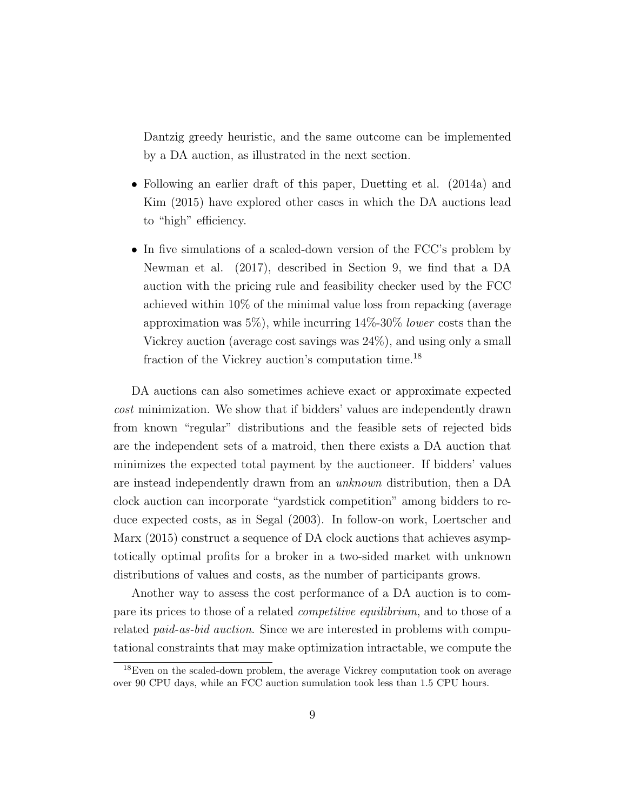Dantzig greedy heuristic, and the same outcome can be implemented by a DA auction, as illustrated in the next section.

- Following an earlier draft of this paper, Duetting et al. (2014a) and Kim (2015) have explored other cases in which the DA auctions lead to "high" efficiency.
- In five simulations of a scaled-down version of the FCC's problem by Newman et al. (2017), described in Section 9, we find that a DA auction with the pricing rule and feasibility checker used by the FCC achieved within 10% of the minimal value loss from repacking (average approximation was  $5\%$ , while incurring  $14\%$ -30% lower costs than the Vickrey auction (average cost savings was 24%), and using only a small fraction of the Vickrey auction's computation time.<sup>18</sup>

DA auctions can also sometimes achieve exact or approximate expected cost minimization. We show that if bidders' values are independently drawn from known "regular" distributions and the feasible sets of rejected bids are the independent sets of a matroid, then there exists a DA auction that minimizes the expected total payment by the auctioneer. If bidders' values are instead independently drawn from an unknown distribution, then a DA clock auction can incorporate "yardstick competition" among bidders to reduce expected costs, as in Segal (2003). In follow-on work, Loertscher and Marx (2015) construct a sequence of DA clock auctions that achieves asymptotically optimal profits for a broker in a two-sided market with unknown distributions of values and costs, as the number of participants grows.

Another way to assess the cost performance of a DA auction is to compare its prices to those of a related competitive equilibrium, and to those of a related *paid-as-bid auction*. Since we are interested in problems with computational constraints that may make optimization intractable, we compute the

<sup>18</sup>Even on the scaled-down problem, the average Vickrey computation took on average over 90 CPU days, while an FCC auction sumulation took less than 1.5 CPU hours.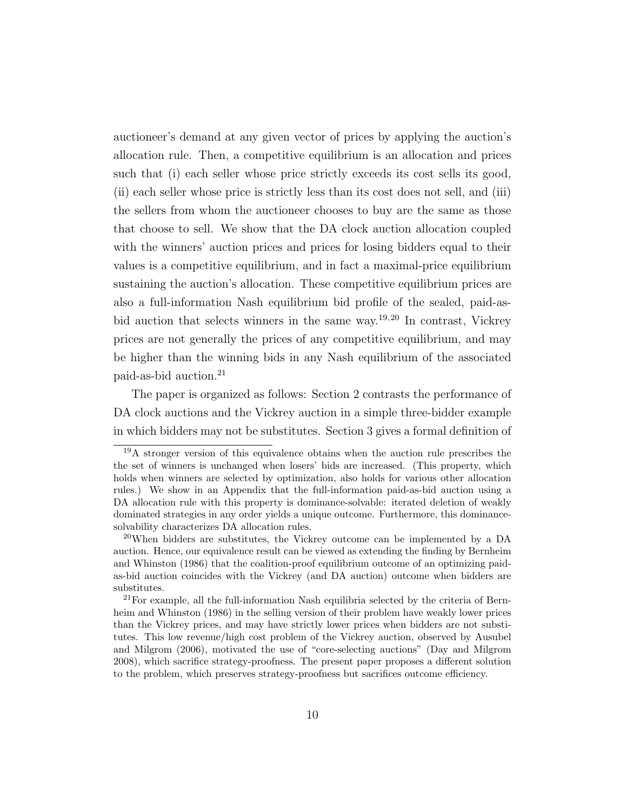auctioneer's demand at any given vector of prices by applying the auction's allocation rule. Then, a competitive equilibrium is an allocation and prices such that (i) each seller whose price strictly exceeds its cost sells its good, (ii) each seller whose price is strictly less than its cost does not sell, and (iii) the sellers from whom the auctioneer chooses to buy are the same as those that choose to sell. We show that the DA clock auction allocation coupled with the winners' auction prices and prices for losing bidders equal to their values is a competitive equilibrium, and in fact a maximal-price equilibrium sustaining the auction's allocation. These competitive equilibrium prices are also a full-information Nash equilibrium bid profile of the sealed, paid-asbid auction that selects winners in the same way.<sup>19,20</sup> In contrast, Vickrey prices are not generally the prices of any competitive equilibrium, and may be higher than the winning bids in any Nash equilibrium of the associated paid-as-bid auction.<sup>21</sup>

The paper is organized as follows: Section 2 contrasts the performance of DA clock auctions and the Vickrey auction in a simple three-bidder example in which bidders may not be substitutes. Section 3 gives a formal definition of

<sup>19</sup>A stronger version of this equivalence obtains when the auction rule prescribes the the set of winners is unchanged when losers' bids are increased. (This property, which holds when winners are selected by optimization, also holds for various other allocation rules.) We show in an Appendix that the full-information paid-as-bid auction using a DA allocation rule with this property is dominance-solvable: iterated deletion of weakly dominated strategies in any order yields a unique outcome. Furthermore, this dominancesolvability characterizes DA allocation rules.

 $^{20}$ When bidders are substitutes, the Vickrey outcome can be implemented by a DA auction. Hence, our equivalence result can be viewed as extending the finding by Bernheim and Whinston (1986) that the coalition-proof equilibrium outcome of an optimizing paidas-bid auction coincides with the Vickrey (and DA auction) outcome when bidders are substitutes.

 $21$  For example, all the full-information Nash equilibria selected by the criteria of Bernheim and Whinston (1986) in the selling version of their problem have weakly lower prices than the Vickrey prices, and may have strictly lower prices when bidders are not substitutes. This low revenue/high cost problem of the Vickrey auction, observed by Ausubel and Milgrom (2006), motivated the use of "core-selecting auctions" (Day and Milgrom 2008), which sacrifice strategy-proofness. The present paper proposes a different solution to the problem, which preserves strategy-proofness but sacrifices outcome efficiency.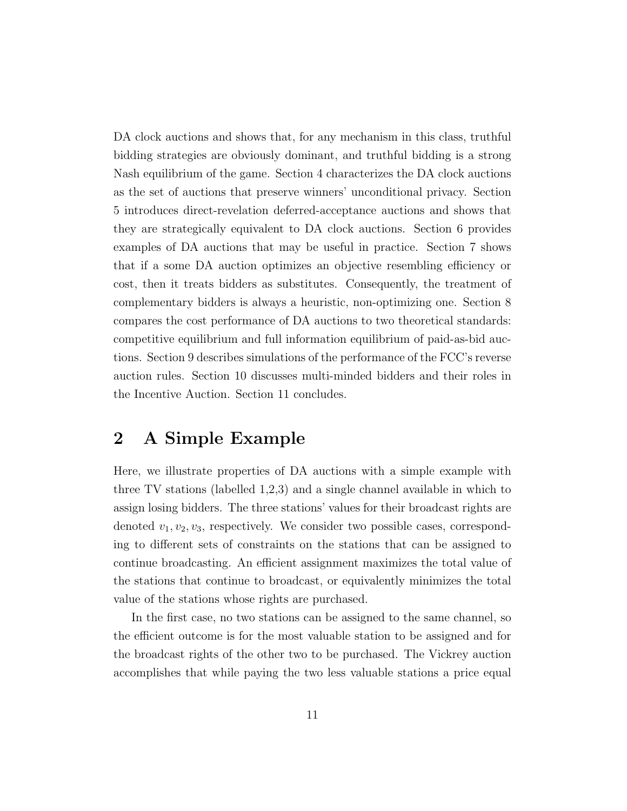DA clock auctions and shows that, for any mechanism in this class, truthful bidding strategies are obviously dominant, and truthful bidding is a strong Nash equilibrium of the game. Section 4 characterizes the DA clock auctions as the set of auctions that preserve winners' unconditional privacy. Section 5 introduces direct-revelation deferred-acceptance auctions and shows that they are strategically equivalent to DA clock auctions. Section 6 provides examples of DA auctions that may be useful in practice. Section 7 shows that if a some DA auction optimizes an objective resembling efficiency or cost, then it treats bidders as substitutes. Consequently, the treatment of complementary bidders is always a heuristic, non-optimizing one. Section 8 compares the cost performance of DA auctions to two theoretical standards: competitive equilibrium and full information equilibrium of paid-as-bid auctions. Section 9 describes simulations of the performance of the FCC's reverse auction rules. Section 10 discusses multi-minded bidders and their roles in the Incentive Auction. Section 11 concludes.

#### 2 A Simple Example

Here, we illustrate properties of DA auctions with a simple example with three TV stations (labelled 1,2,3) and a single channel available in which to assign losing bidders. The three stations' values for their broadcast rights are denoted  $v_1, v_2, v_3$ , respectively. We consider two possible cases, corresponding to different sets of constraints on the stations that can be assigned to continue broadcasting. An efficient assignment maximizes the total value of the stations that continue to broadcast, or equivalently minimizes the total value of the stations whose rights are purchased.

In the first case, no two stations can be assigned to the same channel, so the efficient outcome is for the most valuable station to be assigned and for the broadcast rights of the other two to be purchased. The Vickrey auction accomplishes that while paying the two less valuable stations a price equal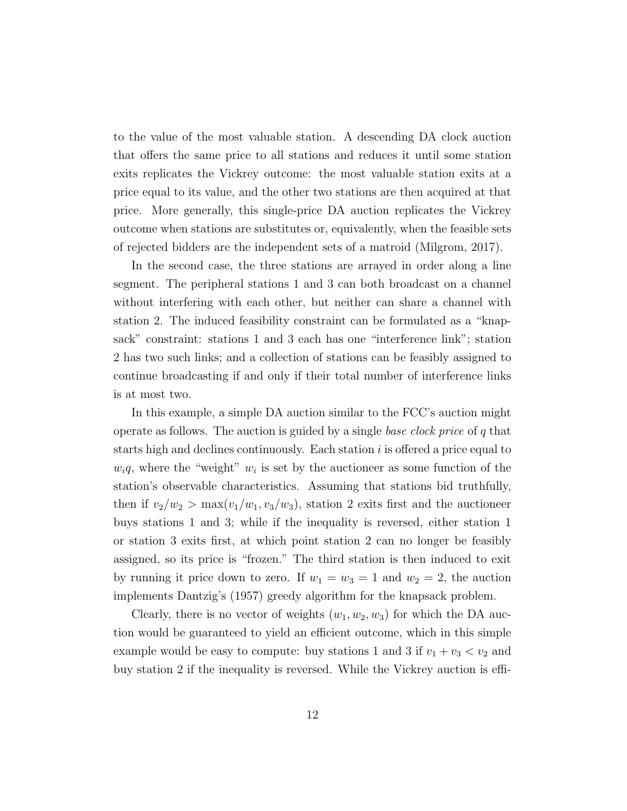to the value of the most valuable station. A descending DA clock auction that offers the same price to all stations and reduces it until some station exits replicates the Vickrey outcome: the most valuable station exits at a price equal to its value, and the other two stations are then acquired at that price. More generally, this single-price DA auction replicates the Vickrey outcome when stations are substitutes or, equivalently, when the feasible sets of rejected bidders are the independent sets of a matroid (Milgrom, 2017).

In the second case, the three stations are arrayed in order along a line segment. The peripheral stations 1 and 3 can both broadcast on a channel without interfering with each other, but neither can share a channel with station 2. The induced feasibility constraint can be formulated as a "knapsack" constraint: stations 1 and 3 each has one "interference link"; station 2 has two such links; and a collection of stations can be feasibly assigned to continue broadcasting if and only if their total number of interference links is at most two.

In this example, a simple DA auction similar to the FCC's auction might operate as follows. The auction is guided by a single base clock price of  $q$  that starts high and declines continuously. Each station  $i$  is offered a price equal to  $w_i q$ , where the "weight"  $w_i$  is set by the auctioneer as some function of the station's observable characteristics. Assuming that stations bid truthfully, then if  $v_2/w_2 > \max(v_1/w_1, v_3/w_3)$ , station 2 exits first and the auctioneer buys stations 1 and 3; while if the inequality is reversed, either station 1 or station 3 exits first, at which point station 2 can no longer be feasibly assigned, so its price is "frozen." The third station is then induced to exit by running it price down to zero. If  $w_1 = w_3 = 1$  and  $w_2 = 2$ , the auction implements Dantzig's (1957) greedy algorithm for the knapsack problem.

Clearly, there is no vector of weights  $(w_1, w_2, w_3)$  for which the DA auction would be guaranteed to yield an efficient outcome, which in this simple example would be easy to compute: buy stations 1 and 3 if  $v_1 + v_3 < v_2$  and buy station 2 if the inequality is reversed. While the Vickrey auction is effi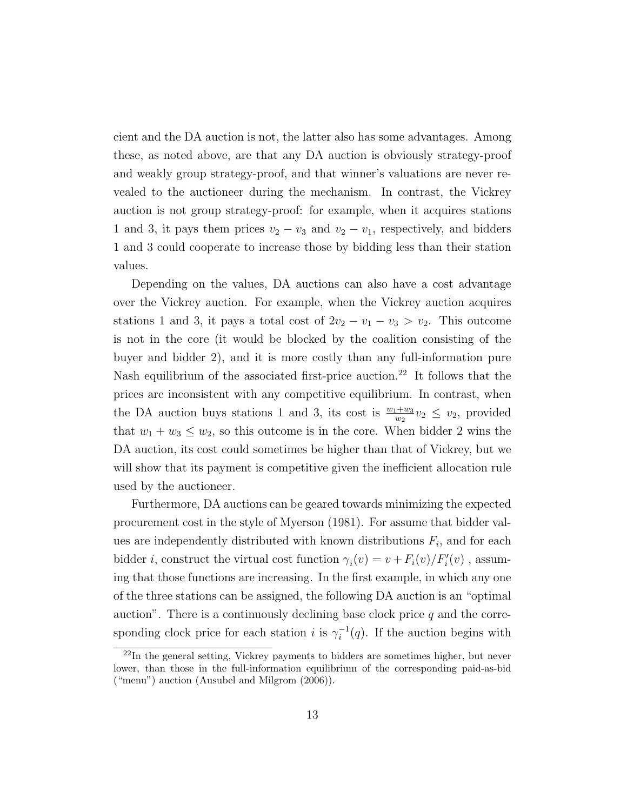cient and the DA auction is not, the latter also has some advantages. Among these, as noted above, are that any DA auction is obviously strategy-proof and weakly group strategy-proof, and that winner's valuations are never revealed to the auctioneer during the mechanism. In contrast, the Vickrey auction is not group strategy-proof: for example, when it acquires stations 1 and 3, it pays them prices  $v_2 - v_3$  and  $v_2 - v_1$ , respectively, and bidders 1 and 3 could cooperate to increase those by bidding less than their station values.

Depending on the values, DA auctions can also have a cost advantage over the Vickrey auction. For example, when the Vickrey auction acquires stations 1 and 3, it pays a total cost of  $2v_2 - v_1 - v_3 > v_2$ . This outcome is not in the core (it would be blocked by the coalition consisting of the buyer and bidder 2), and it is more costly than any full-information pure Nash equilibrium of the associated first-price auction.<sup>22</sup> It follows that the prices are inconsistent with any competitive equilibrium. In contrast, when the DA auction buys stations 1 and 3, its cost is  $\frac{w_1+w_3}{w_2}v_2 \leq v_2$ , provided that  $w_1 + w_3 \leq w_2$ , so this outcome is in the core. When bidder 2 wins the DA auction, its cost could sometimes be higher than that of Vickrey, but we will show that its payment is competitive given the inefficient allocation rule used by the auctioneer.

Furthermore, DA auctions can be geared towards minimizing the expected procurement cost in the style of Myerson (1981). For assume that bidder values are independently distributed with known distributions  $F_i$ , and for each bidder *i*, construct the virtual cost function  $\gamma_i(v) = v + F_i(v)/F'_i(v)$ , assuming that those functions are increasing. In the first example, in which any one of the three stations can be assigned, the following DA auction is an "optimal auction". There is a continuously declining base clock price  $q$  and the corresponding clock price for each station *i* is  $\gamma_i^{-1}$  $i^{-1}(q)$ . If the auction begins with

<sup>22</sup>In the general setting, Vickrey payments to bidders are sometimes higher, but never lower, than those in the full-information equilibrium of the corresponding paid-as-bid ("menu") auction (Ausubel and Milgrom (2006)).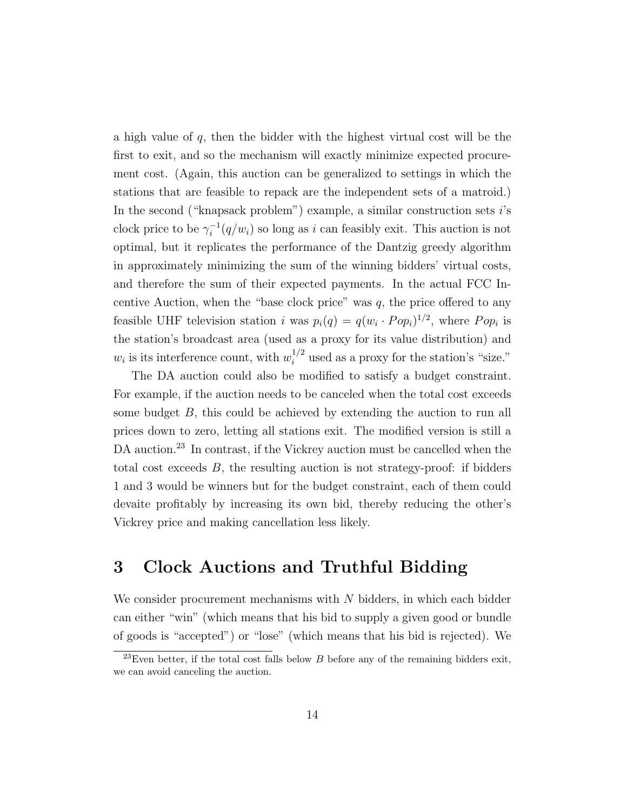a high value of q, then the bidder with the highest virtual cost will be the first to exit, and so the mechanism will exactly minimize expected procurement cost. (Again, this auction can be generalized to settings in which the stations that are feasible to repack are the independent sets of a matroid.) In the second ("knapsack problem") example, a similar construction sets i's clock price to be  $\gamma_i^{-1}$  $i_l^{-1}(q/w_i)$  so long as i can feasibly exit. This auction is not optimal, but it replicates the performance of the Dantzig greedy algorithm in approximately minimizing the sum of the winning bidders' virtual costs, and therefore the sum of their expected payments. In the actual FCC Incentive Auction, when the "base clock price" was  $q$ , the price offered to any feasible UHF television station i was  $p_i(q) = q(w_i \cdot Pop_i)^{1/2}$ , where  $Pop_i$  is the station's broadcast area (used as a proxy for its value distribution) and  $w_i$  is its interference count, with  $w_i^{1/2}$  used as a proxy for the station's "size."

The DA auction could also be modified to satisfy a budget constraint. For example, if the auction needs to be canceled when the total cost exceeds some budget  $B$ , this could be achieved by extending the auction to run all prices down to zero, letting all stations exit. The modified version is still a DA auction.<sup>23</sup> In contrast, if the Vickrey auction must be cancelled when the total cost exceeds  $B$ , the resulting auction is not strategy-proof: if bidders 1 and 3 would be winners but for the budget constraint, each of them could devaite profitably by increasing its own bid, thereby reducing the other's Vickrey price and making cancellation less likely.

### 3 Clock Auctions and Truthful Bidding

We consider procurement mechanisms with  $N$  bidders, in which each bidder can either "win" (which means that his bid to supply a given good or bundle of goods is "accepted") or "lose" (which means that his bid is rejected). We

 $^{23}$ Even better, if the total cost falls below B before any of the remaining bidders exit, we can avoid canceling the auction.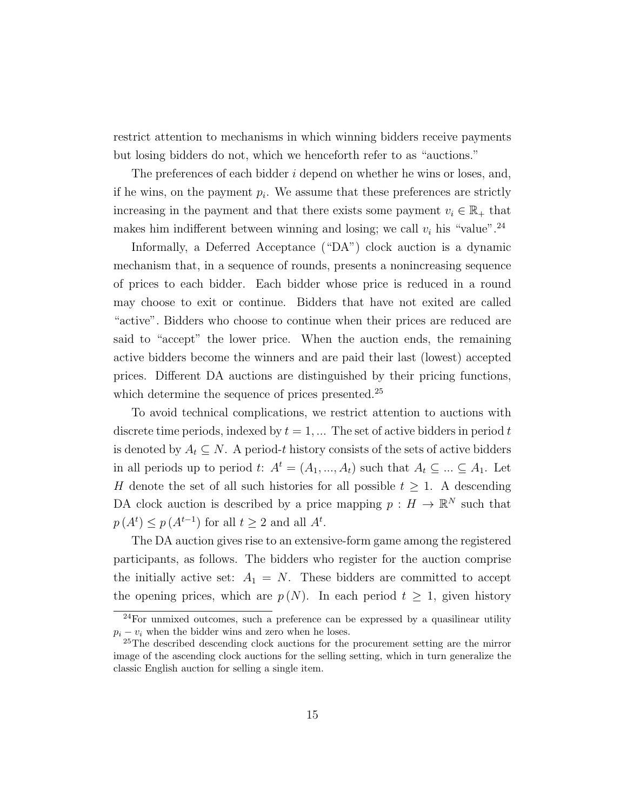restrict attention to mechanisms in which winning bidders receive payments but losing bidders do not, which we henceforth refer to as "auctions."

The preferences of each bidder *i* depend on whether he wins or loses, and, if he wins, on the payment  $p_i$ . We assume that these preferences are strictly increasing in the payment and that there exists some payment  $v_i \in \mathbb{R}_+$  that makes him indifferent between winning and losing; we call  $v_i$  his "value".<sup>24</sup>

Informally, a Deferred Acceptance ("DA") clock auction is a dynamic mechanism that, in a sequence of rounds, presents a nonincreasing sequence of prices to each bidder. Each bidder whose price is reduced in a round may choose to exit or continue. Bidders that have not exited are called "active". Bidders who choose to continue when their prices are reduced are said to "accept" the lower price. When the auction ends, the remaining active bidders become the winners and are paid their last (lowest) accepted prices. Different DA auctions are distinguished by their pricing functions, which determine the sequence of prices presented.<sup>25</sup>

To avoid technical complications, we restrict attention to auctions with discrete time periods, indexed by  $t = 1, \dots$  The set of active bidders in period t is denoted by  $A_t \subseteq N$ . A period-t history consists of the sets of active bidders in all periods up to period t:  $A^t = (A_1, ..., A_t)$  such that  $A_t \subseteq ... \subseteq A_1$ . Let H denote the set of all such histories for all possible  $t \geq 1$ . A descending DA clock auction is described by a price mapping  $p: H \to \mathbb{R}^N$  such that  $p(A^t) \leq p(A^{t-1})$  for all  $t \geq 2$  and all  $A^t$ .

The DA auction gives rise to an extensive-form game among the registered participants, as follows. The bidders who register for the auction comprise the initially active set:  $A_1 = N$ . These bidders are committed to accept the opening prices, which are  $p(N)$ . In each period  $t \geq 1$ , given history

<sup>24</sup>For unmixed outcomes, such a preference can be expressed by a quasilinear utility  $p_i - v_i$  when the bidder wins and zero when he loses.

<sup>25</sup>The described descending clock auctions for the procurement setting are the mirror image of the ascending clock auctions for the selling setting, which in turn generalize the classic English auction for selling a single item.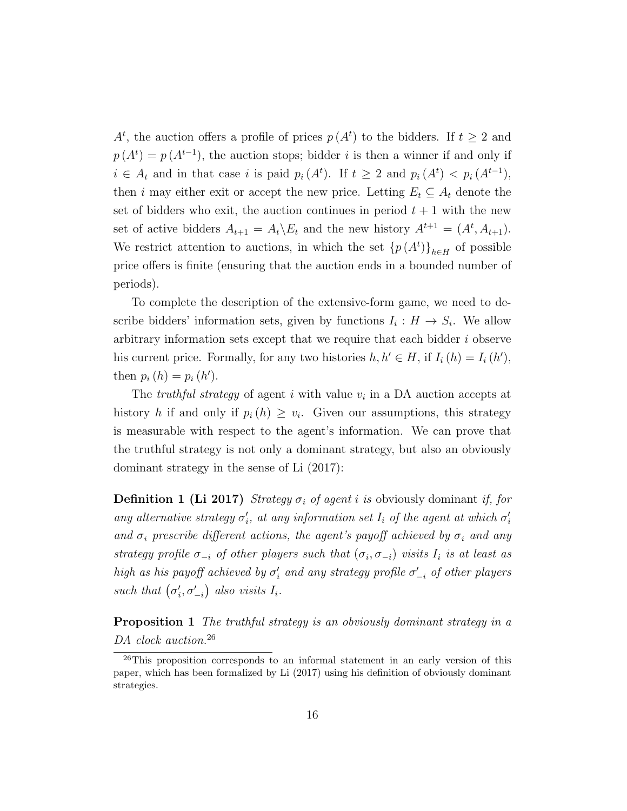$A<sup>t</sup>$ , the auction offers a profile of prices  $p(A<sup>t</sup>)$  to the bidders. If  $t \geq 2$  and  $p(A<sup>t</sup>) = p(A<sup>t-1</sup>)$ , the auction stops; bidder *i* is then a winner if and only if  $i \in A_t$  and in that case i is paid  $p_i(A^t)$ . If  $t \geq 2$  and  $p_i(A^t) < p_i(A^{t-1})$ , then i may either exit or accept the new price. Letting  $E_t \subseteq A_t$  denote the set of bidders who exit, the auction continues in period  $t + 1$  with the new set of active bidders  $A_{t+1} = A_t \backslash E_t$  and the new history  $A^{t+1} = (A^t, A_{t+1}).$ We restrict attention to auctions, in which the set  ${p(A^t)}_{h\in H}$  of possible price offers is finite (ensuring that the auction ends in a bounded number of periods).

To complete the description of the extensive-form game, we need to describe bidders' information sets, given by functions  $I_i: H \to S_i$ . We allow arbitrary information sets except that we require that each bidder  $i$  observe his current price. Formally, for any two histories  $h, h' \in H$ , if  $I_i(h) = I_i(h')$ , then  $p_i(h) = p_i(h')$ .

The *truthful strategy* of agent i with value  $v_i$  in a DA auction accepts at history h if and only if  $p_i(h) \geq v_i$ . Given our assumptions, this strategy is measurable with respect to the agent's information. We can prove that the truthful strategy is not only a dominant strategy, but also an obviously dominant strategy in the sense of Li (2017):

**Definition 1 (Li 2017)** Strategy  $\sigma_i$  of agent i is obviously dominant if, for any alternative strategy  $\sigma'_i$ , at any information set  $I_i$  of the agent at which  $\sigma'_i$ and  $\sigma_i$  prescribe different actions, the agent's payoff achieved by  $\sigma_i$  and any strategy profile  $\sigma_{-i}$  of other players such that  $(\sigma_i, \sigma_{-i})$  visits  $I_i$  is at least as high as his payoff achieved by  $\sigma'_i$  and any strategy profile  $\sigma'_{-i}$  of other players such that  $(\sigma_i', \sigma_{-i}')$  also visits  $I_i$ .

**Proposition 1** The truthful strategy is an obviously dominant strategy in a DA clock auction.<sup>26</sup>

 $^{26}$ This proposition corresponds to an informal statement in an early version of this paper, which has been formalized by Li (2017) using his definition of obviously dominant strategies.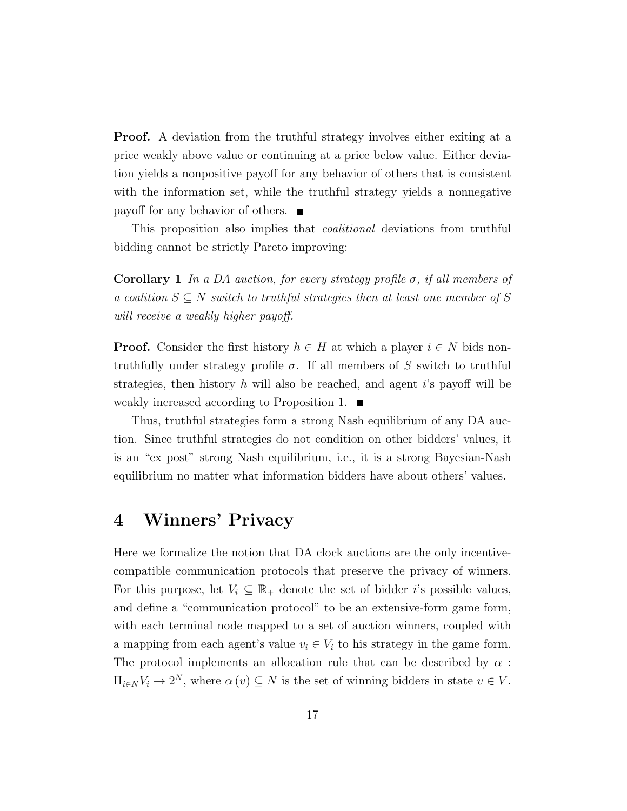**Proof.** A deviation from the truthful strategy involves either exiting at a price weakly above value or continuing at a price below value. Either deviation yields a nonpositive payoff for any behavior of others that is consistent with the information set, while the truthful strategy yields a nonnegative payoff for any behavior of others.

This proposition also implies that coalitional deviations from truthful bidding cannot be strictly Pareto improving:

Corollary 1 In a DA auction, for every strategy profile  $\sigma$ , if all members of a coalition  $S \subseteq N$  switch to truthful strategies then at least one member of S will receive a weakly higher payoff.

**Proof.** Consider the first history  $h \in H$  at which a player  $i \in N$  bids nontruthfully under strategy profile  $\sigma$ . If all members of S switch to truthful strategies, then history h will also be reached, and agent i's payoff will be weakly increased according to Proposition 1.

Thus, truthful strategies form a strong Nash equilibrium of any DA auction. Since truthful strategies do not condition on other bidders' values, it is an "ex post" strong Nash equilibrium, i.e., it is a strong Bayesian-Nash equilibrium no matter what information bidders have about others' values.

#### 4 Winners' Privacy

Here we formalize the notion that DA clock auctions are the only incentivecompatible communication protocols that preserve the privacy of winners. For this purpose, let  $V_i \subseteq \mathbb{R}_+$  denote the set of bidder *i*'s possible values, and define a "communication protocol" to be an extensive-form game form, with each terminal node mapped to a set of auction winners, coupled with a mapping from each agent's value  $v_i \in V_i$  to his strategy in the game form. The protocol implements an allocation rule that can be described by  $\alpha$ :  $\Pi_{i\in N}V_i\to 2^N$ , where  $\alpha(v)\subseteq N$  is the set of winning bidders in state  $v\in V$ .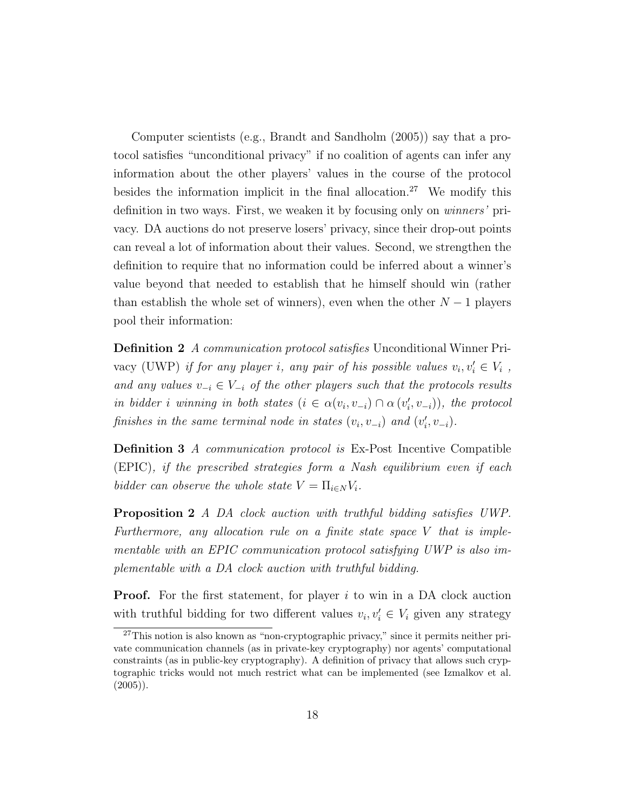Computer scientists (e.g., Brandt and Sandholm (2005)) say that a protocol satisfies "unconditional privacy" if no coalition of agents can infer any information about the other players' values in the course of the protocol besides the information implicit in the final allocation.<sup>27</sup> We modify this definition in two ways. First, we weaken it by focusing only on winners' privacy. DA auctions do not preserve losers' privacy, since their drop-out points can reveal a lot of information about their values. Second, we strengthen the definition to require that no information could be inferred about a winner's value beyond that needed to establish that he himself should win (rather than establish the whole set of winners), even when the other  $N-1$  players pool their information:

Definition 2 A communication protocol satisfies Unconditional Winner Privacy (UWP) if for any player i, any pair of his possible values  $v_i, v'_i \in V_i$ , and any values  $v_{-i} \in V_{-i}$  of the other players such that the protocols results in bidder i winning in both states  $(i \in \alpha(v_i, v_{-i}) \cap \alpha(v'_i, v_{-i}))$ , the protocol finishes in the same terminal node in states  $(v_i, v_{-i})$  and  $(v'_i, v_{-i})$ .

Definition 3 A communication protocol is Ex-Post Incentive Compatible (EPIC), if the prescribed strategies form a Nash equilibrium even if each bidder can observe the whole state  $V = \prod_{i \in N} V_i$ .

Proposition 2 A DA clock auction with truthful bidding satisfies UWP. Furthermore, any allocation rule on a finite state space V that is implementable with an EPIC communication protocol satisfying UWP is also implementable with a DA clock auction with truthful bidding.

**Proof.** For the first statement, for player  $i$  to win in a DA clock auction with truthful bidding for two different values  $v_i, v'_i \in V_i$  given any strategy

<sup>27</sup>This notion is also known as "non-cryptographic privacy," since it permits neither private communication channels (as in private-key cryptography) nor agents' computational constraints (as in public-key cryptography). A definition of privacy that allows such cryptographic tricks would not much restrict what can be implemented (see Izmalkov et al.  $(2005)$ ).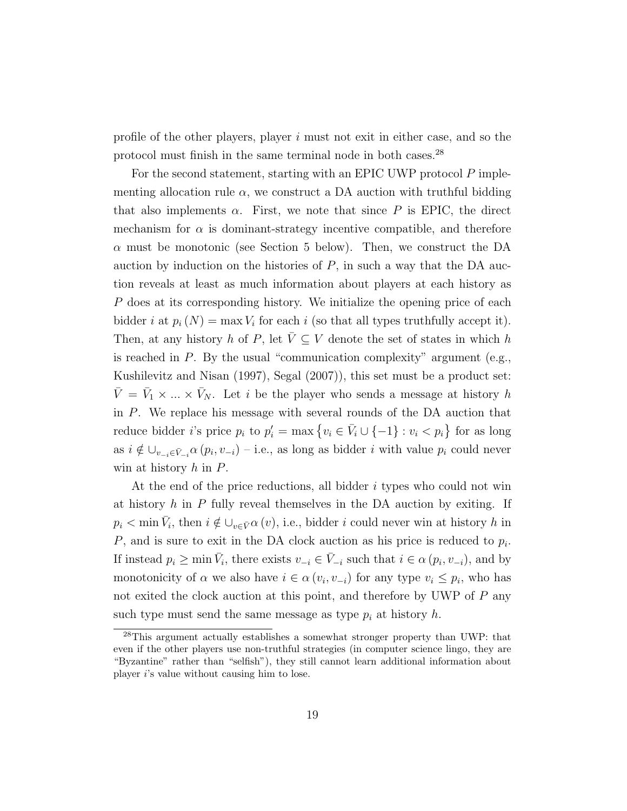profile of the other players, player  $i$  must not exit in either case, and so the protocol must finish in the same terminal node in both cases.<sup>28</sup>

For the second statement, starting with an EPIC UWP protocol  $P$  implementing allocation rule  $\alpha$ , we construct a DA auction with truthful bidding that also implements  $\alpha$ . First, we note that since P is EPIC, the direct mechanism for  $\alpha$  is dominant-strategy incentive compatible, and therefore  $\alpha$  must be monotonic (see Section 5 below). Then, we construct the DA auction by induction on the histories of  $P$ , in such a way that the DA auction reveals at least as much information about players at each history as P does at its corresponding history. We initialize the opening price of each bidder *i* at  $p_i(N) = \max V_i$  for each *i* (so that all types truthfully accept it). Then, at any history h of P, let  $\overline{V} \subseteq V$  denote the set of states in which h is reached in  $P$ . By the usual "communication complexity" argument (e.g., Kushilevitz and Nisan (1997), Segal (2007)), this set must be a product set:  $\bar{V} = \bar{V}_1 \times ... \times \bar{V}_N$ . Let i be the player who sends a message at history h in P. We replace his message with several rounds of the DA auction that reduce bidder *i*'s price  $p_i$  to  $p'_i = \max\{v_i \in \overline{V}_i \cup \{-1\} : v_i < p_i\}$  for as long as  $i \notin \bigcup_{v_{-i} \in \bar{V}_{-i}} \alpha(p_i, v_{-i})$  – i.e., as long as bidder i with value  $p_i$  could never win at history  $h$  in  $P$ .

At the end of the price reductions, all bidder  $i$  types who could not win at history  $h$  in P fully reveal themselves in the DA auction by exiting. If  $p_i < \min \bar{V}_i$ , then  $i \notin \bigcup_{v \in \bar{V}} \alpha(v)$ , i.e., bidder i could never win at history h in P, and is sure to exit in the DA clock auction as his price is reduced to  $p_i$ . If instead  $p_i \ge \min \bar{V}_i$ , there exists  $v_{-i} \in \bar{V}_{-i}$  such that  $i \in \alpha(p_i, v_{-i})$ , and by monotonicity of  $\alpha$  we also have  $i \in \alpha(v_i, v_{-i})$  for any type  $v_i \leq p_i$ , who has not exited the clock auction at this point, and therefore by UWP of P any such type must send the same message as type  $p_i$  at history h.

<sup>28</sup>This argument actually establishes a somewhat stronger property than UWP: that even if the other players use non-truthful strategies (in computer science lingo, they are "Byzantine" rather than "selfish"), they still cannot learn additional information about player i's value without causing him to lose.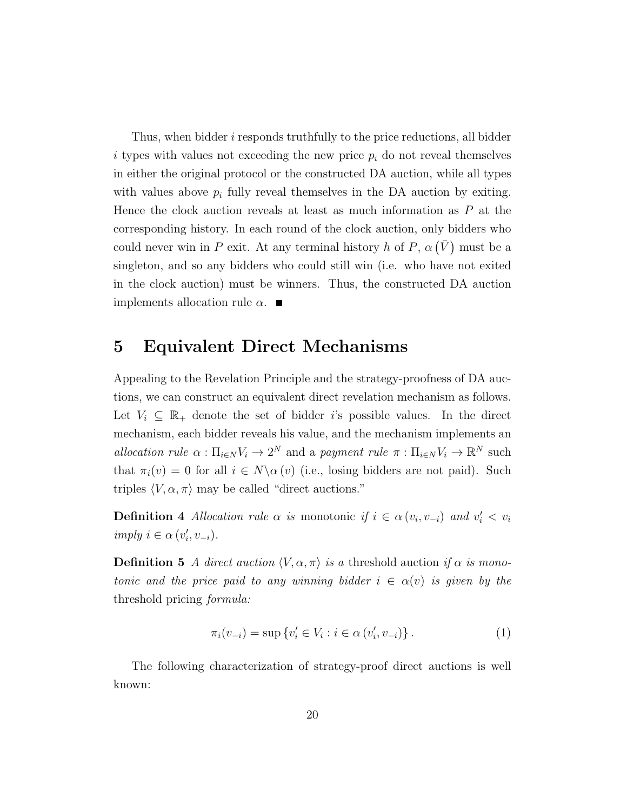Thus, when bidder  $i$  responds truthfully to the price reductions, all bidder i types with values not exceeding the new price  $p_i$  do not reveal themselves in either the original protocol or the constructed DA auction, while all types with values above  $p_i$  fully reveal themselves in the DA auction by exiting. Hence the clock auction reveals at least as much information as P at the corresponding history. In each round of the clock auction, only bidders who could never win in P exit. At any terminal history h of P,  $\alpha(\bar{V})$  must be a singleton, and so any bidders who could still win (i.e. who have not exited in the clock auction) must be winners. Thus, the constructed DA auction implements allocation rule  $\alpha$ .

#### 5 Equivalent Direct Mechanisms

Appealing to the Revelation Principle and the strategy-proofness of DA auctions, we can construct an equivalent direct revelation mechanism as follows. Let  $V_i \subseteq \mathbb{R}_+$  denote the set of bidder i's possible values. In the direct mechanism, each bidder reveals his value, and the mechanism implements an allocation rule  $\alpha : \Pi_{i \in N} V_i \to 2^N$  and a payment rule  $\pi : \Pi_{i \in N} V_i \to \mathbb{R}^N$  such that  $\pi_i(v) = 0$  for all  $i \in N \setminus \alpha(v)$  (i.e., losing bidders are not paid). Such triples  $\langle V, \alpha, \pi \rangle$  may be called "direct auctions."

**Definition 4** Allocation rule  $\alpha$  is monotonic if  $i \in \alpha(v_i, v_{-i})$  and  $v'_i < v_i$  $imply \ i \in \alpha \ (v_i', v_{-i}).$ 

**Definition 5** A direct auction  $\langle V, \alpha, \pi \rangle$  is a threshold auction if  $\alpha$  is monotonic and the price paid to any winning bidder  $i \in \alpha(v)$  is given by the threshold pricing formula:

$$
\pi_i(v_{-i}) = \sup \{ v'_i \in V_i : i \in \alpha \left( v'_i, v_{-i} \right) \} . \tag{1}
$$

The following characterization of strategy-proof direct auctions is well known: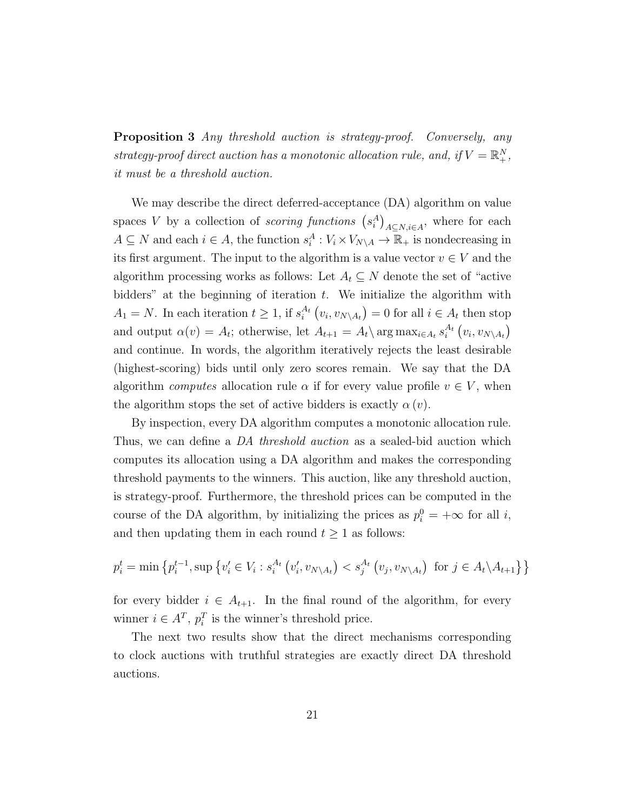**Proposition 3** Any threshold auction is strategy-proof. Conversely, any strategy-proof direct auction has a monotonic allocation rule, and, if  $V = \mathbb{R}^N_+$ , it must be a threshold auction.

We may describe the direct deferred-acceptance (DA) algorithm on value spaces V by a collection of *scoring functions*  $(s_i^A)_{A \subseteq N, i \in A}$ , where for each  $A \subseteq N$  and each  $i \in A$ , the function  $s_i^A : V_i \times V_{N \setminus A} \to \overline{\mathbb{R}_+}$  is nondecreasing in its first argument. The input to the algorithm is a value vector  $v \in V$  and the algorithm processing works as follows: Let  $A_t \subseteq N$  denote the set of "active" bidders" at the beginning of iteration  $t$ . We initialize the algorithm with  $A_1 = N$ . In each iteration  $t \geq 1$ , if  $s_i^{A_t}(v_i, v_{N \setminus A_t}) = 0$  for all  $i \in A_t$  then stop and output  $\alpha(v) = A_t$ ; otherwise, let  $A_{t+1} = A_t \backslash \arg \max_{i \in A_t} s_i^{A_t}(v_i, v_{N \backslash A_t})$ and continue. In words, the algorithm iteratively rejects the least desirable (highest-scoring) bids until only zero scores remain. We say that the DA algorithm computes allocation rule  $\alpha$  if for every value profile  $v \in V$ , when the algorithm stops the set of active bidders is exactly  $\alpha(v)$ .

By inspection, every DA algorithm computes a monotonic allocation rule. Thus, we can define a DA threshold auction as a sealed-bid auction which computes its allocation using a DA algorithm and makes the corresponding threshold payments to the winners. This auction, like any threshold auction, is strategy-proof. Furthermore, the threshold prices can be computed in the course of the DA algorithm, by initializing the prices as  $p_i^0 = +\infty$  for all *i*, and then updating them in each round  $t \geq 1$  as follows:

$$
p_i^t = \min \left\{ p_i^{t-1}, \sup \left\{ v_i' \in V_i : s_i^{A_t} \left( v_i', v_{N \setminus A_t} \right) < s_j^{A_t} \left( v_j, v_{N \setminus A_t} \right) \text{ for } j \in A_t \setminus A_{t+1} \right\} \right\}
$$

for every bidder  $i \in A_{t+1}$ . In the final round of the algorithm, for every winner  $i \in A^T$ ,  $p_i^T$  is the winner's threshold price.

The next two results show that the direct mechanisms corresponding to clock auctions with truthful strategies are exactly direct DA threshold auctions.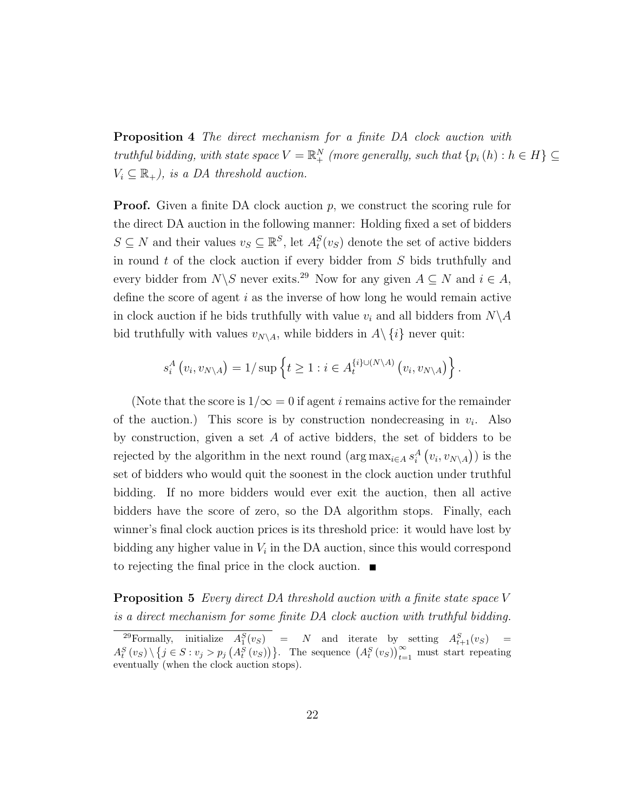**Proposition 4** The direct mechanism for a finite DA clock auction with truthful bidding, with state space  $V = \mathbb{R}^N_+$  (more generally, such that  $\{p_i(h) : h \in H\} \subseteq$  $V_i \subseteq \mathbb{R}_+$ , is a DA threshold auction.

**Proof.** Given a finite DA clock auction  $p$ , we construct the scoring rule for the direct DA auction in the following manner: Holding fixed a set of bidders  $S \subseteq N$  and their values  $v_S \subseteq \mathbb{R}^S$ , let  $A_t^S(v_S)$  denote the set of active bidders in round  $t$  of the clock auction if every bidder from  $S$  bids truthfully and every bidder from  $N\backslash S$  never exits.<sup>29</sup> Now for any given  $A \subseteq N$  and  $i \in A$ , define the score of agent  $i$  as the inverse of how long he would remain active in clock auction if he bids truthfully with value  $v_i$  and all bidders from  $N\backslash A$ bid truthfully with values  $v_{N\setminus A}$ , while bidders in  $A\setminus\{i\}$  never quit:

$$
s_i^A(v_i, v_{N\setminus A}) = 1/\sup\left\{t \ge 1 : i \in A_t^{\{i\}\cup(N\setminus A)}(v_i, v_{N\setminus A})\right\}.
$$

(Note that the score is  $1/\infty = 0$  if agent *i* remains active for the remainder of the auction.) This score is by construction nondecreasing in  $v_i$ . Also by construction, given a set  $A$  of active bidders, the set of bidders to be rejected by the algorithm in the next round  $(\arg \max_{i \in A} s_i^A(v_i, v_{N \setminus A}))$  is the set of bidders who would quit the soonest in the clock auction under truthful bidding. If no more bidders would ever exit the auction, then all active bidders have the score of zero, so the DA algorithm stops. Finally, each winner's final clock auction prices is its threshold price: it would have lost by bidding any higher value in  $V_i$  in the DA auction, since this would correspond to rejecting the final price in the clock auction.  $\blacksquare$ 

Proposition 5 Every direct DA threshold auction with a finite state space V is a direct mechanism for some finite DA clock auction with truthful bidding.

<sup>&</sup>lt;sup>29</sup>Formally, initialize  $A_1^S(v_S)$  = N and iterate by setting  $A_{t+1}^S(v_S)$  =  $A_t^S(v_S) \setminus \{j \in S : v_j > p_j\left(A_t^S(v_S)\right)\}\.$  The sequence  $(A_t^S(v_S))_{t=1}^{\infty}$  must start repeating eventually (when the clock auction stops).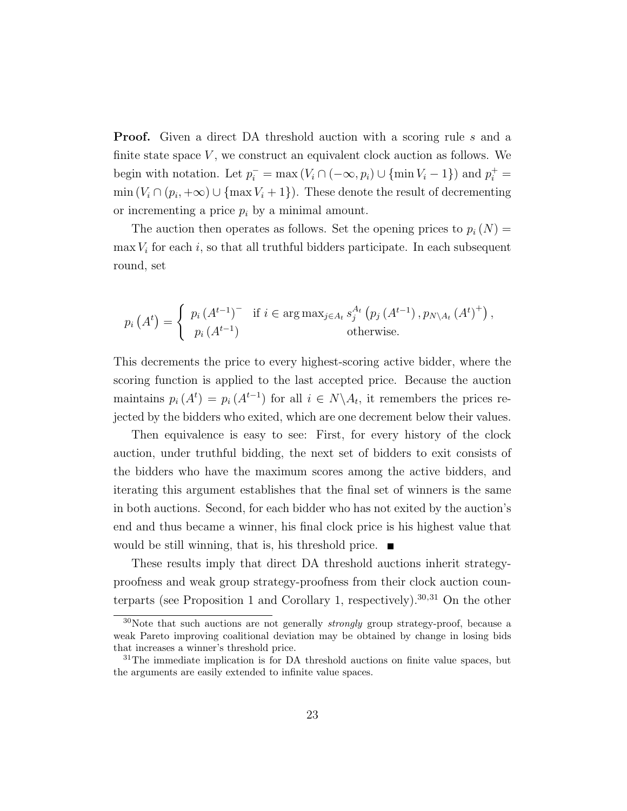**Proof.** Given a direct DA threshold auction with a scoring rule s and a finite state space  $V$ , we construct an equivalent clock auction as follows. We begin with notation. Let  $p_i^- = \max(V_i \cap (-\infty, p_i) \cup \{\min V_i - 1\})$  and  $p_i^+ =$  $\min(V_i \cap (p_i, +\infty) \cup \{\max V_i + 1\})$ . These denote the result of decrementing or incrementing a price  $p_i$  by a minimal amount.

The auction then operates as follows. Set the opening prices to  $p_i(N) =$  $\max V_i$  for each i, so that all truthful bidders participate. In each subsequent round, set

$$
p_i(A^t) = \begin{cases} p_i(A^{t-1})^- & \text{if } i \in \arg \max_{j \in A_t} s_j^{A_t} (p_j(A^{t-1}), p_{N \setminus A_t} (A^t)^+) , \\ p_i(A^{t-1}) & \text{otherwise.} \end{cases}
$$

This decrements the price to every highest-scoring active bidder, where the scoring function is applied to the last accepted price. Because the auction maintains  $p_i(A^t) = p_i(A^{t-1})$  for all  $i \in N \setminus A_t$ , it remembers the prices rejected by the bidders who exited, which are one decrement below their values.

Then equivalence is easy to see: First, for every history of the clock auction, under truthful bidding, the next set of bidders to exit consists of the bidders who have the maximum scores among the active bidders, and iterating this argument establishes that the final set of winners is the same in both auctions. Second, for each bidder who has not exited by the auction's end and thus became a winner, his final clock price is his highest value that would be still winning, that is, his threshold price.

These results imply that direct DA threshold auctions inherit strategyproofness and weak group strategy-proofness from their clock auction counterparts (see Proposition 1 and Corollary 1, respectively).<sup>30,31</sup> On the other

<sup>&</sup>lt;sup>30</sup>Note that such auctions are not generally *strongly* group strategy-proof, because a weak Pareto improving coalitional deviation may be obtained by change in losing bids that increases a winner's threshold price.

<sup>&</sup>lt;sup>31</sup>The immediate implication is for DA threshold auctions on finite value spaces, but the arguments are easily extended to infinite value spaces.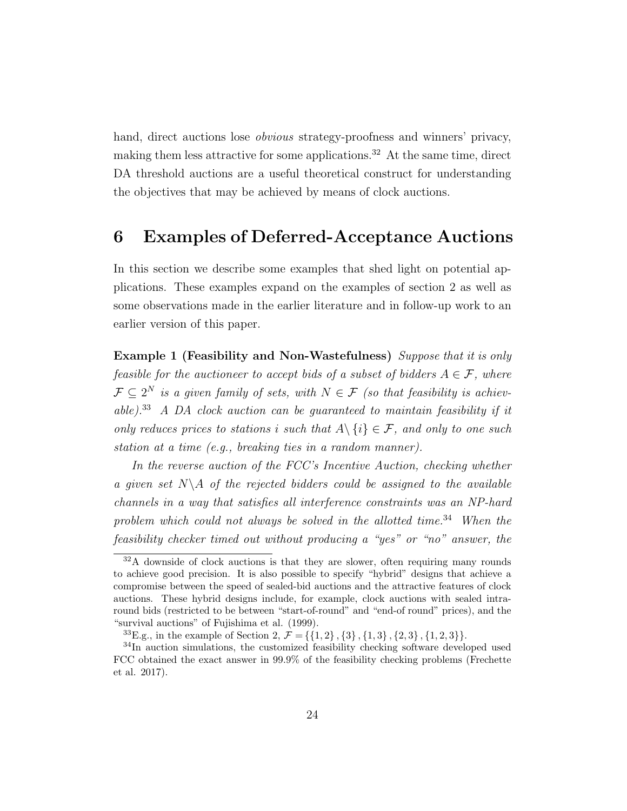hand, direct auctions lose *obvious* strategy-proofness and winners' privacy, making them less attractive for some applications.<sup>32</sup> At the same time, direct DA threshold auctions are a useful theoretical construct for understanding the objectives that may be achieved by means of clock auctions.

#### 6 Examples of Deferred-Acceptance Auctions

In this section we describe some examples that shed light on potential applications. These examples expand on the examples of section 2 as well as some observations made in the earlier literature and in follow-up work to an earlier version of this paper.

Example 1 (Feasibility and Non-Wastefulness) Suppose that it is only feasible for the auctioneer to accept bids of a subset of bidders  $A \in \mathcal{F}$ , where  $\mathcal{F} \subseteq 2^N$  is a given family of sets, with  $N \in \mathcal{F}$  (so that feasibility is achievable).<sup>33</sup> A DA clock auction can be guaranteed to maintain feasibility if it only reduces prices to stations i such that  $A \setminus \{i\} \in \mathcal{F}$ , and only to one such station at a time (e.g., breaking ties in a random manner).

In the reverse auction of the FCC's Incentive Auction, checking whether a given set  $N\setminus A$  of the rejected bidders could be assigned to the available channels in a way that satisfies all interference constraints was an NP-hard problem which could not always be solved in the allotted time.<sup>34</sup> When the feasibility checker timed out without producing a "yes" or "no" answer, the

 $32A$  downside of clock auctions is that they are slower, often requiring many rounds to achieve good precision. It is also possible to specify "hybrid" designs that achieve a compromise between the speed of sealed-bid auctions and the attractive features of clock auctions. These hybrid designs include, for example, clock auctions with sealed intraround bids (restricted to be between "start-of-round" and "end-of round" prices), and the "survival auctions" of Fujishima et al. (1999).

<sup>&</sup>lt;sup>33</sup>E.g., in the example of Section 2,  $\mathcal{F} = \{\{1,2\}, \{3\}, \{1,3\}, \{2,3\}, \{1,2,3\}\}.$ 

<sup>34</sup>In auction simulations, the customized feasibility checking software developed used FCC obtained the exact answer in 99.9% of the feasibility checking problems (Frechette et al. 2017).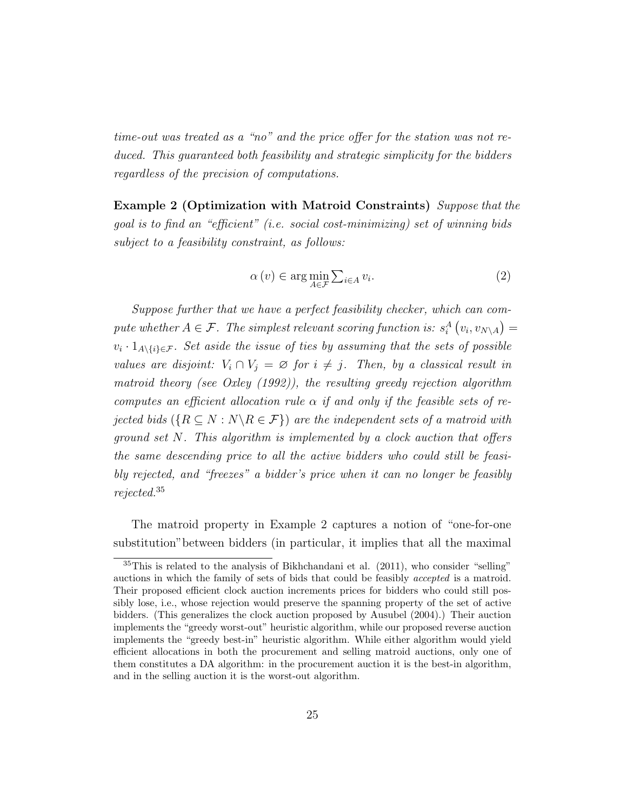time-out was treated as a "no" and the price offer for the station was not reduced. This guaranteed both feasibility and strategic simplicity for the bidders regardless of the precision of computations.

Example 2 (Optimization with Matroid Constraints) Suppose that the goal is to find an "efficient" (i.e. social cost-minimizing) set of winning bids subject to a feasibility constraint, as follows:

$$
\alpha(v) \in \arg\min_{A \in \mathcal{F}} \sum_{i \in A} v_i.
$$
 (2)

Suppose further that we have a perfect feasibility checker, which can compute whether  $A \in \mathcal{F}$ . The simplest relevant scoring function is:  $s_i^A(v_i, v_{N\setminus A}) =$  $v_i \cdot 1_{A\setminus\{i\} \in \mathcal{F}}$ . Set aside the issue of ties by assuming that the sets of possible values are disjoint:  $V_i \cap V_j = \emptyset$  for  $i \neq j$ . Then, by a classical result in matroid theory (see Oxley (1992)), the resulting greedy rejection algorithm computes an efficient allocation rule  $\alpha$  if and only if the feasible sets of rejected bids ( $\{R \subseteq N : N \backslash R \in \mathcal{F}\}\$ ) are the independent sets of a matroid with ground set  $N$ . This algorithm is implemented by a clock auction that offers the same descending price to all the active bidders who could still be feasibly rejected, and "freezes" a bidder's price when it can no longer be feasibly rejected.<sup>35</sup>

The matroid property in Example 2 captures a notion of "one-for-one substitution"between bidders (in particular, it implies that all the maximal

 $35$ This is related to the analysis of Bikhchandani et al. (2011), who consider "selling" auctions in which the family of sets of bids that could be feasibly accepted is a matroid. Their proposed efficient clock auction increments prices for bidders who could still possibly lose, i.e., whose rejection would preserve the spanning property of the set of active bidders. (This generalizes the clock auction proposed by Ausubel (2004).) Their auction implements the "greedy worst-out" heuristic algorithm, while our proposed reverse auction implements the "greedy best-in" heuristic algorithm. While either algorithm would yield efficient allocations in both the procurement and selling matroid auctions, only one of them constitutes a DA algorithm: in the procurement auction it is the best-in algorithm, and in the selling auction it is the worst-out algorithm.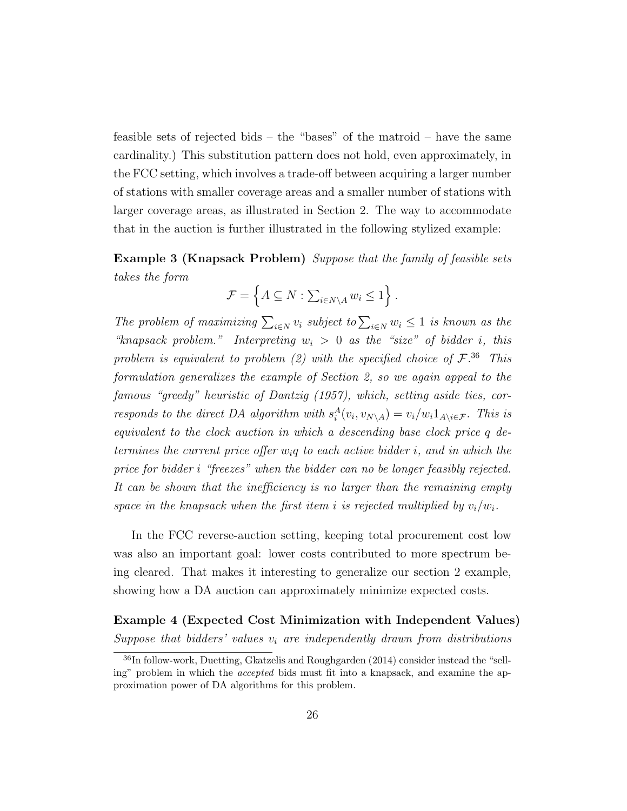feasible sets of rejected bids – the "bases" of the matroid – have the same cardinality.) This substitution pattern does not hold, even approximately, in the FCC setting, which involves a trade-off between acquiring a larger number of stations with smaller coverage areas and a smaller number of stations with larger coverage areas, as illustrated in Section 2. The way to accommodate that in the auction is further illustrated in the following stylized example:

Example 3 (Knapsack Problem) Suppose that the family of feasible sets takes the form

$$
\mathcal{F} = \left\{ A \subseteq N : \sum_{i \in N \setminus A} w_i \le 1 \right\}.
$$

The problem of maximizing  $\sum_{i\in N} v_i$  subject to  $\sum_{i\in N} w_i \leq 1$  is known as the "knapsack problem." Interpreting  $w_i > 0$  as the "size" of bidder i, this problem is equivalent to problem (2) with the specified choice of  $\mathcal{F}^{\{36\}}$ . This formulation generalizes the example of Section 2, so we again appeal to the famous "greedy" heuristic of Dantzig (1957), which, setting aside ties, corresponds to the direct DA algorithm with  $s_i^A(v_i, v_{N\setminus A}) = v_i/w_i 1_{A\setminus i \in \mathcal{F}}$ . This is equivalent to the clock auction in which a descending base clock price q determines the current price offer  $w_i q$  to each active bidder i, and in which the price for bidder i "freezes" when the bidder can no be longer feasibly rejected. It can be shown that the inefficiency is no larger than the remaining empty space in the knapsack when the first item i is rejected multiplied by  $v_i/w_i$ .

In the FCC reverse-auction setting, keeping total procurement cost low was also an important goal: lower costs contributed to more spectrum being cleared. That makes it interesting to generalize our section 2 example, showing how a DA auction can approximately minimize expected costs.

#### Example 4 (Expected Cost Minimization with Independent Values) Suppose that bidders' values  $v_i$  are independently drawn from distributions

 $36$ In follow-work, Duetting, Gkatzelis and Roughgarden (2014) consider instead the "selling" problem in which the *accepted* bids must fit into a knapsack, and examine the approximation power of DA algorithms for this problem.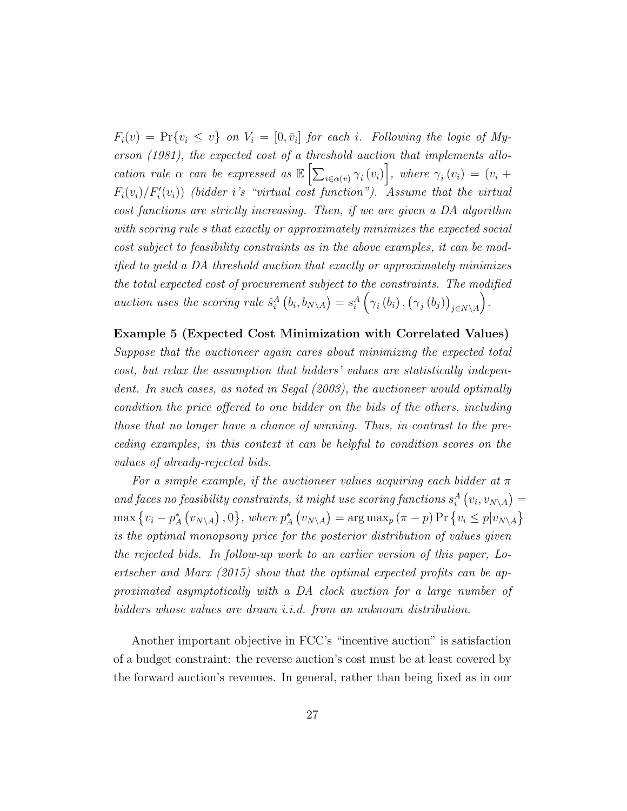$F_i(v) = Pr{v_i \leq v}$  on  $V_i = [0, \bar{v}_i]$  for each i. Following the logic of Myerson (1981), the expected cost of a threshold auction that implements allocation rule  $\alpha$  can be expressed as  $\mathbb{E}\left[\sum_{i\in\alpha(v)}\gamma_i(v_i)\right]$ , where  $\gamma_i(v_i)=(v_i+1)$  $F_i(v_i)/F'_i(v_i)$  (bidder i's "virtual cost function"). Assume that the virtual cost functions are strictly increasing. Then, if we are given a DA algorithm with scoring rule s that exactly or approximately minimizes the expected social cost subject to feasibility constraints as in the above examples, it can be modified to yield a DA threshold auction that exactly or approximately minimizes the total expected cost of procurement subject to the constraints. The modified auction uses the scoring rule  $\hat{s}_i^A(b_i, b_{N\setminus A}) = s_i^A(\gamma_i(b_i), (\gamma_j(b_j))_{j \in N \setminus A})$ .

Example 5 (Expected Cost Minimization with Correlated Values) Suppose that the auctioneer again cares about minimizing the expected total cost, but relax the assumption that bidders' values are statistically independent. In such cases, as noted in Segal (2003), the auctioneer would optimally condition the price offered to one bidder on the bids of the others, including those that no longer have a chance of winning. Thus, in contrast to the preceding examples, in this context it can be helpful to condition scores on the values of already-rejected bids.

For a simple example, if the auctioneer values acquiring each bidder at  $\pi$ and faces no feasibility constraints, it might use scoring functions  $s_i^A(v_i, v_{N\setminus A}) =$  $\max\left\{v_i-p_A^*\left(v_{N\setminus A}\right),0\right\},\,where\, p_A^*\left(v_{N\setminus A}\right)=\arg\max_p\left(\pi-p\right)\Pr\left\{v_i\leq p|v_{N\setminus A}\right\}$ is the optimal monopsony price for the posterior distribution of values given the rejected bids. In follow-up work to an earlier version of this paper, Loertscher and Marx (2015) show that the optimal expected profits can be approximated asymptotically with a DA clock auction for a large number of bidders whose values are drawn i.i.d. from an unknown distribution.

Another important objective in FCC's "incentive auction" is satisfaction of a budget constraint: the reverse auction's cost must be at least covered by the forward auction's revenues. In general, rather than being fixed as in our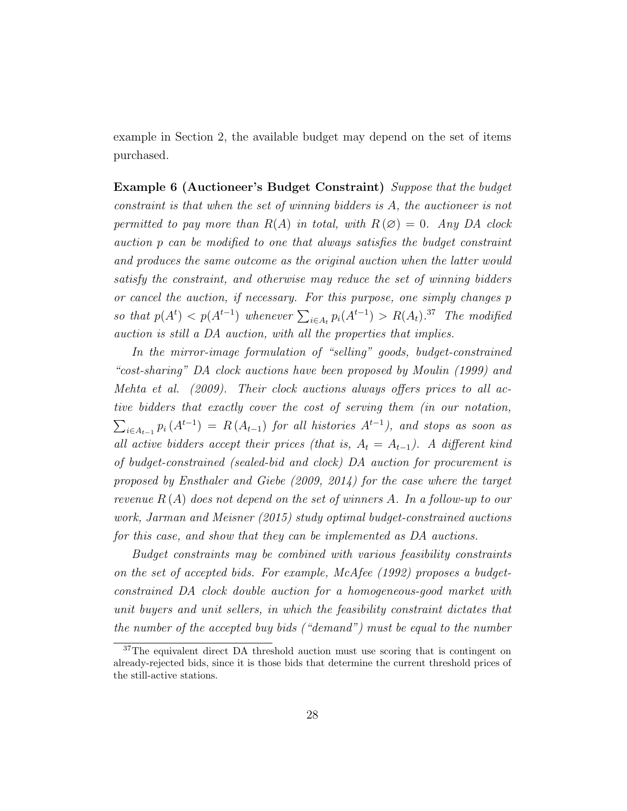example in Section 2, the available budget may depend on the set of items purchased.

Example 6 (Auctioneer's Budget Constraint) Suppose that the budget constraint is that when the set of winning bidders is A, the auctioneer is not permitted to pay more than  $R(A)$  in total, with  $R(\emptyset) = 0$ . Any DA clock auction p can be modified to one that always satisfies the budget constraint and produces the same outcome as the original auction when the latter would satisfy the constraint, and otherwise may reduce the set of winning bidders or cancel the auction, if necessary. For this purpose, one simply changes p so that  $p(A^t) < p(A^{t-1})$  whenever  $\sum_{i \in A_t} p_i(A^{t-1}) > R(A_t).^{37}$  The modified auction is still a DA auction, with all the properties that implies.

In the mirror-image formulation of "selling" goods, budget-constrained "cost-sharing" DA clock auctions have been proposed by Moulin (1999) and Mehta et al. (2009). Their clock auctions always offers prices to all active bidders that exactly cover the cost of serving them (in our notation,  $\sum_{i\in A_{t-1}} p_i(A^{t-1}) = R(A_{t-1})$  for all histories  $A^{t-1}$ ), and stops as soon as all active bidders accept their prices (that is,  $A_t = A_{t-1}$ ). A different kind of budget-constrained (sealed-bid and clock) DA auction for procurement is proposed by Ensthaler and Giebe (2009, 2014) for the case where the target revenue  $R(A)$  does not depend on the set of winners A. In a follow-up to our work, Jarman and Meisner (2015) study optimal budget-constrained auctions for this case, and show that they can be implemented as DA auctions.

Budget constraints may be combined with various feasibility constraints on the set of accepted bids. For example, McAfee (1992) proposes a budgetconstrained DA clock double auction for a homogeneous-good market with unit buyers and unit sellers, in which the feasibility constraint dictates that the number of the accepted buy bids ("demand") must be equal to the number

<sup>&</sup>lt;sup>37</sup>The equivalent direct DA threshold auction must use scoring that is contingent on already-rejected bids, since it is those bids that determine the current threshold prices of the still-active stations.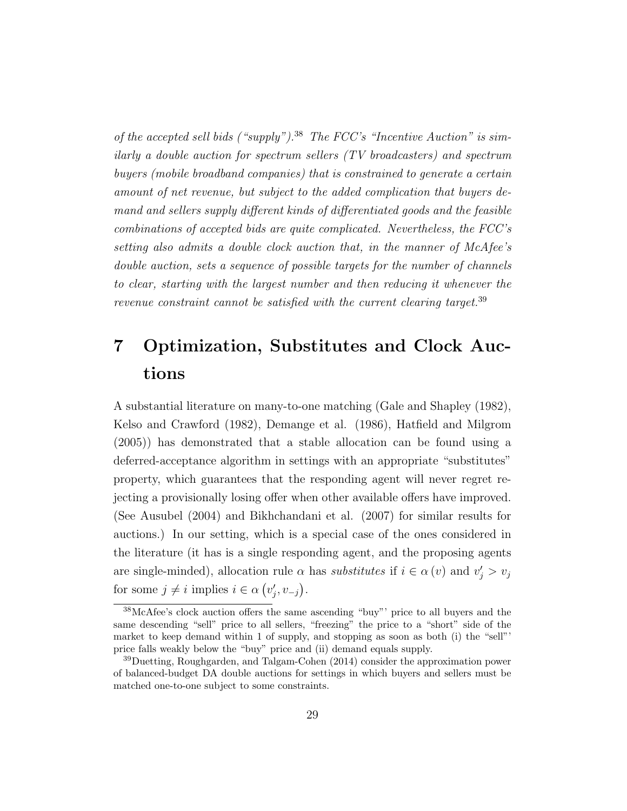of the accepted sell bids ("supply").<sup>38</sup> The FCC's "Incentive Auction" is similarly a double auction for spectrum sellers (TV broadcasters) and spectrum buyers (mobile broadband companies) that is constrained to generate a certain amount of net revenue, but subject to the added complication that buyers demand and sellers supply different kinds of differentiated goods and the feasible combinations of accepted bids are quite complicated. Nevertheless, the FCC's setting also admits a double clock auction that, in the manner of McAfee's double auction, sets a sequence of possible targets for the number of channels to clear, starting with the largest number and then reducing it whenever the revenue constraint cannot be satisfied with the current clearing target.<sup>39</sup>

### 7 Optimization, Substitutes and Clock Auctions

A substantial literature on many-to-one matching (Gale and Shapley (1982), Kelso and Crawford (1982), Demange et al. (1986), Hatfield and Milgrom (2005)) has demonstrated that a stable allocation can be found using a deferred-acceptance algorithm in settings with an appropriate "substitutes" property, which guarantees that the responding agent will never regret rejecting a provisionally losing offer when other available offers have improved. (See Ausubel (2004) and Bikhchandani et al. (2007) for similar results for auctions.) In our setting, which is a special case of the ones considered in the literature (it has is a single responding agent, and the proposing agents are single-minded), allocation rule  $\alpha$  has *substitutes* if  $i \in \alpha(v)$  and  $v'_j > v_j$ for some  $j \neq i$  implies  $i \in \alpha (v'_j, v_{-j}).$ 

<sup>38</sup>McAfee's clock auction offers the same ascending "buy"' price to all buyers and the same descending "sell" price to all sellers, "freezing" the price to a "short" side of the market to keep demand within 1 of supply, and stopping as soon as both (i) the "sell"' price falls weakly below the "buy" price and (ii) demand equals supply.

<sup>&</sup>lt;sup>39</sup>Duetting, Roughgarden, and Talgam-Cohen (2014) consider the approximation power of balanced-budget DA double auctions for settings in which buyers and sellers must be matched one-to-one subject to some constraints.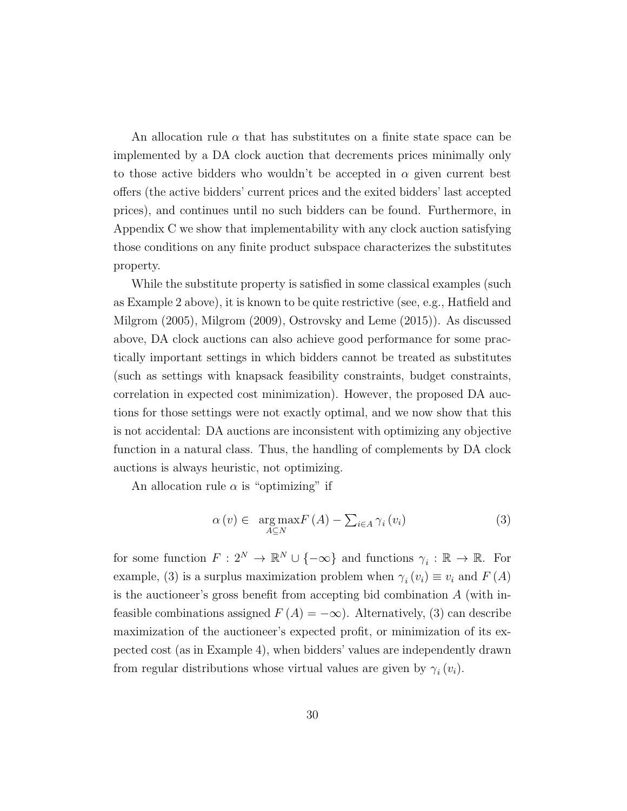An allocation rule  $\alpha$  that has substitutes on a finite state space can be implemented by a DA clock auction that decrements prices minimally only to those active bidders who wouldn't be accepted in  $\alpha$  given current best offers (the active bidders' current prices and the exited bidders' last accepted prices), and continues until no such bidders can be found. Furthermore, in Appendix C we show that implementability with any clock auction satisfying those conditions on any finite product subspace characterizes the substitutes property.

While the substitute property is satisfied in some classical examples (such as Example 2 above), it is known to be quite restrictive (see, e.g., Hatfield and Milgrom (2005), Milgrom (2009), Ostrovsky and Leme (2015)). As discussed above, DA clock auctions can also achieve good performance for some practically important settings in which bidders cannot be treated as substitutes (such as settings with knapsack feasibility constraints, budget constraints, correlation in expected cost minimization). However, the proposed DA auctions for those settings were not exactly optimal, and we now show that this is not accidental: DA auctions are inconsistent with optimizing any objective function in a natural class. Thus, the handling of complements by DA clock auctions is always heuristic, not optimizing.

An allocation rule  $\alpha$  is "optimizing" if

$$
\alpha(v) \in \underset{A \subseteq N}{\arg \max} F(A) - \sum_{i \in A} \gamma_i(v_i) \tag{3}
$$

for some function  $F: 2^N \to \mathbb{R}^N \cup \{-\infty\}$  and functions  $\gamma_i : \mathbb{R} \to \mathbb{R}$ . For example, (3) is a surplus maximization problem when  $\gamma_i(v_i) \equiv v_i$  and  $F(A)$ is the auctioneer's gross benefit from accepting bid combination A (with infeasible combinations assigned  $F(A) = -\infty$ ). Alternatively, (3) can describe maximization of the auctioneer's expected profit, or minimization of its expected cost (as in Example 4), when bidders' values are independently drawn from regular distributions whose virtual values are given by  $\gamma_i(v_i)$ .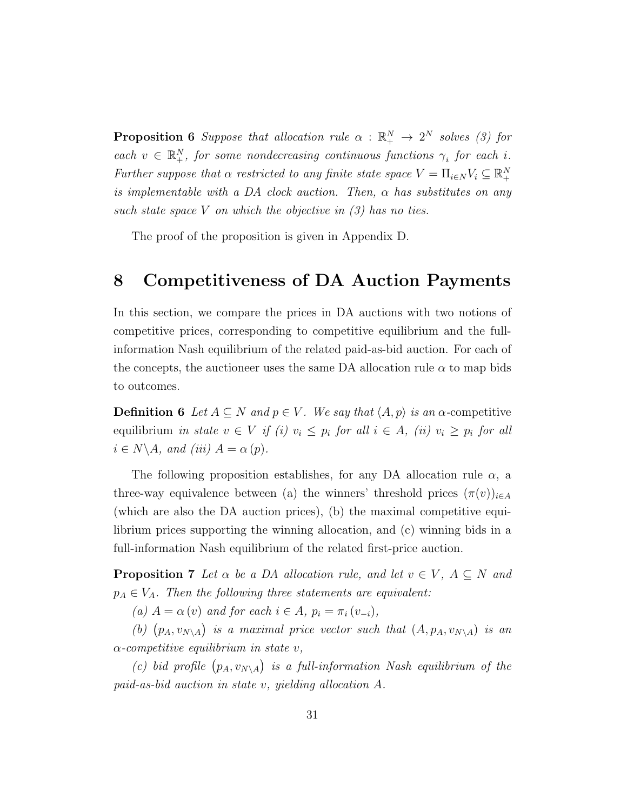**Proposition 6** Suppose that allocation rule  $\alpha$  :  $\mathbb{R}^N_+ \rightarrow 2^N$  solves (3) for each  $v \in \mathbb{R}^N_+$ , for some nondecreasing continuous functions  $\gamma_i$  for each i. Further suppose that  $\alpha$  restricted to any finite state space  $V = \prod_{i \in N} V_i \subseteq \mathbb{R}_+^N$ is implementable with a DA clock auction. Then,  $\alpha$  has substitutes on any such state space V on which the objective in  $(3)$  has no ties.

The proof of the proposition is given in Appendix D.

#### 8 Competitiveness of DA Auction Payments

In this section, we compare the prices in DA auctions with two notions of competitive prices, corresponding to competitive equilibrium and the fullinformation Nash equilibrium of the related paid-as-bid auction. For each of the concepts, the auctioneer uses the same DA allocation rule  $\alpha$  to map bids to outcomes.

**Definition 6** Let  $A \subseteq N$  and  $p \in V$ . We say that  $\langle A, p \rangle$  is an  $\alpha$ -competitive equilibrium in state  $v \in V$  if (i)  $v_i \leq p_i$  for all  $i \in A$ , (ii)  $v_i \geq p_i$  for all  $i \in N \backslash A$ , and (iii)  $A = \alpha(p)$ .

The following proposition establishes, for any DA allocation rule  $\alpha$ , a three-way equivalence between (a) the winners' threshold prices  $(\pi(v))_{i\in A}$ (which are also the DA auction prices), (b) the maximal competitive equilibrium prices supporting the winning allocation, and (c) winning bids in a full-information Nash equilibrium of the related first-price auction.

**Proposition 7** Let  $\alpha$  be a DA allocation rule, and let  $v \in V$ ,  $A \subseteq N$  and  $p_A \in V_A$ . Then the following three statements are equivalent:

(a)  $A = \alpha(v)$  and for each  $i \in A$ ,  $p_i = \pi_i(v_{-i})$ ,

(b)  $(p_A, v_{N\setminus A})$  is a maximal price vector such that  $(A, p_A, v_{N\setminus A})$  is an  $\alpha$ -competitive equilibrium in state v,

(c) bid profile  $(p_A, v_{N\setminus A})$  is a full-information Nash equilibrium of the paid-as-bid auction in state v, yielding allocation A.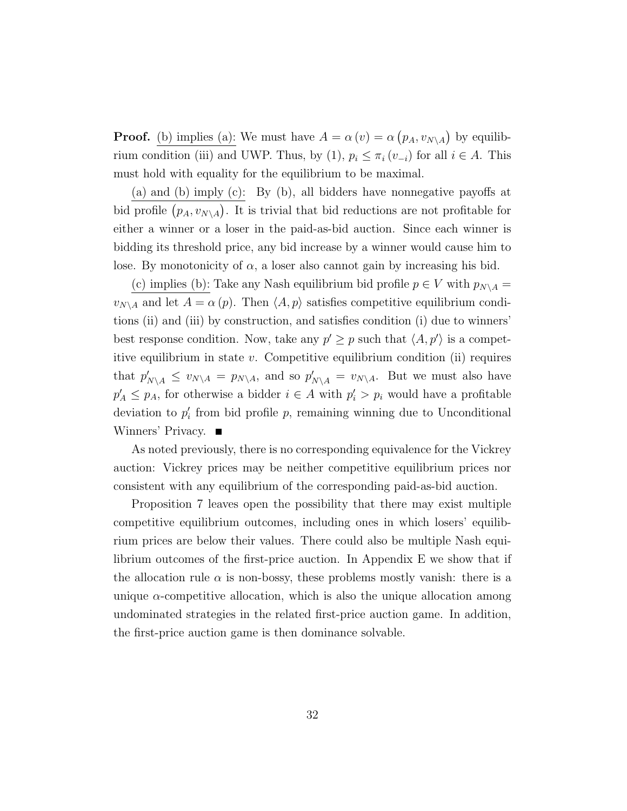**Proof.** (b) implies (a): We must have  $A = \alpha(v) = \alpha(p_A, v_{N \setminus A})$  by equilibrium condition (iii) and UWP. Thus, by (1),  $p_i \leq \pi_i (v_{-i})$  for all  $i \in A$ . This must hold with equality for the equilibrium to be maximal.

(a) and (b) imply (c): By (b), all bidders have nonnegative payoffs at bid profile  $(p_A, v_{N\setminus A})$ . It is trivial that bid reductions are not profitable for either a winner or a loser in the paid-as-bid auction. Since each winner is bidding its threshold price, any bid increase by a winner would cause him to lose. By monotonicity of  $\alpha$ , a loser also cannot gain by increasing his bid.

(c) implies (b): Take any Nash equilibrium bid profile  $p \in V$  with  $p_{N\setminus A} =$  $v_{N\setminus A}$  and let  $A = \alpha(p)$ . Then  $\langle A, p \rangle$  satisfies competitive equilibrium conditions (ii) and (iii) by construction, and satisfies condition (i) due to winners' best response condition. Now, take any  $p' \geq p$  such that  $\langle A, p' \rangle$  is a competitive equilibrium in state  $v$ . Competitive equilibrium condition (ii) requires that  $p'_{N\setminus A} \le v_{N\setminus A} = p_{N\setminus A}$ , and so  $p'_{N\setminus A} = v_{N\setminus A}$ . But we must also have  $p'_A \leq p_A$ , for otherwise a bidder  $i \in A$  with  $p'_i > p_i$  would have a profitable deviation to  $p'_i$  from bid profile  $p$ , remaining winning due to Unconditional Winners' Privacy. ■

As noted previously, there is no corresponding equivalence for the Vickrey auction: Vickrey prices may be neither competitive equilibrium prices nor consistent with any equilibrium of the corresponding paid-as-bid auction.

Proposition 7 leaves open the possibility that there may exist multiple competitive equilibrium outcomes, including ones in which losers' equilibrium prices are below their values. There could also be multiple Nash equilibrium outcomes of the first-price auction. In Appendix E we show that if the allocation rule  $\alpha$  is non-bossy, these problems mostly vanish: there is a unique  $\alpha$ -competitive allocation, which is also the unique allocation among undominated strategies in the related first-price auction game. In addition, the first-price auction game is then dominance solvable.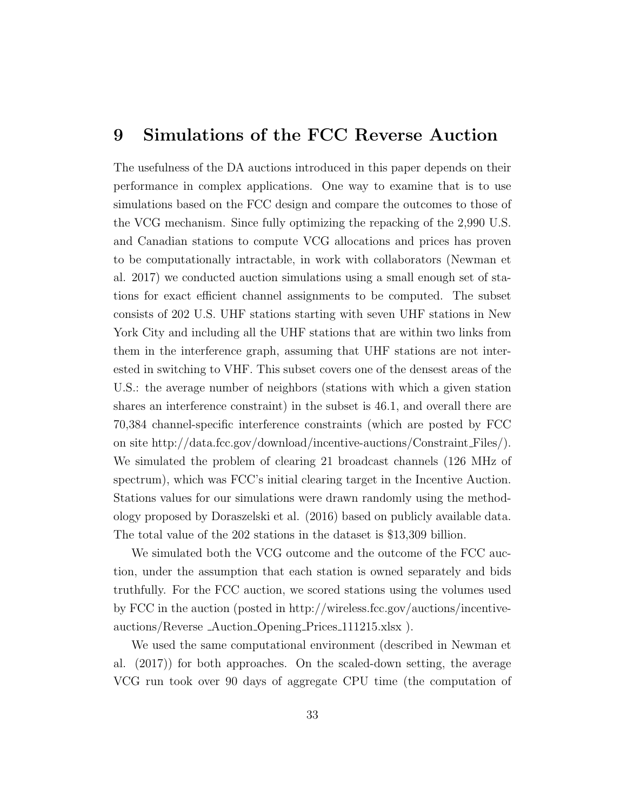#### 9 Simulations of the FCC Reverse Auction

The usefulness of the DA auctions introduced in this paper depends on their performance in complex applications. One way to examine that is to use simulations based on the FCC design and compare the outcomes to those of the VCG mechanism. Since fully optimizing the repacking of the 2,990 U.S. and Canadian stations to compute VCG allocations and prices has proven to be computationally intractable, in work with collaborators (Newman et al. 2017) we conducted auction simulations using a small enough set of stations for exact efficient channel assignments to be computed. The subset consists of 202 U.S. UHF stations starting with seven UHF stations in New York City and including all the UHF stations that are within two links from them in the interference graph, assuming that UHF stations are not interested in switching to VHF. This subset covers one of the densest areas of the U.S.: the average number of neighbors (stations with which a given station shares an interference constraint) in the subset is 46.1, and overall there are 70,384 channel-specific interference constraints (which are posted by FCC on site http://data.fcc.gov/download/incentive-auctions/Constraint Files/). We simulated the problem of clearing 21 broadcast channels (126 MHz of spectrum), which was FCC's initial clearing target in the Incentive Auction. Stations values for our simulations were drawn randomly using the methodology proposed by Doraszelski et al. (2016) based on publicly available data. The total value of the 202 stations in the dataset is \$13,309 billion.

We simulated both the VCG outcome and the outcome of the FCC auction, under the assumption that each station is owned separately and bids truthfully. For the FCC auction, we scored stations using the volumes used by FCC in the auction (posted in http://wireless.fcc.gov/auctions/incentiveauctions/Reverse Auction Opening Prices 111215.xlsx ).

We used the same computational environment (described in Newman et al. (2017)) for both approaches. On the scaled-down setting, the average VCG run took over 90 days of aggregate CPU time (the computation of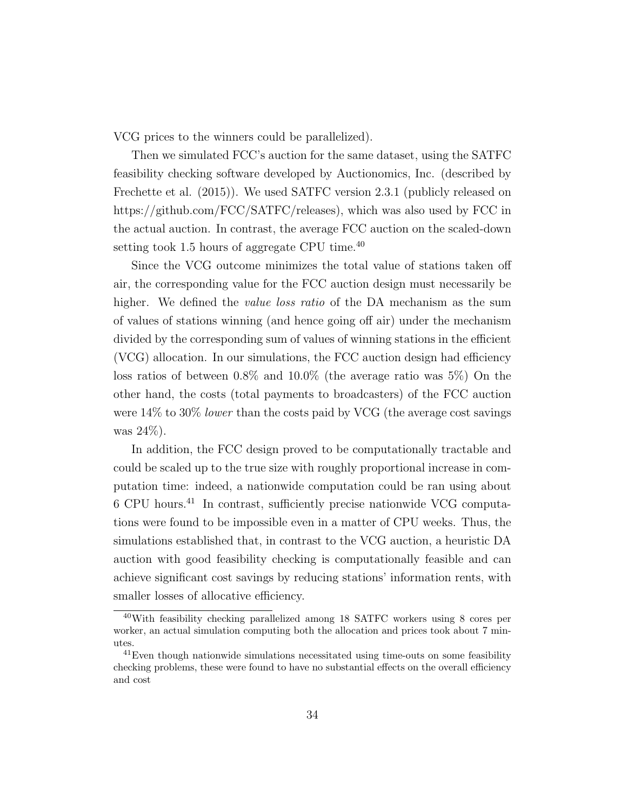VCG prices to the winners could be parallelized).

Then we simulated FCC's auction for the same dataset, using the SATFC feasibility checking software developed by Auctionomics, Inc. (described by Frechette et al. (2015)). We used SATFC version 2.3.1 (publicly released on https://github.com/FCC/SATFC/releases), which was also used by FCC in the actual auction. In contrast, the average FCC auction on the scaled-down setting took 1.5 hours of aggregate CPU time.<sup>40</sup>

Since the VCG outcome minimizes the total value of stations taken off air, the corresponding value for the FCC auction design must necessarily be higher. We defined the *value loss ratio* of the DA mechanism as the sum of values of stations winning (and hence going off air) under the mechanism divided by the corresponding sum of values of winning stations in the efficient (VCG) allocation. In our simulations, the FCC auction design had efficiency loss ratios of between 0.8% and 10.0% (the average ratio was 5%) On the other hand, the costs (total payments to broadcasters) of the FCC auction were  $14\%$  to  $30\%$  lower than the costs paid by VCG (the average cost savings was 24%).

In addition, the FCC design proved to be computationally tractable and could be scaled up to the true size with roughly proportional increase in computation time: indeed, a nationwide computation could be ran using about 6 CPU hours.<sup>41</sup> In contrast, sufficiently precise nationwide VCG computations were found to be impossible even in a matter of CPU weeks. Thus, the simulations established that, in contrast to the VCG auction, a heuristic DA auction with good feasibility checking is computationally feasible and can achieve significant cost savings by reducing stations' information rents, with smaller losses of allocative efficiency.

<sup>40</sup>With feasibility checking parallelized among 18 SATFC workers using 8 cores per worker, an actual simulation computing both the allocation and prices took about 7 minutes.

<sup>&</sup>lt;sup>41</sup>Even though nationwide simulations necessitated using time-outs on some feasibility checking problems, these were found to have no substantial effects on the overall efficiency and cost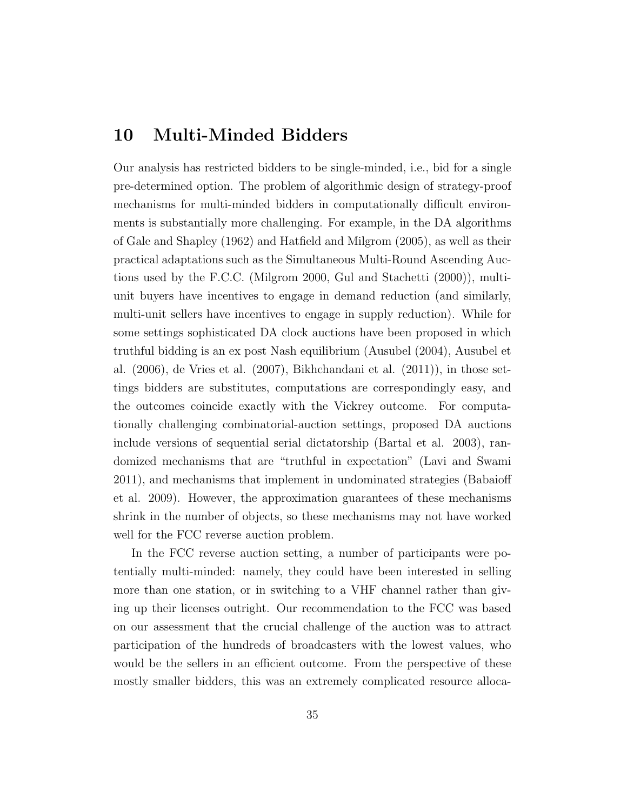#### 10 Multi-Minded Bidders

Our analysis has restricted bidders to be single-minded, i.e., bid for a single pre-determined option. The problem of algorithmic design of strategy-proof mechanisms for multi-minded bidders in computationally difficult environments is substantially more challenging. For example, in the DA algorithms of Gale and Shapley (1962) and Hatfield and Milgrom (2005), as well as their practical adaptations such as the Simultaneous Multi-Round Ascending Auctions used by the F.C.C. (Milgrom 2000, Gul and Stachetti (2000)), multiunit buyers have incentives to engage in demand reduction (and similarly, multi-unit sellers have incentives to engage in supply reduction). While for some settings sophisticated DA clock auctions have been proposed in which truthful bidding is an ex post Nash equilibrium (Ausubel (2004), Ausubel et al. (2006), de Vries et al. (2007), Bikhchandani et al. (2011)), in those settings bidders are substitutes, computations are correspondingly easy, and the outcomes coincide exactly with the Vickrey outcome. For computationally challenging combinatorial-auction settings, proposed DA auctions include versions of sequential serial dictatorship (Bartal et al. 2003), randomized mechanisms that are "truthful in expectation" (Lavi and Swami 2011), and mechanisms that implement in undominated strategies (Babaioff et al. 2009). However, the approximation guarantees of these mechanisms shrink in the number of objects, so these mechanisms may not have worked well for the FCC reverse auction problem.

In the FCC reverse auction setting, a number of participants were potentially multi-minded: namely, they could have been interested in selling more than one station, or in switching to a VHF channel rather than giving up their licenses outright. Our recommendation to the FCC was based on our assessment that the crucial challenge of the auction was to attract participation of the hundreds of broadcasters with the lowest values, who would be the sellers in an efficient outcome. From the perspective of these mostly smaller bidders, this was an extremely complicated resource alloca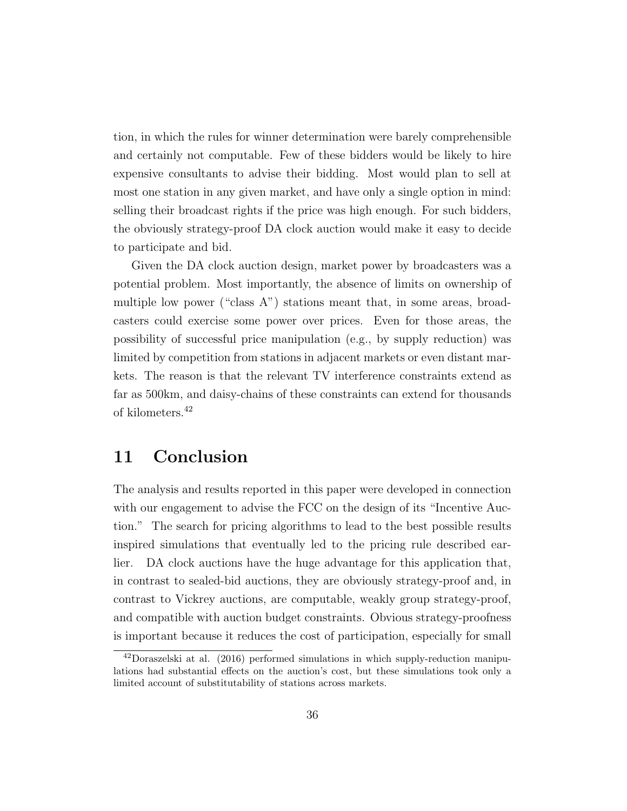tion, in which the rules for winner determination were barely comprehensible and certainly not computable. Few of these bidders would be likely to hire expensive consultants to advise their bidding. Most would plan to sell at most one station in any given market, and have only a single option in mind: selling their broadcast rights if the price was high enough. For such bidders, the obviously strategy-proof DA clock auction would make it easy to decide to participate and bid.

Given the DA clock auction design, market power by broadcasters was a potential problem. Most importantly, the absence of limits on ownership of multiple low power ("class A") stations meant that, in some areas, broadcasters could exercise some power over prices. Even for those areas, the possibility of successful price manipulation (e.g., by supply reduction) was limited by competition from stations in adjacent markets or even distant markets. The reason is that the relevant TV interference constraints extend as far as 500km, and daisy-chains of these constraints can extend for thousands of kilometers.<sup>42</sup>

### 11 Conclusion

The analysis and results reported in this paper were developed in connection with our engagement to advise the FCC on the design of its "Incentive Auction." The search for pricing algorithms to lead to the best possible results inspired simulations that eventually led to the pricing rule described earlier. DA clock auctions have the huge advantage for this application that, in contrast to sealed-bid auctions, they are obviously strategy-proof and, in contrast to Vickrey auctions, are computable, weakly group strategy-proof, and compatible with auction budget constraints. Obvious strategy-proofness is important because it reduces the cost of participation, especially for small

<sup>42</sup>Doraszelski at al. (2016) performed simulations in which supply-reduction manipulations had substantial effects on the auction's cost, but these simulations took only a limited account of substitutability of stations across markets.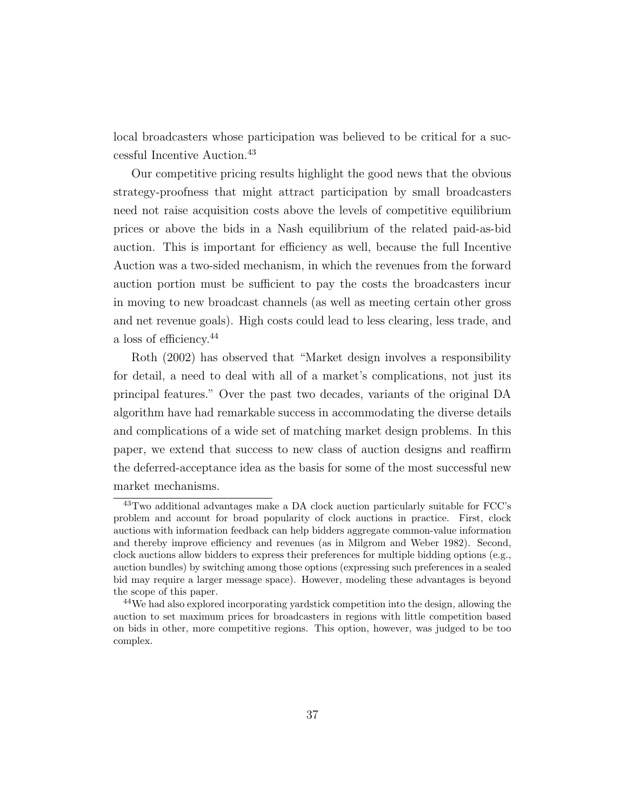local broadcasters whose participation was believed to be critical for a successful Incentive Auction.<sup>43</sup>

Our competitive pricing results highlight the good news that the obvious strategy-proofness that might attract participation by small broadcasters need not raise acquisition costs above the levels of competitive equilibrium prices or above the bids in a Nash equilibrium of the related paid-as-bid auction. This is important for efficiency as well, because the full Incentive Auction was a two-sided mechanism, in which the revenues from the forward auction portion must be sufficient to pay the costs the broadcasters incur in moving to new broadcast channels (as well as meeting certain other gross and net revenue goals). High costs could lead to less clearing, less trade, and a loss of efficiency.<sup>44</sup>

Roth (2002) has observed that "Market design involves a responsibility for detail, a need to deal with all of a market's complications, not just its principal features." Over the past two decades, variants of the original DA algorithm have had remarkable success in accommodating the diverse details and complications of a wide set of matching market design problems. In this paper, we extend that success to new class of auction designs and reaffirm the deferred-acceptance idea as the basis for some of the most successful new market mechanisms.

<sup>43</sup>Two additional advantages make a DA clock auction particularly suitable for FCC's problem and account for broad popularity of clock auctions in practice. First, clock auctions with information feedback can help bidders aggregate common-value information and thereby improve efficiency and revenues (as in Milgrom and Weber 1982). Second, clock auctions allow bidders to express their preferences for multiple bidding options (e.g., auction bundles) by switching among those options (expressing such preferences in a sealed bid may require a larger message space). However, modeling these advantages is beyond the scope of this paper.

<sup>44</sup>We had also explored incorporating yardstick competition into the design, allowing the auction to set maximum prices for broadcasters in regions with little competition based on bids in other, more competitive regions. This option, however, was judged to be too complex.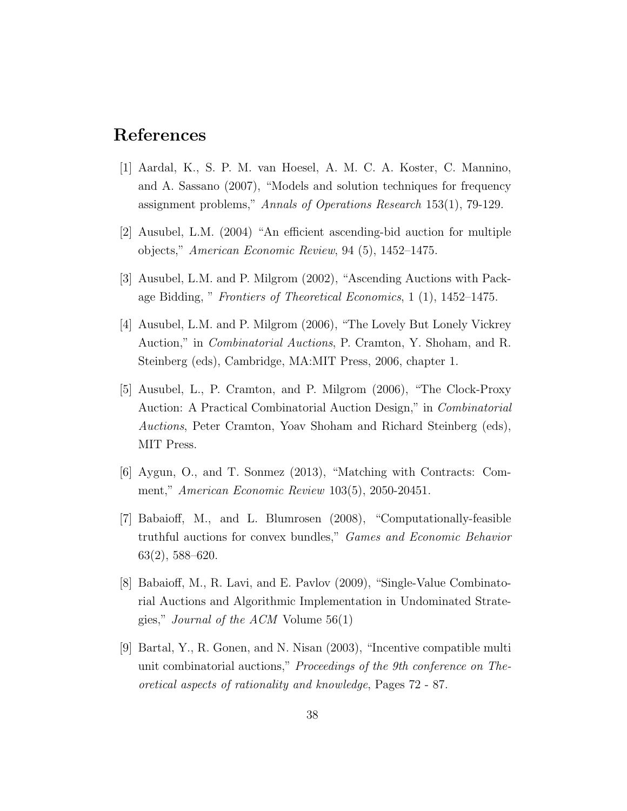#### References

- [1] Aardal, K., S. P. M. van Hoesel, A. M. C. A. Koster, C. Mannino, and A. Sassano (2007), "Models and solution techniques for frequency assignment problems," Annals of Operations Research 153(1), 79-129.
- [2] Ausubel, L.M. (2004) "An efficient ascending-bid auction for multiple objects," American Economic Review, 94 (5), 1452–1475.
- [3] Ausubel, L.M. and P. Milgrom (2002), "Ascending Auctions with Package Bidding, " Frontiers of Theoretical Economics, 1 (1), 1452–1475.
- [4] Ausubel, L.M. and P. Milgrom (2006), "The Lovely But Lonely Vickrey Auction," in Combinatorial Auctions, P. Cramton, Y. Shoham, and R. Steinberg (eds), Cambridge, MA:MIT Press, 2006, chapter 1.
- [5] Ausubel, L., P. Cramton, and P. Milgrom (2006), "The Clock-Proxy Auction: A Practical Combinatorial Auction Design," in Combinatorial Auctions, Peter Cramton, Yoav Shoham and Richard Steinberg (eds), MIT Press.
- [6] Aygun, O., and T. Sonmez (2013), "Matching with Contracts: Comment," American Economic Review 103(5), 2050-20451.
- [7] Babaioff, M., and L. Blumrosen (2008), "Computationally-feasible truthful auctions for convex bundles," Games and Economic Behavior 63(2), 588–620.
- [8] Babaioff, M., R. Lavi, and E. Pavlov (2009), "Single-Value Combinatorial Auctions and Algorithmic Implementation in Undominated Strategies," Journal of the ACM Volume 56(1)
- [9] Bartal, Y., R. Gonen, and N. Nisan (2003), "Incentive compatible multi unit combinatorial auctions," Proceedings of the 9th conference on Theoretical aspects of rationality and knowledge, Pages 72 - 87.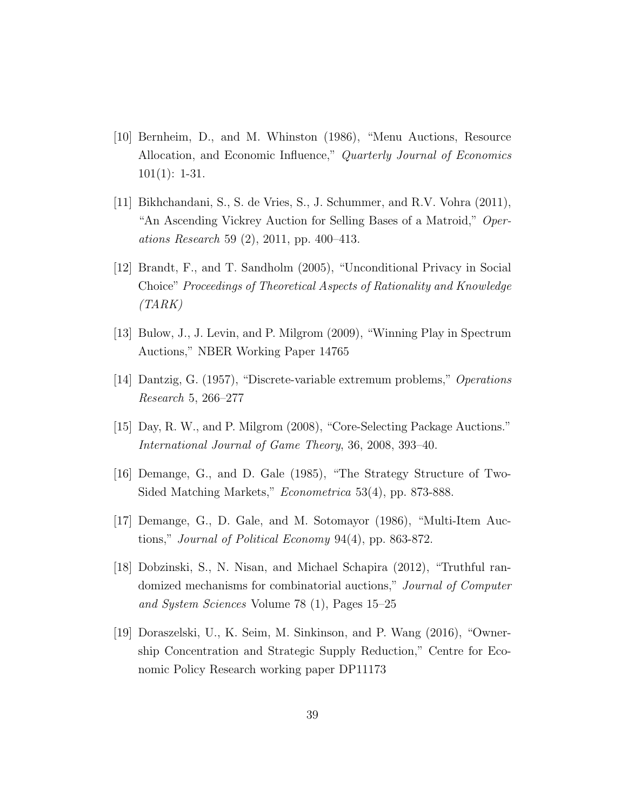- [10] Bernheim, D., and M. Whinston (1986), "Menu Auctions, Resource Allocation, and Economic Influence," Quarterly Journal of Economics 101(1): 1-31.
- [11] Bikhchandani, S., S. de Vries, S., J. Schummer, and R.V. Vohra (2011), "An Ascending Vickrey Auction for Selling Bases of a Matroid," Operations Research 59 (2), 2011, pp. 400–413.
- [12] Brandt, F., and T. Sandholm (2005), "Unconditional Privacy in Social Choice" Proceedings of Theoretical Aspects of Rationality and Knowledge  $(TARK)$
- [13] Bulow, J., J. Levin, and P. Milgrom (2009), "Winning Play in Spectrum Auctions," NBER Working Paper 14765
- [14] Dantzig, G. (1957), "Discrete-variable extremum problems," Operations Research 5, 266–277
- [15] Day, R. W., and P. Milgrom (2008), "Core-Selecting Package Auctions." International Journal of Game Theory, 36, 2008, 393–40.
- [16] Demange, G., and D. Gale (1985), "The Strategy Structure of Two-Sided Matching Markets," Econometrica 53(4), pp. 873-888.
- [17] Demange, G., D. Gale, and M. Sotomayor (1986), "Multi-Item Auctions," Journal of Political Economy 94(4), pp. 863-872.
- [18] Dobzinski, S., N. Nisan, and Michael Schapira (2012), "Truthful randomized mechanisms for combinatorial auctions," Journal of Computer and System Sciences Volume 78 (1), Pages 15–25
- [19] Doraszelski, U., K. Seim, M. Sinkinson, and P. Wang (2016), "Ownership Concentration and Strategic Supply Reduction," Centre for Economic Policy Research working paper DP11173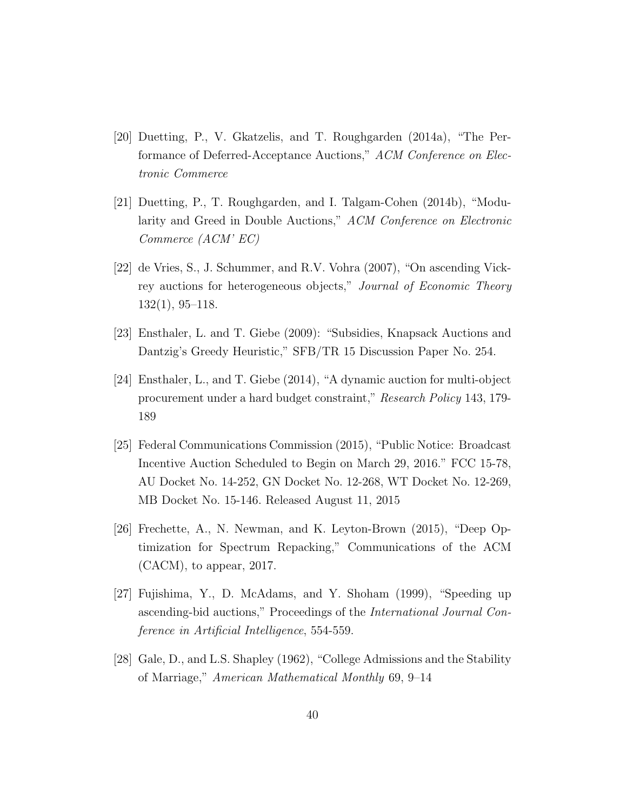- [20] Duetting, P., V. Gkatzelis, and T. Roughgarden (2014a), "The Performance of Deferred-Acceptance Auctions," ACM Conference on Electronic Commerce
- [21] Duetting, P., T. Roughgarden, and I. Talgam-Cohen (2014b), "Modularity and Greed in Double Auctions," ACM Conference on Electronic Commerce (ACM' EC)
- [22] de Vries, S., J. Schummer, and R.V. Vohra (2007), "On ascending Vickrey auctions for heterogeneous objects," Journal of Economic Theory 132(1), 95–118.
- [23] Ensthaler, L. and T. Giebe (2009): "Subsidies, Knapsack Auctions and Dantzig's Greedy Heuristic," SFB/TR 15 Discussion Paper No. 254.
- [24] Ensthaler, L., and T. Giebe (2014), "A dynamic auction for multi-object procurement under a hard budget constraint," Research Policy 143, 179- 189
- [25] Federal Communications Commission (2015), "Public Notice: Broadcast Incentive Auction Scheduled to Begin on March 29, 2016." FCC 15-78, AU Docket No. 14-252, GN Docket No. 12-268, WT Docket No. 12-269, MB Docket No. 15-146. Released August 11, 2015
- [26] Frechette, A., N. Newman, and K. Leyton-Brown (2015), "Deep Optimization for Spectrum Repacking," Communications of the ACM (CACM), to appear, 2017.
- [27] Fujishima, Y., D. McAdams, and Y. Shoham (1999), "Speeding up ascending-bid auctions," Proceedings of the International Journal Conference in Artificial Intelligence, 554-559.
- [28] Gale, D., and L.S. Shapley (1962), "College Admissions and the Stability of Marriage," American Mathematical Monthly 69, 9–14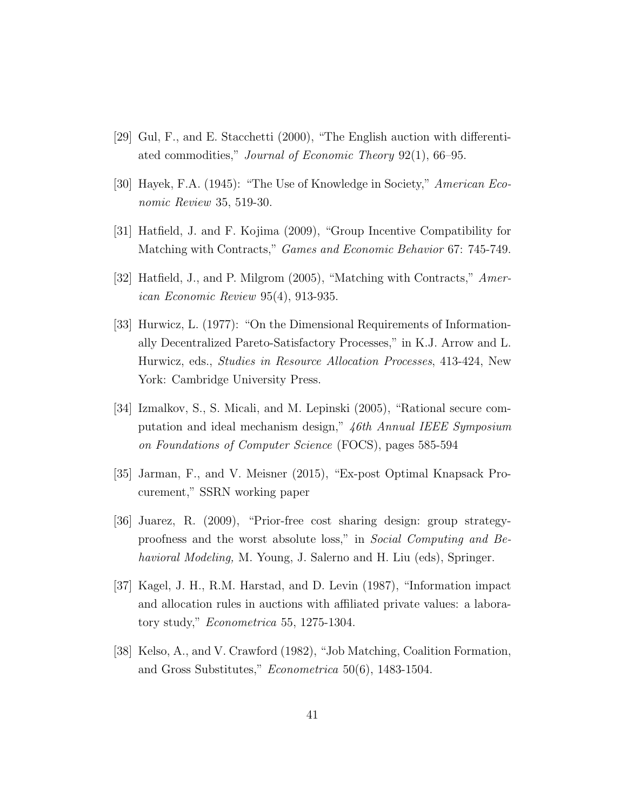- [29] Gul, F., and E. Stacchetti (2000), "The English auction with differentiated commodities," Journal of Economic Theory 92(1), 66–95.
- [30] Hayek, F.A. (1945): "The Use of Knowledge in Society," American Economic Review 35, 519-30.
- [31] Hatfield, J. and F. Kojima (2009), "Group Incentive Compatibility for Matching with Contracts," Games and Economic Behavior 67: 745-749.
- [32] Hatfield, J., and P. Milgrom (2005), "Matching with Contracts," American Economic Review 95(4), 913-935.
- [33] Hurwicz, L. (1977): "On the Dimensional Requirements of Informationally Decentralized Pareto-Satisfactory Processes," in K.J. Arrow and L. Hurwicz, eds., Studies in Resource Allocation Processes, 413-424, New York: Cambridge University Press.
- [34] Izmalkov, S., S. Micali, and M. Lepinski (2005), "Rational secure computation and ideal mechanism design," 46th Annual IEEE Symposium on Foundations of Computer Science (FOCS), pages 585-594
- [35] Jarman, F., and V. Meisner (2015), "Ex-post Optimal Knapsack Procurement," SSRN working paper
- [36] Juarez, R. (2009), "Prior-free cost sharing design: group strategyproofness and the worst absolute loss," in Social Computing and Behavioral Modeling, M. Young, J. Salerno and H. Liu (eds), Springer.
- [37] Kagel, J. H., R.M. Harstad, and D. Levin (1987), "Information impact and allocation rules in auctions with affiliated private values: a laboratory study," Econometrica 55, 1275-1304.
- [38] Kelso, A., and V. Crawford (1982), "Job Matching, Coalition Formation, and Gross Substitutes," Econometrica 50(6), 1483-1504.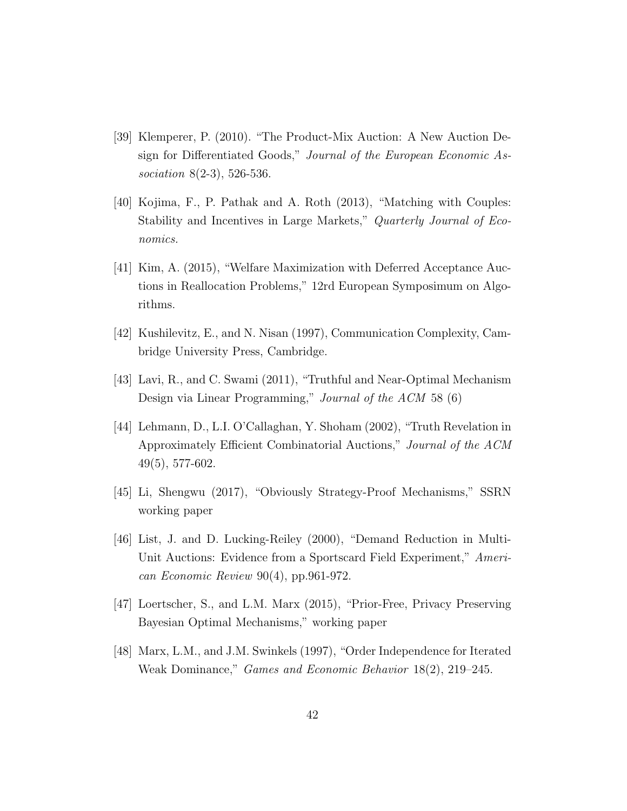- [39] Klemperer, P. (2010). "The Product-Mix Auction: A New Auction Design for Differentiated Goods," Journal of the European Economic Association 8(2-3), 526-536.
- [40] Kojima, F., P. Pathak and A. Roth (2013), "Matching with Couples: Stability and Incentives in Large Markets," Quarterly Journal of Economics.
- [41] Kim, A. (2015), "Welfare Maximization with Deferred Acceptance Auctions in Reallocation Problems," 12rd European Symposimum on Algorithms.
- [42] Kushilevitz, E., and N. Nisan (1997), Communication Complexity, Cambridge University Press, Cambridge.
- [43] Lavi, R., and C. Swami (2011), "Truthful and Near-Optimal Mechanism Design via Linear Programming," Journal of the ACM 58 (6)
- [44] Lehmann, D., L.I. O'Callaghan, Y. Shoham (2002), "Truth Revelation in Approximately Efficient Combinatorial Auctions," Journal of the ACM 49(5), 577-602.
- [45] Li, Shengwu (2017), "Obviously Strategy-Proof Mechanisms," SSRN working paper
- [46] List, J. and D. Lucking-Reiley (2000), "Demand Reduction in Multi-Unit Auctions: Evidence from a Sportscard Field Experiment," American Economic Review 90(4), pp.961-972.
- [47] Loertscher, S., and L.M. Marx (2015), "Prior-Free, Privacy Preserving Bayesian Optimal Mechanisms," working paper
- [48] Marx, L.M., and J.M. Swinkels (1997), "Order Independence for Iterated Weak Dominance," Games and Economic Behavior 18(2), 219–245.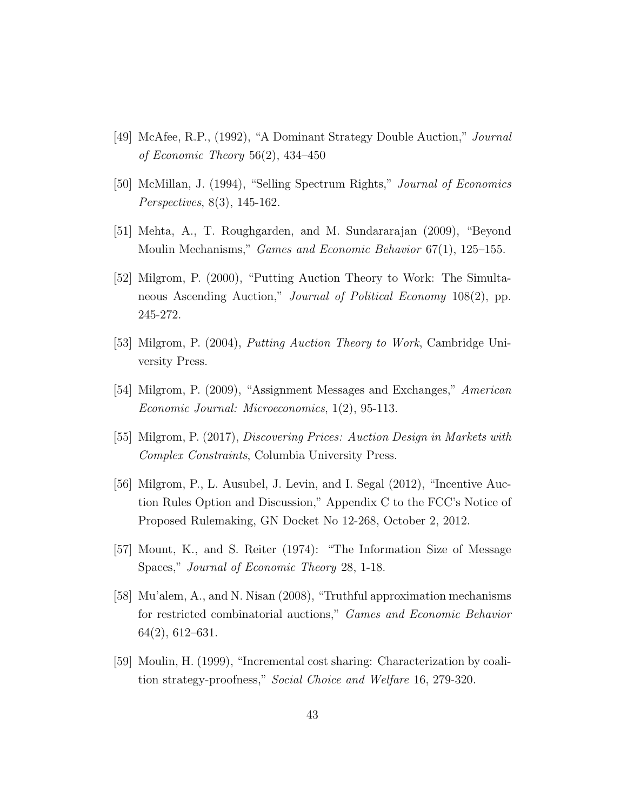- [49] McAfee, R.P., (1992), "A Dominant Strategy Double Auction," Journal of Economic Theory 56(2), 434–450
- [50] McMillan, J. (1994), "Selling Spectrum Rights," Journal of Economics Perspectives, 8(3), 145-162.
- [51] Mehta, A., T. Roughgarden, and M. Sundararajan (2009), "Beyond Moulin Mechanisms," *Games and Economic Behavior* 67(1), 125–155.
- [52] Milgrom, P. (2000), "Putting Auction Theory to Work: The Simultaneous Ascending Auction," Journal of Political Economy 108(2), pp. 245-272.
- [53] Milgrom, P. (2004), Putting Auction Theory to Work, Cambridge University Press.
- [54] Milgrom, P. (2009), "Assignment Messages and Exchanges," American Economic Journal: Microeconomics, 1(2), 95-113.
- [55] Milgrom, P. (2017), Discovering Prices: Auction Design in Markets with Complex Constraints, Columbia University Press.
- [56] Milgrom, P., L. Ausubel, J. Levin, and I. Segal (2012), "Incentive Auction Rules Option and Discussion," Appendix C to the FCC's Notice of Proposed Rulemaking, GN Docket No 12-268, October 2, 2012.
- [57] Mount, K., and S. Reiter (1974): "The Information Size of Message Spaces," Journal of Economic Theory 28, 1-18.
- [58] Mu'alem, A., and N. Nisan (2008), "Truthful approximation mechanisms for restricted combinatorial auctions," Games and Economic Behavior 64(2), 612–631.
- [59] Moulin, H. (1999), "Incremental cost sharing: Characterization by coalition strategy-proofness," Social Choice and Welfare 16, 279-320.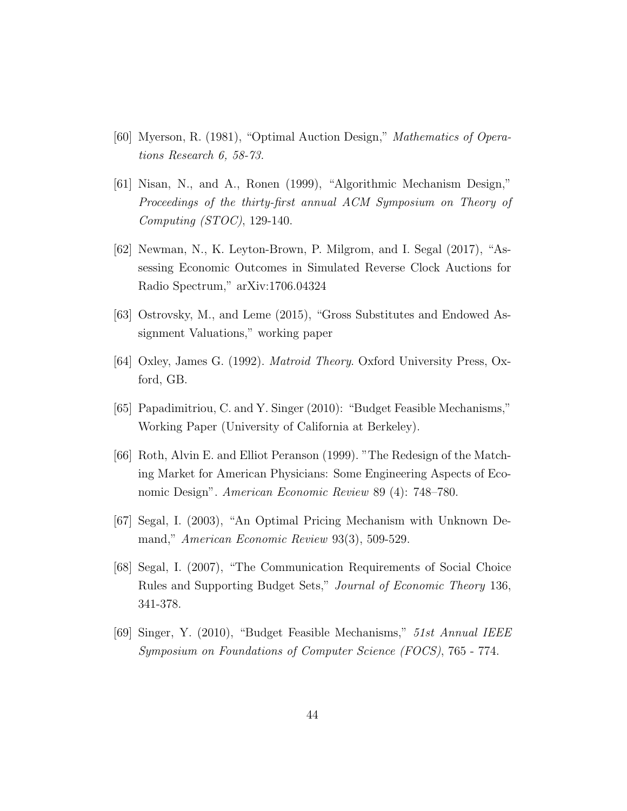- [60] Myerson, R. (1981), "Optimal Auction Design," Mathematics of Operations Research 6, 58-73.
- [61] Nisan, N., and A., Ronen (1999), "Algorithmic Mechanism Design," Proceedings of the thirty-first annual ACM Symposium on Theory of Computing (STOC), 129-140.
- [62] Newman, N., K. Leyton-Brown, P. Milgrom, and I. Segal (2017), "Assessing Economic Outcomes in Simulated Reverse Clock Auctions for Radio Spectrum," arXiv:1706.04324
- [63] Ostrovsky, M., and Leme (2015), "Gross Substitutes and Endowed Assignment Valuations," working paper
- [64] Oxley, James G. (1992). Matroid Theory. Oxford University Press, Oxford, GB.
- [65] Papadimitriou, C. and Y. Singer (2010): "Budget Feasible Mechanisms," Working Paper (University of California at Berkeley).
- [66] Roth, Alvin E. and Elliot Peranson (1999). "The Redesign of the Matching Market for American Physicians: Some Engineering Aspects of Economic Design". American Economic Review 89 (4): 748–780.
- [67] Segal, I. (2003), "An Optimal Pricing Mechanism with Unknown Demand," American Economic Review 93(3), 509-529.
- [68] Segal, I. (2007), "The Communication Requirements of Social Choice Rules and Supporting Budget Sets," Journal of Economic Theory 136, 341-378.
- [69] Singer, Y. (2010), "Budget Feasible Mechanisms," 51st Annual IEEE Symposium on Foundations of Computer Science (FOCS), 765 - 774.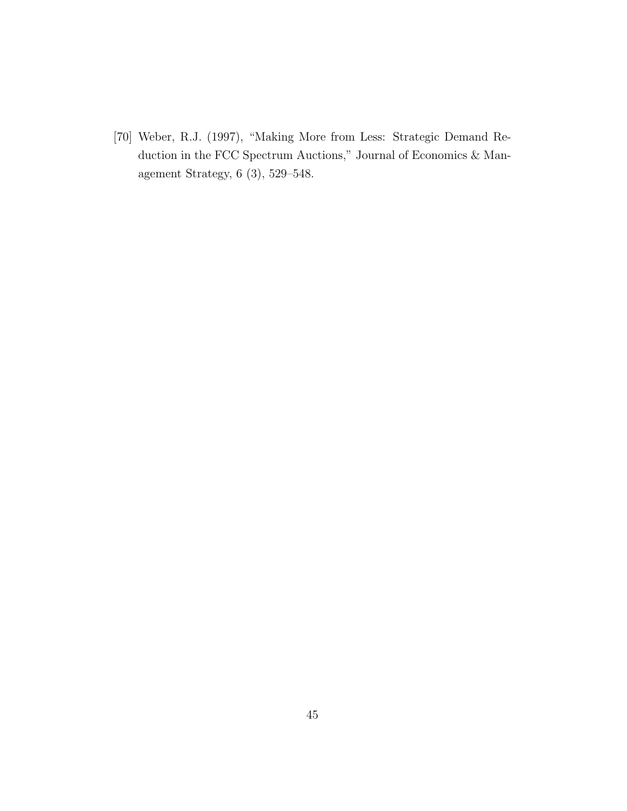[70] Weber, R.J. (1997), "Making More from Less: Strategic Demand Reduction in the FCC Spectrum Auctions," Journal of Economics & Management Strategy, 6 (3), 529–548.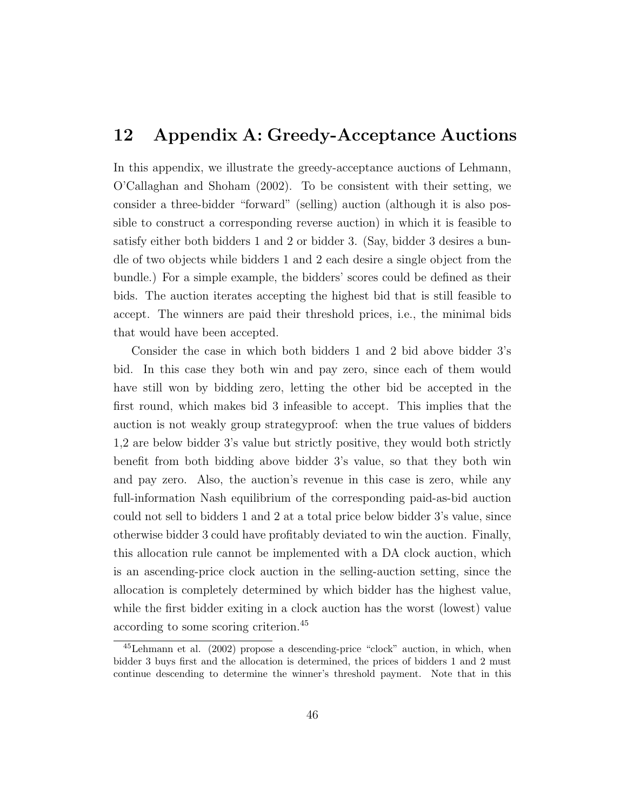#### 12 Appendix A: Greedy-Acceptance Auctions

In this appendix, we illustrate the greedy-acceptance auctions of Lehmann, O'Callaghan and Shoham (2002). To be consistent with their setting, we consider a three-bidder "forward" (selling) auction (although it is also possible to construct a corresponding reverse auction) in which it is feasible to satisfy either both bidders 1 and 2 or bidder 3. (Say, bidder 3 desires a bundle of two objects while bidders 1 and 2 each desire a single object from the bundle.) For a simple example, the bidders' scores could be defined as their bids. The auction iterates accepting the highest bid that is still feasible to accept. The winners are paid their threshold prices, i.e., the minimal bids that would have been accepted.

Consider the case in which both bidders 1 and 2 bid above bidder 3's bid. In this case they both win and pay zero, since each of them would have still won by bidding zero, letting the other bid be accepted in the first round, which makes bid 3 infeasible to accept. This implies that the auction is not weakly group strategyproof: when the true values of bidders 1,2 are below bidder 3's value but strictly positive, they would both strictly benefit from both bidding above bidder 3's value, so that they both win and pay zero. Also, the auction's revenue in this case is zero, while any full-information Nash equilibrium of the corresponding paid-as-bid auction could not sell to bidders 1 and 2 at a total price below bidder 3's value, since otherwise bidder 3 could have profitably deviated to win the auction. Finally, this allocation rule cannot be implemented with a DA clock auction, which is an ascending-price clock auction in the selling-auction setting, since the allocation is completely determined by which bidder has the highest value, while the first bidder exiting in a clock auction has the worst (lowest) value according to some scoring criterion.<sup>45</sup>

<sup>45</sup>Lehmann et al. (2002) propose a descending-price "clock" auction, in which, when bidder 3 buys first and the allocation is determined, the prices of bidders 1 and 2 must continue descending to determine the winner's threshold payment. Note that in this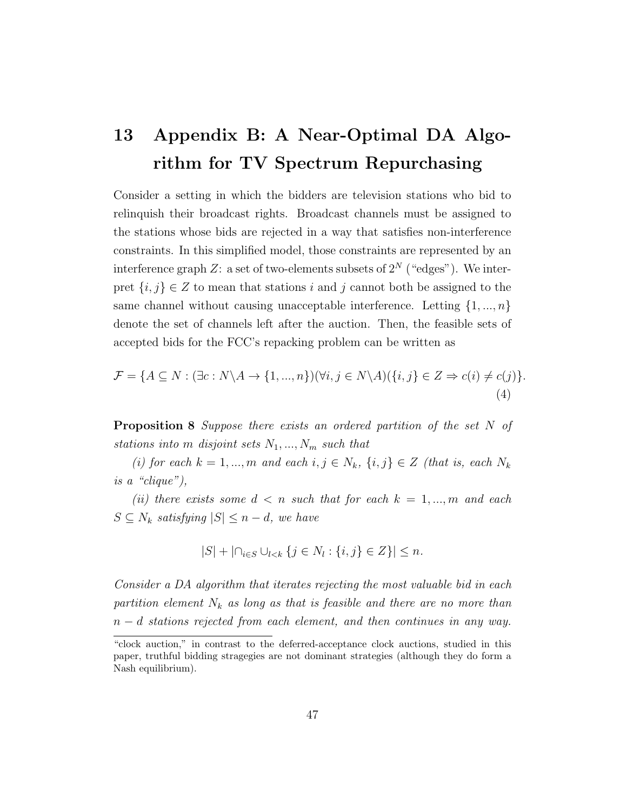## 13 Appendix B: A Near-Optimal DA Algorithm for TV Spectrum Repurchasing

Consider a setting in which the bidders are television stations who bid to relinquish their broadcast rights. Broadcast channels must be assigned to the stations whose bids are rejected in a way that satisfies non-interference constraints. In this simplified model, those constraints are represented by an interference graph Z: a set of two-elements subsets of  $2^N$  ("edges"). We interpret  $\{i, j\} \in Z$  to mean that stations i and j cannot both be assigned to the same channel without causing unacceptable interference. Letting  $\{1, ..., n\}$ denote the set of channels left after the auction. Then, the feasible sets of accepted bids for the FCC's repacking problem can be written as

$$
\mathcal{F} = \{ A \subseteq N : (\exists c : N \setminus A \to \{1, ..., n\}) (\forall i, j \in N \setminus A) (\{i, j\} \in Z \Rightarrow c(i) \neq c(j)) \}.
$$
\n
$$
(4)
$$

**Proposition 8** Suppose there exists an ordered partition of the set  $N$  of stations into m disjoint sets  $N_1, ..., N_m$  such that

(i) for each  $k = 1, ..., m$  and each  $i, j \in N_k$ ,  $\{i, j\} \in Z$  (that is, each  $N_k$ ) is a "clique"),

(ii) there exists some  $d \leq n$  such that for each  $k = 1, ..., m$  and each  $S \subseteq N_k$  satisfying  $|S| \leq n-d$ , we have

$$
|S| + |\cap_{i \in S} \cup_{l < k} \{ j \in N_l : \{ i, j \} \in Z \} | \le n.
$$

Consider a DA algorithm that iterates rejecting the most valuable bid in each partition element  $N_k$  as long as that is feasible and there are no more than  $n - d$  stations rejected from each element, and then continues in any way.

<sup>&</sup>quot;clock auction," in contrast to the deferred-acceptance clock auctions, studied in this paper, truthful bidding stragegies are not dominant strategies (although they do form a Nash equilibrium).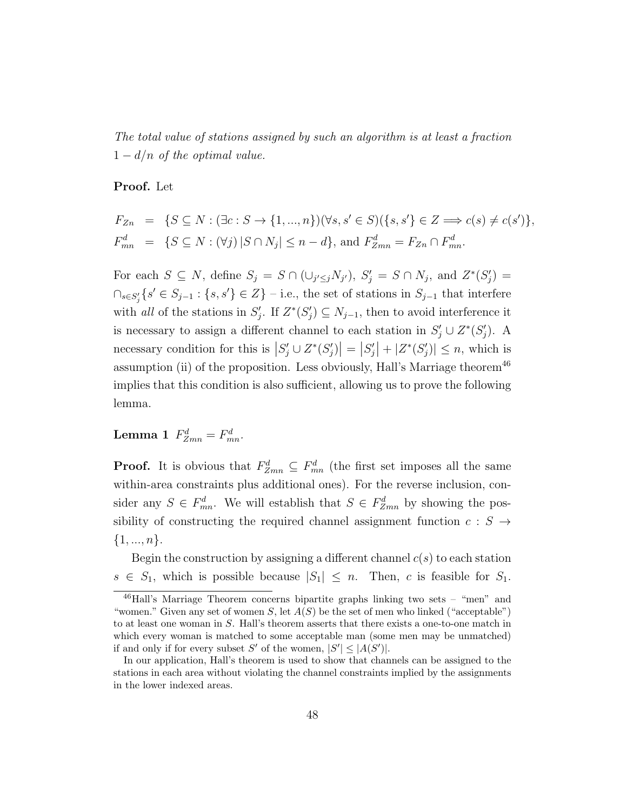The total value of stations assigned by such an algorithm is at least a fraction  $1 - d/n$  of the optimal value.

#### Proof. Let

$$
F_{Zn} = \{ S \subseteq N : (\exists c : S \to \{1, ..., n\}) (\forall s, s' \in S) (\{s, s'\} \in Z \implies c(s) \neq c(s')\},
$$
  

$$
F_{mn}^d = \{ S \subseteq N : (\forall j) | S \cap N_j| \leq n - d \}, \text{ and } F_{Zmn}^d = F_{Zn} \cap F_{mn}^d.
$$

For each  $S \subseteq N$ , define  $S_j = S \cap (\cup_{j' \le j} N_{j'})$ ,  $S'_j = S \cap N_j$ , and  $Z^*(S'_j) =$  $\bigcap_{s\in S'_{j}}\{s'\in S_{j-1}:\{s,s'\}\in Z\}$  – i.e., the set of stations in  $S_{j-1}$  that interfere with all of the stations in  $S'_j$ . If  $Z^*(S'_j) \subseteq N_{j-1}$ , then to avoid interference it is necessary to assign a different channel to each station in  $S'_j \cup Z^*(S'_j)$ . A necessary condition for this is  $|S'_j \cup Z^*(S'_j)| = |S'_j| + |Z^*(S'_j)| \leq n$ , which is assumption (ii) of the proposition. Less obviously, Hall's Marriage theorem<sup>46</sup> implies that this condition is also sufficient, allowing us to prove the following lemma.

Lemma 1  $F_{Zmn}^d = F_{mn}^d$ .

**Proof.** It is obvious that  $F_{Zmn}^d \subseteq F_{mn}^d$  (the first set imposes all the same within-area constraints plus additional ones). For the reverse inclusion, consider any  $S \in F_{mn}^d$ . We will establish that  $S \in F_{Zmn}^d$  by showing the possibility of constructing the required channel assignment function  $c : S \rightarrow$  $\{1, ..., n\}.$ 

Begin the construction by assigning a different channel  $c(s)$  to each station  $s \in S_1$ , which is possible because  $|S_1| \leq n$ . Then, c is feasible for  $S_1$ .

<sup>46</sup>Hall's Marriage Theorem concerns bipartite graphs linking two sets – "men" and "women." Given any set of women  $S$ , let  $A(S)$  be the set of men who linked ("acceptable") to at least one woman in S. Hall's theorem asserts that there exists a one-to-one match in which every woman is matched to some acceptable man (some men may be unmatched) if and only if for every subset S' of the women,  $|S'| \leq |A(S')|$ .

In our application, Hall's theorem is used to show that channels can be assigned to the stations in each area without violating the channel constraints implied by the assignments in the lower indexed areas.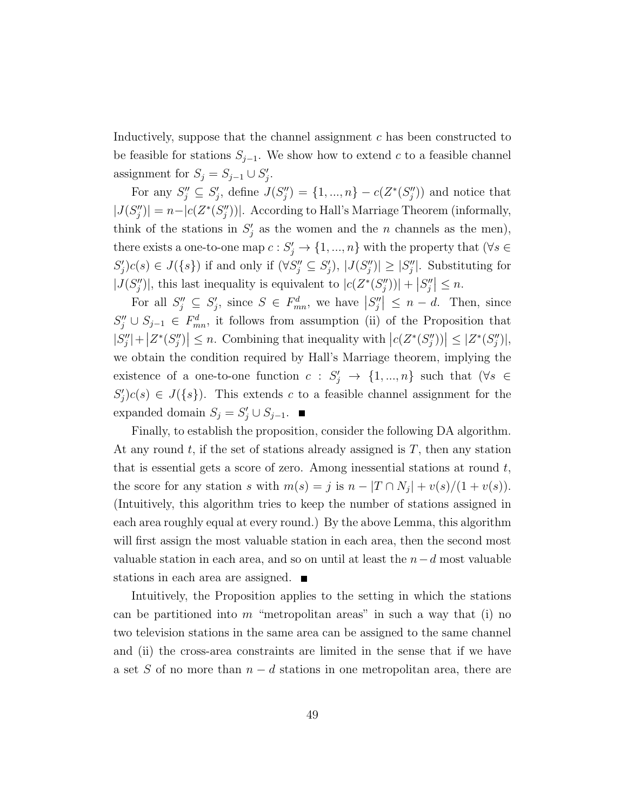Inductively, suppose that the channel assignment c has been constructed to be feasible for stations  $S_{j-1}$ . We show how to extend c to a feasible channel assignment for  $S_j = S_{j-1} \cup S'_j$ .

For any  $S''_j \subseteq S'_j$ , define  $J(S''_j) = \{1, ..., n\} - c(Z^*(S''_j))$  and notice that  $|J(S_j'')| = n - |c(Z^*(S_j''))|$ . According to Hall's Marriage Theorem (informally, think of the stations in  $S'_j$  as the women and the n channels as the men), there exists a one-to-one map  $c: S'_j \to \{1, ..., n\}$  with the property that  $(\forall s \in$  $S'_j$ ) $c(s) \in J({s})$  if and only if  $(\forall S''_j \subseteq S'_j)$ ,  $|J(S''_j)| \geq |S''_j|$ . Substituting for  $|J(S''_j)|$ , this last inequality is equivalent to  $|c(Z^*(S''_j))| + |S''_j| \leq n$ .

For all  $S''_j \subseteq S'_j$ , since  $S \in F^d_{mn}$ , we have  $|S''_j| \leq n - d$ . Then, since  $S''_j \cup S_{j-1} \in F^d_{mn}$ , it follows from assumption (ii) of the Proposition that  $|S''_j| + |Z^*(S''_j)| \leq n$ . Combining that inequality with  $|c(Z^*(S''_j))| \leq |Z^*(S''_j)|$ , we obtain the condition required by Hall's Marriage theorem, implying the existence of a one-to-one function  $c : S'_j \to \{1, ..., n\}$  such that  $(\forall s \in$  $S_j'(c(s)) \in J({s}).$  This extends c to a feasible channel assignment for the expanded domain  $S_j = S'_j \cup S_{j-1}$ .

Finally, to establish the proposition, consider the following DA algorithm. At any round  $t$ , if the set of stations already assigned is  $T$ , then any station that is essential gets a score of zero. Among inessential stations at round  $t$ , the score for any station s with  $m(s) = j$  is  $n - |T \cap N_j| + v(s)/(1 + v(s))$ . (Intuitively, this algorithm tries to keep the number of stations assigned in each area roughly equal at every round.) By the above Lemma, this algorithm will first assign the most valuable station in each area, then the second most valuable station in each area, and so on until at least the  $n-d$  most valuable stations in each area are assigned.

Intuitively, the Proposition applies to the setting in which the stations can be partitioned into  $m$  "metropolitan areas" in such a way that (i) no two television stations in the same area can be assigned to the same channel and (ii) the cross-area constraints are limited in the sense that if we have a set S of no more than  $n - d$  stations in one metropolitan area, there are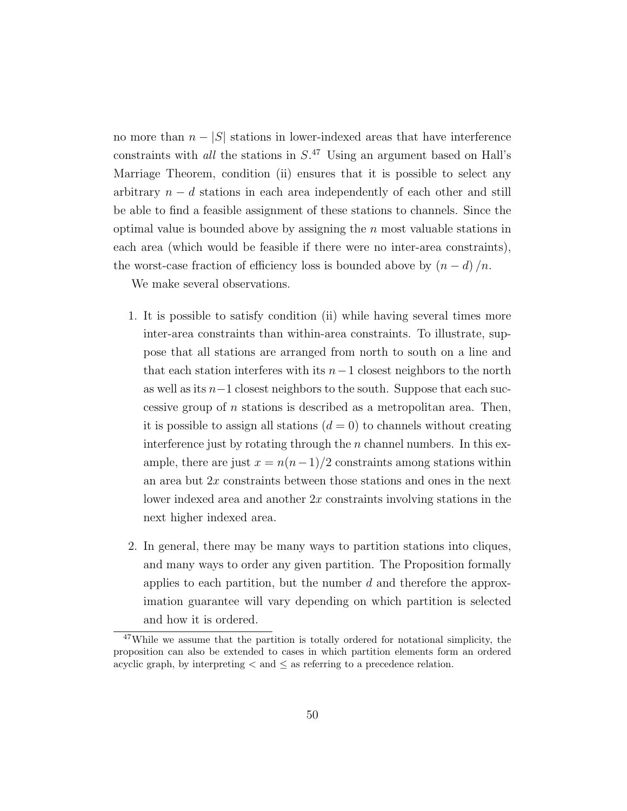no more than  $n - |S|$  stations in lower-indexed areas that have interference constraints with *all* the stations in  $S^{47}$  Using an argument based on Hall's Marriage Theorem, condition (ii) ensures that it is possible to select any arbitrary  $n - d$  stations in each area independently of each other and still be able to find a feasible assignment of these stations to channels. Since the optimal value is bounded above by assigning the  $n$  most valuable stations in each area (which would be feasible if there were no inter-area constraints), the worst-case fraction of efficiency loss is bounded above by  $(n - d) / n$ .

We make several observations.

- 1. It is possible to satisfy condition (ii) while having several times more inter-area constraints than within-area constraints. To illustrate, suppose that all stations are arranged from north to south on a line and that each station interferes with its  $n-1$  closest neighbors to the north as well as its n−1 closest neighbors to the south. Suppose that each successive group of  $n$  stations is described as a metropolitan area. Then, it is possible to assign all stations  $(d = 0)$  to channels without creating interference just by rotating through the  $n$  channel numbers. In this example, there are just  $x = n(n-1)/2$  constraints among stations within an area but  $2x$  constraints between those stations and ones in the next lower indexed area and another 2x constraints involving stations in the next higher indexed area.
- 2. In general, there may be many ways to partition stations into cliques, and many ways to order any given partition. The Proposition formally applies to each partition, but the number d and therefore the approximation guarantee will vary depending on which partition is selected and how it is ordered.

 $47$ While we assume that the partition is totally ordered for notational simplicity, the proposition can also be extended to cases in which partition elements form an ordered acyclic graph, by interpreting  $\lt$  and  $\leq$  as referring to a precedence relation.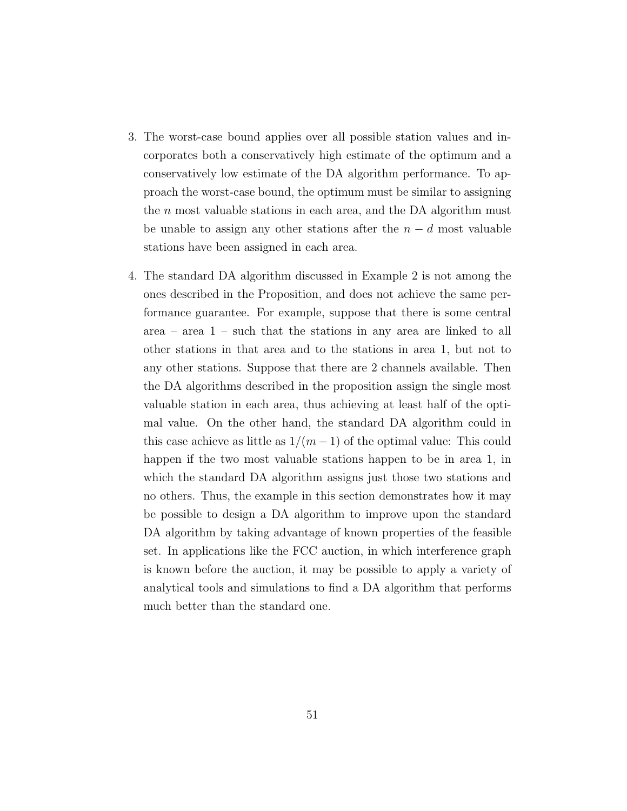- 3. The worst-case bound applies over all possible station values and incorporates both a conservatively high estimate of the optimum and a conservatively low estimate of the DA algorithm performance. To approach the worst-case bound, the optimum must be similar to assigning the  $n$  most valuable stations in each area, and the DA algorithm must be unable to assign any other stations after the  $n - d$  most valuable stations have been assigned in each area.
- 4. The standard DA algorithm discussed in Example 2 is not among the ones described in the Proposition, and does not achieve the same performance guarantee. For example, suppose that there is some central area – area 1 – such that the stations in any area are linked to all other stations in that area and to the stations in area 1, but not to any other stations. Suppose that there are 2 channels available. Then the DA algorithms described in the proposition assign the single most valuable station in each area, thus achieving at least half of the optimal value. On the other hand, the standard DA algorithm could in this case achieve as little as  $1/(m-1)$  of the optimal value: This could happen if the two most valuable stations happen to be in area 1, in which the standard DA algorithm assigns just those two stations and no others. Thus, the example in this section demonstrates how it may be possible to design a DA algorithm to improve upon the standard DA algorithm by taking advantage of known properties of the feasible set. In applications like the FCC auction, in which interference graph is known before the auction, it may be possible to apply a variety of analytical tools and simulations to find a DA algorithm that performs much better than the standard one.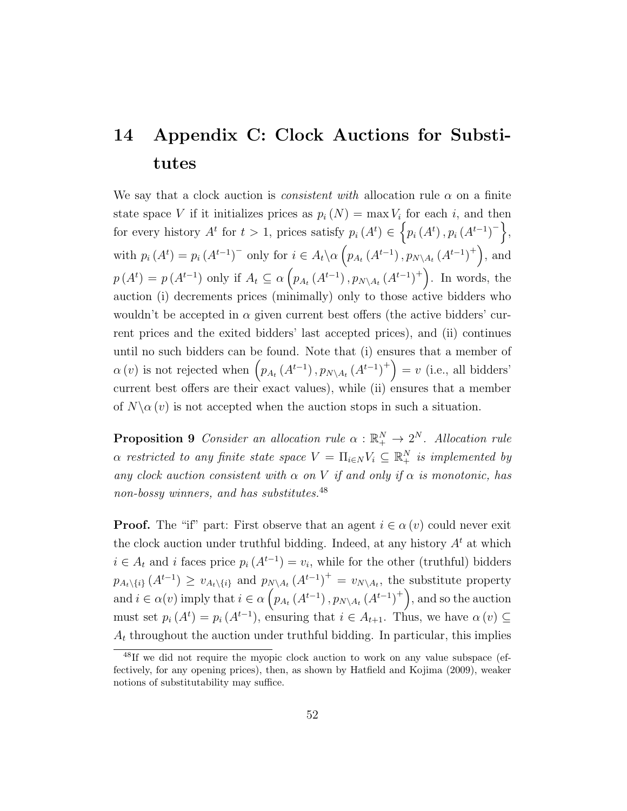### 14 Appendix C: Clock Auctions for Substitutes

We say that a clock auction is *consistent with* allocation rule  $\alpha$  on a finite state space V if it initializes prices as  $p_i(N) = \max V_i$  for each i, and then for every history  $A^t$  for  $t > 1$ , prices satisfy  $p_i(A^t) \in \{p_i(A^t), p_i(A^{t-1})^{-}\},$ with  $p_i(A^t) = p_i(A^{t-1})$ <sup>-</sup> only for  $i \in A_t \setminus \alpha \left( p_{A_t}(A^{t-1}), p_{N \setminus A_t}(A^{t-1})^+ \right)$ , and  $p(A^t) = p(A^{t-1})$  only if  $A_t \subseteq \alpha \left( p_{A_t}(A^{t-1}), p_{N \setminus A_t}(A^{t-1})^+ \right)$ . In words, the auction (i) decrements prices (minimally) only to those active bidders who wouldn't be accepted in  $\alpha$  given current best offers (the active bidders' current prices and the exited bidders' last accepted prices), and (ii) continues until no such bidders can be found. Note that (i) ensures that a member of  $\alpha(v)$  is not rejected when  $\left(p_{A_t}(A^{t-1}), p_{N\setminus A_t}(A^{t-1})^+\right) = v$  (i.e., all bidders' current best offers are their exact values), while (ii) ensures that a member of  $N\backslash \alpha(v)$  is not accepted when the auction stops in such a situation.

**Proposition 9** Consider an allocation rule  $\alpha : \mathbb{R}^N_+ \to 2^N$ . Allocation rule  $\alpha$  restricted to any finite state space  $V = \prod_{i \in N} V_i \subseteq \mathbb{R}_+^N$  is implemented by any clock auction consistent with  $\alpha$  on V if and only if  $\alpha$  is monotonic, has non-bossy winners, and has substitutes.<sup>48</sup>

**Proof.** The "if" part: First observe that an agent  $i \in \alpha(v)$  could never exit the clock auction under truthful bidding. Indeed, at any history  $A<sup>t</sup>$  at which  $i \in A_t$  and i faces price  $p_i(A^{t-1}) = v_i$ , while for the other (truthful) bidders  $p_{A_t \setminus \{i\}}(A^{t-1}) \geq v_{A_t \setminus \{i\}}$  and  $p_{N \setminus A_t}(A^{t-1})^+ = v_{N \setminus A_t}$ , the substitute property and  $i \in \alpha(v)$  imply that  $i \in \alpha\left(p_{A_t}(A^{t-1}), p_{N \setminus A_t}(A^{t-1})^+\right)$ , and so the auction must set  $p_i(A^t) = p_i(A^{t-1})$ , ensuring that  $i \in A_{t+1}$ . Thus, we have  $\alpha(v) \subseteq$  $A_t$  throughout the auction under truthful bidding. In particular, this implies

<sup>48</sup>If we did not require the myopic clock auction to work on any value subspace (effectively, for any opening prices), then, as shown by Hatfield and Kojima (2009), weaker notions of substitutability may suffice.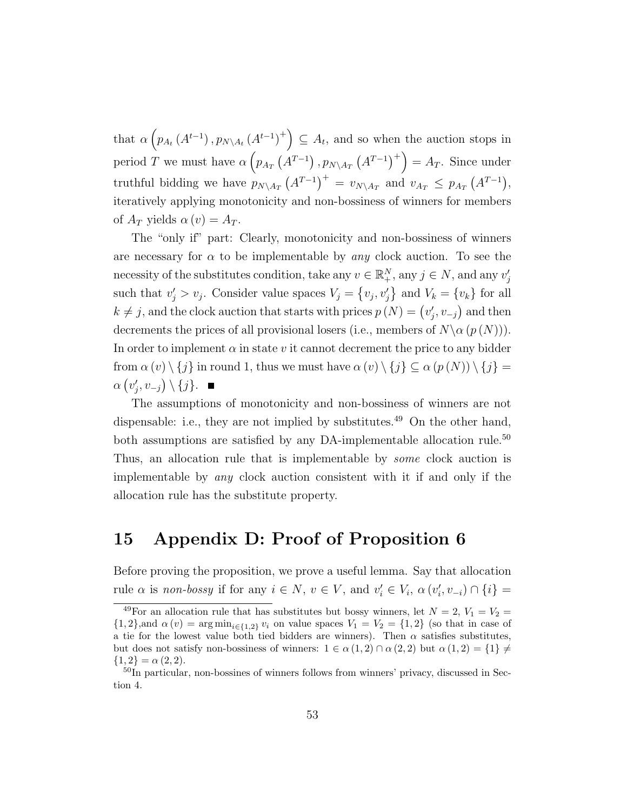that  $\alpha\left(p_{A_t}(A^{t-1}), p_{N\setminus A_t}(A^{t-1})^+\right) \subseteq A_t$ , and so when the auction stops in period T we must have  $\alpha\left(p_{A_T}\left(A^{T-1}\right), p_{N\setminus A_T}\left(A^{T-1}\right)^+\right) = A_T$ . Since under truthful bidding we have  $p_{N\setminus A_T}(A^{T-1})^+ = v_{N\setminus A_T}$  and  $v_{A_T} \leq p_{A_T}(A^{T-1}),$ iteratively applying monotonicity and non-bossiness of winners for members of  $A_T$  yields  $\alpha(v) = A_T$ .

The "only if" part: Clearly, monotonicity and non-bossiness of winners are necessary for  $\alpha$  to be implementable by any clock auction. To see the necessity of the substitutes condition, take any  $v \in \mathbb{R}^N_+$ , any  $j \in N$ , and any  $v'_j$ such that  $v'_j > v_j$ . Consider value spaces  $V_j = \{v_j, v'_j\}$  and  $V_k = \{v_k\}$  for all  $k \neq j$ , and the clock auction that starts with prices  $p(N) = (v'_j, v_{-j})$  and then decrements the prices of all provisional losers (i.e., members of  $N \alpha (p(N))$ ). In order to implement  $\alpha$  in state v it cannot decrement the price to any bidder from  $\alpha(v) \setminus \{j\}$  in round 1, thus we must have  $\alpha(v) \setminus \{j\} \subseteq \alpha(p(N)) \setminus \{j\}$  $\alpha(v'_j, v_{-j}) \setminus \{j\}.$ 

The assumptions of monotonicity and non-bossiness of winners are not dispensable: i.e., they are not implied by substitutes.<sup>49</sup> On the other hand, both assumptions are satisfied by any DA-implementable allocation rule.<sup>50</sup> Thus, an allocation rule that is implementable by *some* clock auction is implementable by any clock auction consistent with it if and only if the allocation rule has the substitute property.

#### 15 Appendix D: Proof of Proposition 6

Before proving the proposition, we prove a useful lemma. Say that allocation rule  $\alpha$  is non-bossy if for any  $i \in N$ ,  $v \in V$ , and  $v'_i \in V_i$ ,  $\alpha(v'_i, v_{-i}) \cap \{i\}$ 

<sup>&</sup>lt;sup>49</sup>For an allocation rule that has substitutes but bossy winners, let  $N = 2$ ,  $V_1 = V_2 =$  ${1, 2}$ ,and  $\alpha(v) = \arg \min_{i \in \{1, 2\}} v_i$  on value spaces  $V_1 = V_2 = \{1, 2\}$  (so that in case of a tie for the lowest value both tied bidders are winners). Then  $\alpha$  satisfies substitutes, but does not satisfy non-bossiness of winners:  $1 \in \alpha(1,2) \cap \alpha(2,2)$  but  $\alpha(1,2) = \{1\} \neq$  ${1,2} = \alpha (2,2).$ 

<sup>&</sup>lt;sup>50</sup>In particular, non-bossines of winners follows from winners' privacy, discussed in Section 4.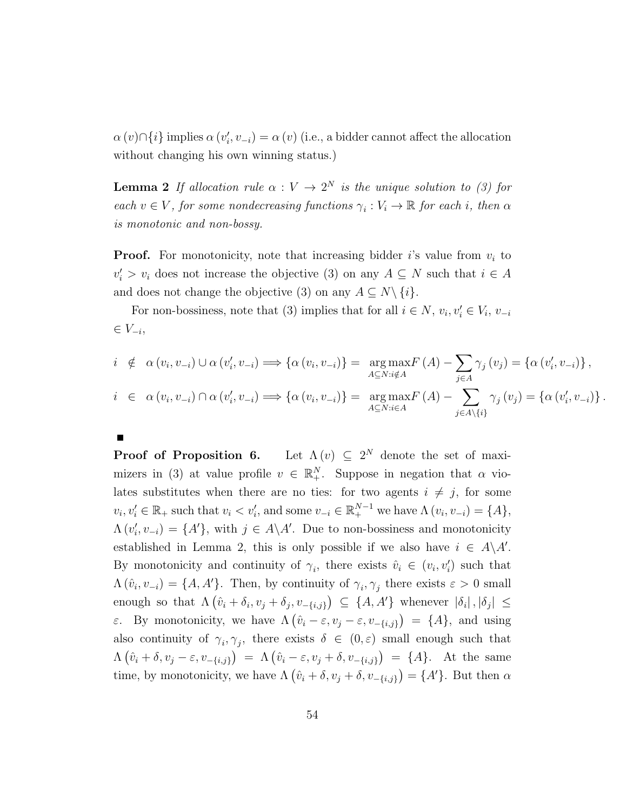$\alpha(v) \cap \{i\}$  implies  $\alpha(v'_i, v_{-i}) = \alpha(v)$  (i.e., a bidder cannot affect the allocation without changing his own winning status.)

**Lemma 2** If allocation rule  $\alpha : V \to 2^N$  is the unique solution to (3) for each  $v \in V$ , for some nondecreasing functions  $\gamma_i : V_i \to \mathbb{R}$  for each i, then  $\alpha$ is monotonic and non-bossy.

**Proof.** For monotonicity, note that increasing bidder i's value from  $v_i$  to  $v_i' > v_i$  does not increase the objective (3) on any  $A \subseteq N$  such that  $i \in A$ and does not change the objective (3) on any  $A \subseteq N \setminus \{i\}.$ 

For non-bossiness, note that (3) implies that for all  $i \in N$ ,  $v_i, v'_i \in V_i$ ,  $v_{-i}$  $\in V_{-i},$ 

$$
i \notin \alpha(v_i, v_{-i}) \cup \alpha(v'_i, v_{-i}) \Longrightarrow \{\alpha(v_i, v_{-i})\} = \underset{A \subseteq N : i \notin A}{\arg \max F(A)} - \sum_{j \in A} \gamma_j(v_j) = \{\alpha(v'_i, v_{-i})\},
$$
  

$$
i \in \alpha(v_i, v_{-i}) \cap \alpha(v'_i, v_{-i}) \Longrightarrow \{\alpha(v_i, v_{-i})\} = \underset{A \subseteq N : i \in A}{\arg \max F(A)} - \sum_{j \in A \setminus \{i\}} \gamma_j(v_j) = \{\alpha(v'_i, v_{-i})\}.
$$

Proof of Proposition 6. Let  $\Lambda(v) \subseteq 2^N$  denote the set of maximizers in (3) at value profile  $v \in \mathbb{R}^N_+$ . Suppose in negation that  $\alpha$  violates substitutes when there are no ties: for two agents  $i \neq j$ , for some  $v_i, v'_i \in \mathbb{R}_+$  such that  $v_i < v'_i$ , and some  $v_{-i} \in \mathbb{R}_+^{N-1}$  we have  $\Lambda(v_i, v_{-i}) = \{A\},\$  $\Lambda(v'_i, v_{-i}) = \{A'\},\$  with  $j \in A\backslash A'$ . Due to non-bossiness and monotonicity established in Lemma 2, this is only possible if we also have  $i \in A \backslash A'$ . By monotonicity and continuity of  $\gamma_i$ , there exists  $\hat{v}_i \in (v_i, v'_i)$  such that  $\Lambda(\hat{v}_i, v_{-i}) = \{A, A'\}.$  Then, by continuity of  $\gamma_i, \gamma_j$  there exists  $\varepsilon > 0$  small enough so that  $\Lambda(\hat{v}_i + \delta_i, v_j + \delta_j, v_{-\{i,j\}}) \subseteq \{A, A'\}$  whenever  $|\delta_i|, |\delta_j| \leq$ ε. By monotonicity, we have  $\Lambda(\hat{v}_i - \varepsilon, v_j - \varepsilon, v_{-\{i,j\}}) = \{A\}$ , and using also continuity of  $\gamma_i, \gamma_j$ , there exists  $\delta \in (0, \varepsilon)$  small enough such that  $\Lambda(\hat{v}_i + \delta, v_j - \varepsilon, v_{-\{i,j\}}) = \Lambda(\hat{v}_i - \varepsilon, v_j + \delta, v_{-\{i,j\}}) = \{A\}.$  At the same time, by monotonicity, we have  $\Lambda(\hat{v}_i + \delta, v_j + \delta, v_{-\{i,j\}}) = \{A'\}.$  But then  $\alpha$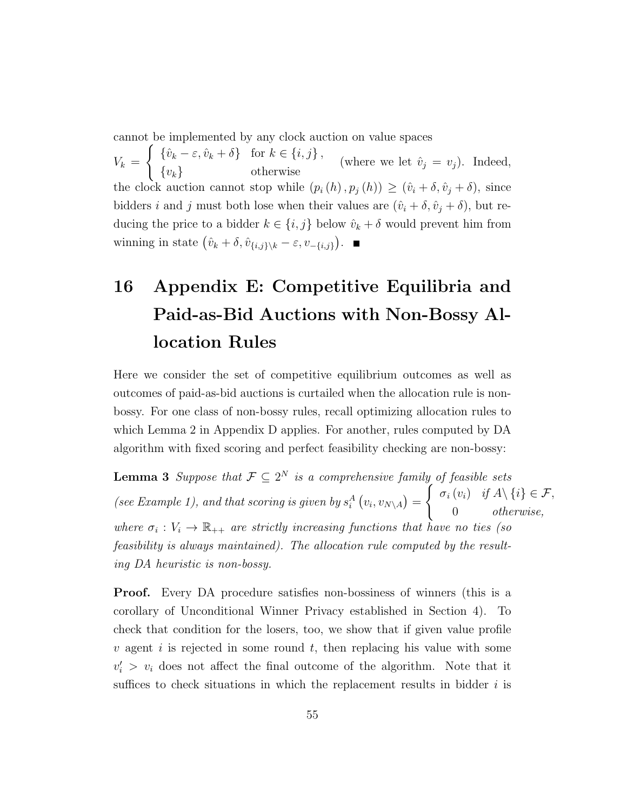cannot be implemented by any clock auction on value spaces

 $V_k =$  $\int {\{\hat{v}_k - \varepsilon, \hat{v}_k + \delta\}}$  for  $k \in \{i, j\},$  ${v_k}$  otherwise (where we let  $\hat{v}_j = v_j$ ). Indeed, the clock auction cannot stop while  $(p_i(h), p_j(h)) \geq (\hat{v}_i + \delta, \hat{v}_j + \delta)$ , since bidders i and j must both lose when their values are  $(\hat{v}_i + \delta, \hat{v}_j + \delta)$ , but reducing the price to a bidder  $k \in \{i, j\}$  below  $\hat{v}_k + \delta$  would prevent him from winning in state  $(\hat{v}_k + \delta, \hat{v}_{\{i,j\}\setminus k} - \varepsilon, v_{-\{i,j\}}).$ 

## 16 Appendix E: Competitive Equilibria and Paid-as-Bid Auctions with Non-Bossy Allocation Rules

Here we consider the set of competitive equilibrium outcomes as well as outcomes of paid-as-bid auctions is curtailed when the allocation rule is nonbossy. For one class of non-bossy rules, recall optimizing allocation rules to which Lemma 2 in Appendix D applies. For another, rules computed by DA algorithm with fixed scoring and perfect feasibility checking are non-bossy:

**Lemma 3** Suppose that  $\mathcal{F} \subseteq 2^N$  is a comprehensive family of feasible sets (see Example 1), and that scoring is given by  $s_i^A(v_i, v_{N\setminus A}) =$  $\int \sigma_i(v_i)$  if  $A \setminus \{i\} \in \mathcal{F}$ , 0 otherwise, where  $\sigma_i : V_i \to \mathbb{R}_{++}$  are strictly increasing functions that have no ties (so feasibility is always maintained). The allocation rule computed by the resulting DA heuristic is non-bossy.

Proof. Every DA procedure satisfies non-bossiness of winners (this is a corollary of Unconditional Winner Privacy established in Section 4). To check that condition for the losers, too, we show that if given value profile v agent i is rejected in some round t, then replacing his value with some  $v_i' > v_i$  does not affect the final outcome of the algorithm. Note that it suffices to check situations in which the replacement results in bidder  $i$  is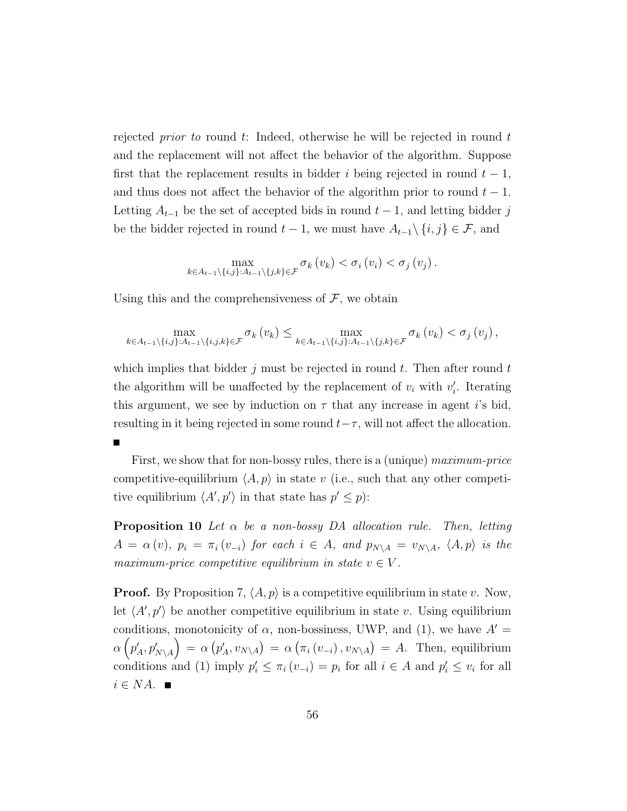rejected *prior to* round t: Indeed, otherwise he will be rejected in round t and the replacement will not affect the behavior of the algorithm. Suppose first that the replacement results in bidder i being rejected in round  $t - 1$ , and thus does not affect the behavior of the algorithm prior to round  $t - 1$ . Letting  $A_{t-1}$  be the set of accepted bids in round  $t-1$ , and letting bidder j be the bidder rejected in round  $t - 1$ , we must have  $A_{t-1}\setminus\{i, j\} \in \mathcal{F}$ , and

$$
\max_{k \in A_{t-1} \setminus \{i,j\}:A_{t-1} \setminus \{j,k\} \in \mathcal{F}} \sigma_k(v_k) < \sigma_i(v_i) < \sigma_j(v_j).
$$

Using this and the comprehensiveness of  $\mathcal{F}$ , we obtain

П

$$
\max_{k\in A_{t-1}\setminus\{i,j\}:A_{t-1}\setminus\{i,j,k\}\in\mathcal{F}}\sigma_k(v_k)\leq \max_{k\in A_{t-1}\setminus\{i,j\}:A_{t-1}\setminus\{j,k\}\in\mathcal{F}}\sigma_k(v_k)<\sigma_j(v_j),
$$

which implies that bidder j must be rejected in round t. Then after round t the algorithm will be unaffected by the replacement of  $v_i$  with  $v'_i$ . Iterating this argument, we see by induction on  $\tau$  that any increase in agent i's bid, resulting in it being rejected in some round  $t-\tau$ , will not affect the allocation.

First, we show that for non-bossy rules, there is a (unique) maximum-price competitive-equilibrium  $\langle A, p \rangle$  in state v (i.e., such that any other competitive equilibrium  $\langle A', p' \rangle$  in that state has  $p' \leq p$ :

**Proposition 10** Let  $\alpha$  be a non-bossy DA allocation rule. Then, letting  $A = \alpha(v)$ ,  $p_i = \pi_i(v_{-i})$  for each  $i \in A$ , and  $p_{N\setminus A} = v_{N\setminus A}$ ,  $\langle A, p \rangle$  is the maximum-price competitive equilibrium in state  $v \in V$ .

**Proof.** By Proposition 7,  $\langle A, p \rangle$  is a competitive equilibrium in state v. Now, let  $\langle A', p' \rangle$  be another competitive equilibrium in state v. Using equilibrium conditions, monotonicity of  $\alpha$ , non-bossiness, UWP, and (1), we have  $A' =$  $\alpha\left( p'_A, p'_{N\setminus A} \right) \,=\, \alpha\left( p'_A, v_{N\setminus A} \right) \,=\, \alpha\left( \pi_i\left( v_{-i} \right), v_{N\setminus A} \right) \,=\, A.$  Then, equilibrium conditions and (1) imply  $p'_i \leq \pi_i (v_{-i}) = p_i$  for all  $i \in A$  and  $p'_i \leq v_i$  for all  $i \in NA$ .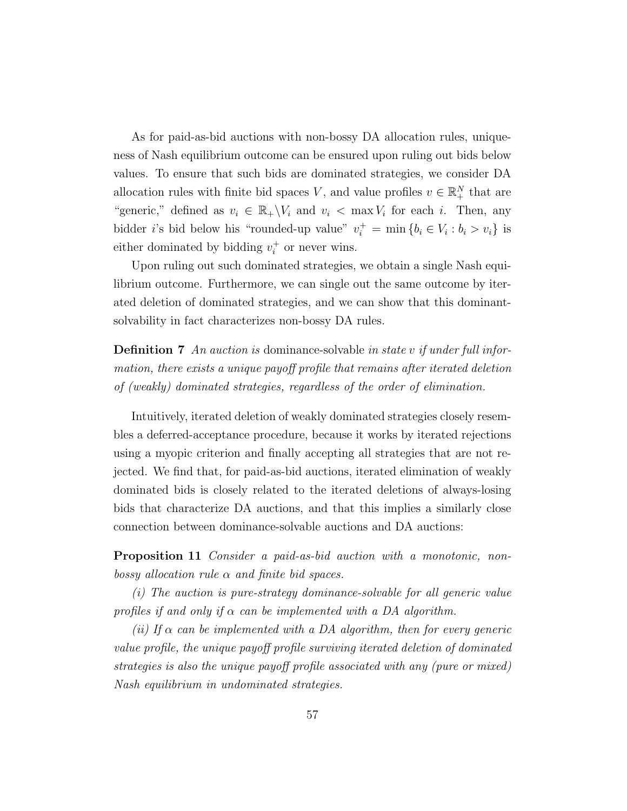As for paid-as-bid auctions with non-bossy DA allocation rules, uniqueness of Nash equilibrium outcome can be ensured upon ruling out bids below values. To ensure that such bids are dominated strategies, we consider DA allocation rules with finite bid spaces V, and value profiles  $v \in \mathbb{R}^N_+$  that are "generic," defined as  $v_i \in \mathbb{R}_+ \backslash V_i$  and  $v_i < \max V_i$  for each i. Then, any bidder *i*'s bid below his "rounded-up value"  $v_i^+ = \min \{b_i \in V_i : b_i > v_i\}$  is either dominated by bidding  $v_i^+$  $i<sup>+</sup>$  or never wins.

Upon ruling out such dominated strategies, we obtain a single Nash equilibrium outcome. Furthermore, we can single out the same outcome by iterated deletion of dominated strategies, and we can show that this dominantsolvability in fact characterizes non-bossy DA rules.

**Definition 7** An auction is dominance-solvable in state v if under full information, there exists a unique payoff profile that remains after iterated deletion of (weakly) dominated strategies, regardless of the order of elimination.

Intuitively, iterated deletion of weakly dominated strategies closely resembles a deferred-acceptance procedure, because it works by iterated rejections using a myopic criterion and finally accepting all strategies that are not rejected. We find that, for paid-as-bid auctions, iterated elimination of weakly dominated bids is closely related to the iterated deletions of always-losing bids that characterize DA auctions, and that this implies a similarly close connection between dominance-solvable auctions and DA auctions:

Proposition 11 Consider a paid-as-bid auction with a monotonic, nonbossy allocation rule  $\alpha$  and finite bid spaces.

(i) The auction is pure-strategy dominance-solvable for all generic value profiles if and only if  $\alpha$  can be implemented with a DA algorithm.

(ii) If  $\alpha$  can be implemented with a DA algorithm, then for every generic value profile, the unique payoff profile surviving iterated deletion of dominated strategies is also the unique payoff profile associated with any (pure or mixed) Nash equilibrium in undominated strategies.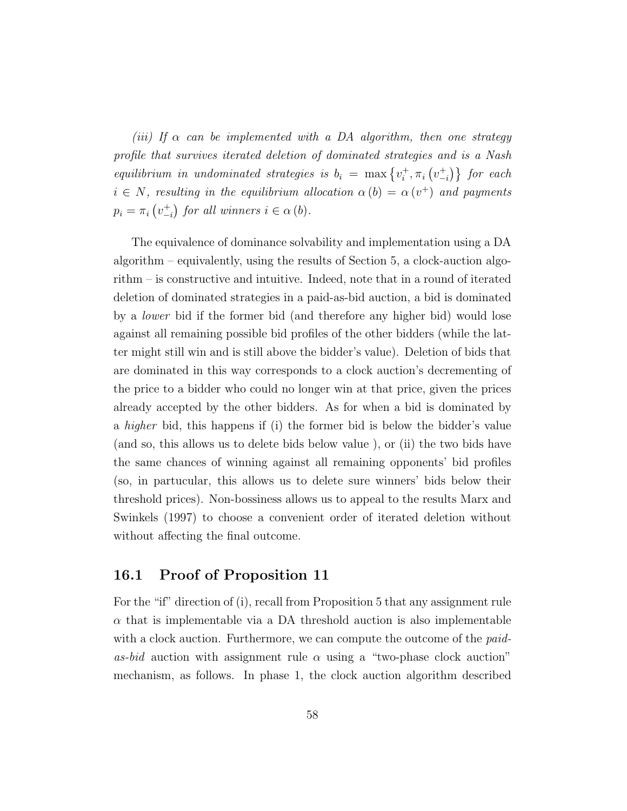(iii) If  $\alpha$  can be implemented with a DA algorithm, then one strategy profile that survives iterated deletion of dominated strategies and is a Nash equilibrium in undominated strategies is  $b_i = \max\{v_i^+$  $\{\tau_i^+, \pi_i\left(v_{-i}^+\right)\}\;$  for each  $i \in N$ , resulting in the equilibrium allocation  $\alpha(b) = \alpha(v^+)$  and payments  $p_i = \pi_i \left( v_{-i}^+ \right)$  for all winners  $i \in \alpha$  (b).

The equivalence of dominance solvability and implementation using a DA algorithm – equivalently, using the results of Section 5, a clock-auction algorithm – is constructive and intuitive. Indeed, note that in a round of iterated deletion of dominated strategies in a paid-as-bid auction, a bid is dominated by a lower bid if the former bid (and therefore any higher bid) would lose against all remaining possible bid profiles of the other bidders (while the latter might still win and is still above the bidder's value). Deletion of bids that are dominated in this way corresponds to a clock auction's decrementing of the price to a bidder who could no longer win at that price, given the prices already accepted by the other bidders. As for when a bid is dominated by a higher bid, this happens if (i) the former bid is below the bidder's value (and so, this allows us to delete bids below value ), or (ii) the two bids have the same chances of winning against all remaining opponents' bid profiles (so, in partucular, this allows us to delete sure winners' bids below their threshold prices). Non-bossiness allows us to appeal to the results Marx and Swinkels (1997) to choose a convenient order of iterated deletion without without affecting the final outcome.

#### 16.1 Proof of Proposition 11

For the "if" direction of (i), recall from Proposition 5 that any assignment rule  $\alpha$  that is implementable via a DA threshold auction is also implementable with a clock auction. Furthermore, we can compute the outcome of the *paid*as-bid auction with assignment rule  $\alpha$  using a "two-phase clock auction" mechanism, as follows. In phase 1, the clock auction algorithm described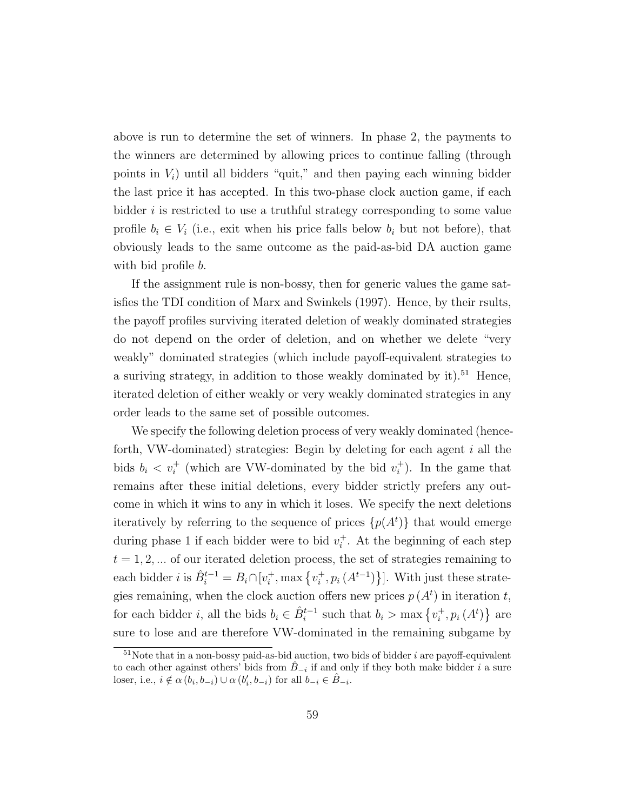above is run to determine the set of winners. In phase 2, the payments to the winners are determined by allowing prices to continue falling (through points in  $V_i$ ) until all bidders "quit," and then paying each winning bidder the last price it has accepted. In this two-phase clock auction game, if each bidder  $i$  is restricted to use a truthful strategy corresponding to some value profile  $b_i \in V_i$  (i.e., exit when his price falls below  $b_i$  but not before), that obviously leads to the same outcome as the paid-as-bid DA auction game with bid profile *b*.

If the assignment rule is non-bossy, then for generic values the game satisfies the TDI condition of Marx and Swinkels (1997). Hence, by their rsults, the payoff profiles surviving iterated deletion of weakly dominated strategies do not depend on the order of deletion, and on whether we delete "very weakly" dominated strategies (which include payoff-equivalent strategies to a suriving strategy, in addition to those weakly dominated by it).<sup>51</sup> Hence, iterated deletion of either weakly or very weakly dominated strategies in any order leads to the same set of possible outcomes.

We specify the following deletion process of very weakly dominated (henceforth, VW-dominated) strategies: Begin by deleting for each agent  $i$  all the bids  $b_i < v_i^+$  (which are VW-dominated by the bid  $v_i^+$  $i^+$ ). In the game that remains after these initial deletions, every bidder strictly prefers any outcome in which it wins to any in which it loses. We specify the next deletions iteratively by referring to the sequence of prices  $\{p(A^t)\}\$  that would emerge during phase 1 if each bidder were to bid  $v_i^+$  $i<sup>+</sup>$ . At the beginning of each step  $t = 1, 2, \dots$  of our iterated deletion process, the set of strategies remaining to each bidder *i* is  $\hat{B}_i^{t-1} = B_i \cap [v_i^+]$  $i^+$ , max  $\{v_i^+$  $\{a_i^+, p_i(A^{t-1})\}$ . With just these strategies remaining, when the clock auction offers new prices  $p(A<sup>t</sup>)$  in iteration t, for each bidder *i*, all the bids  $b_i \in \hat{B}_i^{t-1}$  such that  $b_i > \max\{v_i^+$  $\{a^{\dagger}, p_i(A^t)\}$  are sure to lose and are therefore VW-dominated in the remaining subgame by

 $51$ Note that in a non-bossy paid-as-bid auction, two bids of bidder i are payoff-equivalent to each other against others' bids from  $B_{-i}$  if and only if they both make bidder i a sure loser, i.e.,  $i \notin \alpha(b_i, b_{-i}) \cup \alpha(b'_i, b_{-i})$  for all  $b_{-i} \in \hat{B}_{-i}$ .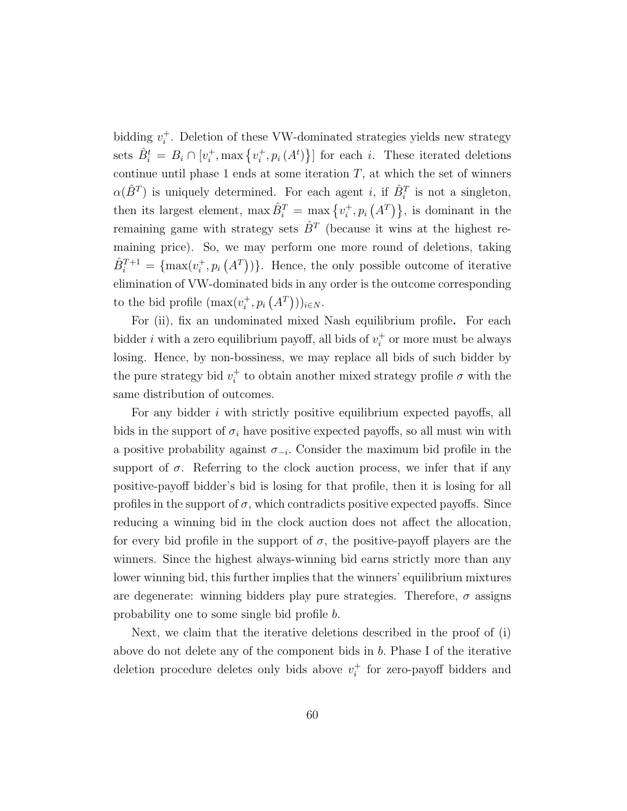bidding  $v_i^+$  $i<sub>i</sub>$ . Deletion of these VW-dominated strategies yields new strategy sets  $\hat{B}_i^t = B_i \cap [v_i^+]$  $i^+$ , max  $\{v_i^+$  $\{a_i^+, p_i(A^t)\}$  for each *i*. These iterated deletions continue until phase 1 ends at some iteration  $T$ , at which the set of winners  $\alpha(\hat{B}^T)$  is uniquely determined. For each agent *i*, if  $\hat{B}_i^T$  is not a singleton, then its largest element,  $\max \hat{B}_i^T = \max \{v_i^+$  $\{A^T\}$ ,  $p_i\left(A^T\right)\}$ , is dominant in the remaining game with strategy sets  $\hat{B}^T$  (because it wins at the highest remaining price). So, we may perform one more round of deletions, taking  $\hat{B}_i^{T+1} = \{\max(v_i^+)$  $\{A^{\dagger}, p_i(A^{\dagger})\}$ . Hence, the only possible outcome of iterative elimination of VW-dominated bids in any order is the outcome corresponding to the bid profile  $(\max(v_i^+))$  $_{i}^{+},p_{i}\left( A^{T}\right) ))_{i\in N}.$ 

For (ii), fix an undominated mixed Nash equilibrium profile. For each bidder *i* with a zero equilibrium payoff, all bids of  $v_i^+$  $i<sub>i</sub>$  or more must be always losing. Hence, by non-bossiness, we may replace all bids of such bidder by the pure strategy bid  $v_i^+$ <sup>+</sup> to obtain another mixed strategy profile  $\sigma$  with the same distribution of outcomes.

For any bidder i with strictly positive equilibrium expected payoffs, all bids in the support of  $\sigma_i$  have positive expected payoffs, so all must win with a positive probability against  $\sigma_{-i}$ . Consider the maximum bid profile in the support of  $\sigma$ . Referring to the clock auction process, we infer that if any positive-payoff bidder's bid is losing for that profile, then it is losing for all profiles in the support of  $\sigma$ , which contradicts positive expected payoffs. Since reducing a winning bid in the clock auction does not affect the allocation, for every bid profile in the support of  $\sigma$ , the positive-payoff players are the winners. Since the highest always-winning bid earns strictly more than any lower winning bid, this further implies that the winners' equilibrium mixtures are degenerate: winning bidders play pure strategies. Therefore,  $\sigma$  assigns probability one to some single bid profile b.

Next, we claim that the iterative deletions described in the proof of (i) above do not delete any of the component bids in  $b$ . Phase I of the iterative deletion procedure deletes only bids above  $v_i^+$  $i<sub>i</sub>$  for zero-payoff bidders and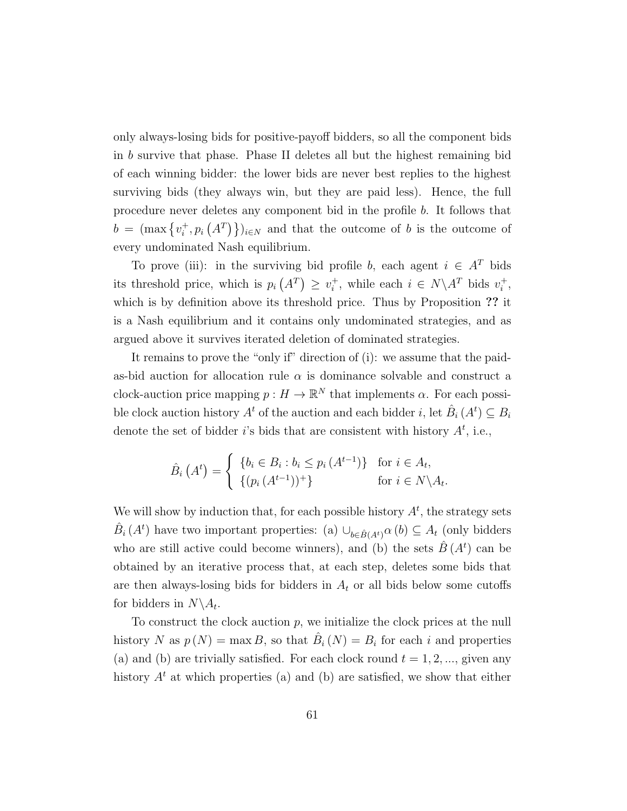only always-losing bids for positive-payoff bidders, so all the component bids in b survive that phase. Phase II deletes all but the highest remaining bid of each winning bidder: the lower bids are never best replies to the highest surviving bids (they always win, but they are paid less). Hence, the full procedure never deletes any component bid in the profile b. It follows that  $b = (\max\{v_i^+$  $\{(\mathcal{A}^T)\}\mathcal{A} \in \mathbb{N}$  and that the outcome of b is the outcome of every undominated Nash equilibrium.

To prove (iii): in the surviving bid profile b, each agent  $i \in A^T$  bids its threshold price, which is  $p_i(A^T) \geq v_i^+$ <sup>+</sup>, while each  $i \in N \backslash A^T$  bids  $v_i^+$  $_i^+$ , which is by definition above its threshold price. Thus by Proposition ?? it is a Nash equilibrium and it contains only undominated strategies, and as argued above it survives iterated deletion of dominated strategies.

It remains to prove the "only if" direction of (i): we assume that the paidas-bid auction for allocation rule  $\alpha$  is dominance solvable and construct a clock-auction price mapping  $p: H \to \mathbb{R}^N$  that implements  $\alpha$ . For each possible clock auction history  $A^t$  of the auction and each bidder *i*, let  $\hat{B}_i(A^t) \subseteq B_i$ denote the set of bidder i's bids that are consistent with history  $A<sup>t</sup>$ , i.e.,

$$
\hat{B}_i\left(A^t\right) = \begin{cases} \{b_i \in B_i : b_i \le p_i\left(A^{t-1}\right)\} & \text{for } i \in A_t, \\ \{(p_i\left(A^{t-1}\right))^+\} & \text{for } i \in N \setminus A_t. \end{cases}
$$

We will show by induction that, for each possible history  $A<sup>t</sup>$ , the strategy sets  $\hat{B}_i(A^t)$  have two important properties: (a)  $\cup_{b \in \hat{B}(A^t)} \alpha(b) \subseteq A_t$  (only bidders who are still active could become winners), and (b) the sets  $\hat{B}(A<sup>t</sup>)$  can be obtained by an iterative process that, at each step, deletes some bids that are then always-losing bids for bidders in  $A_t$  or all bids below some cutoffs for bidders in  $N \backslash A_t$ .

To construct the clock auction  $p$ , we initialize the clock prices at the null history N as  $p(N) = \max B$ , so that  $\hat{B}_i(N) = B_i$  for each i and properties (a) and (b) are trivially satisfied. For each clock round  $t = 1, 2, \dots$ , given any history  $A<sup>t</sup>$  at which properties (a) and (b) are satisfied, we show that either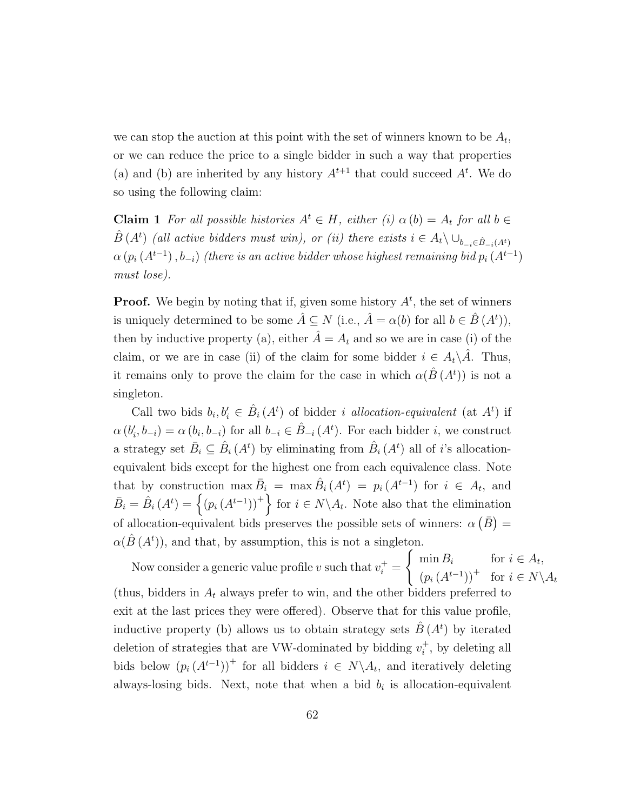we can stop the auction at this point with the set of winners known to be  $A_t$ , or we can reduce the price to a single bidder in such a way that properties (a) and (b) are inherited by any history  $A^{t+1}$  that could succeed  $A^t$ . We do so using the following claim:

**Claim 1** For all possible histories  $A^t \in H$ , either (i)  $\alpha(b) = A_t$  for all  $b \in$  $\hat{B}(A^t)$  (all active bidders must win), or (ii) there exists  $i \in A_t \setminus \bigcup_{b_{-i} \in \hat{B}_{-i}(A^t)}$  $\alpha\left(p_i\left(A^{t-1}\right),b_{-i}\right)$  (there is an active bidder whose highest remaining bid  $p_i\left(A^{t-1}\right)$ must lose).

**Proof.** We begin by noting that if, given some history  $A<sup>t</sup>$ , the set of winners is uniquely determined to be some  $\hat{A} \subseteq N$  (i.e.,  $\hat{A} = \alpha(b)$  for all  $b \in \hat{B}(A^t)$ ), then by inductive property (a), either  $\hat{A} = A_t$  and so we are in case (i) of the claim, or we are in case (ii) of the claim for some bidder  $i \in A_t \backslash \tilde{A}$ . Thus, it remains only to prove the claim for the case in which  $\alpha(\hat{B}(A^t))$  is not a singleton.

Call two bids  $b_i, b'_i \in \hat{B}_i(A^t)$  of bidder *i allocation-equivalent* (at  $A^t$ ) if  $\alpha(b_i', b_{-i}) = \alpha(b_i, b_{-i})$  for all  $b_{-i} \in \hat{B}_{-i}(A^t)$ . For each bidder *i*, we construct a strategy set  $\bar{B}_i \subseteq \hat{B}_i(A^t)$  by eliminating from  $\hat{B}_i(A^t)$  all of *i*'s allocationequivalent bids except for the highest one from each equivalence class. Note that by construction  $\max \overline{B}_i = \max \hat{B}_i (A^t) = p_i (A^{t-1})$  for  $i \in A_t$ , and  $\bar{B}_i = \hat{B}_i (A^t) = \left\{ (p_i (A^{t-1}))^+ \right\}$  for  $i \in N \backslash A_t$ . Note also that the elimination of allocation-equivalent bids preserves the possible sets of winners:  $\alpha(\bar{B}) =$  $\alpha(\hat{B}(A^t))$ , and that, by assumption, this is not a singleton.

Now consider a generic value profile v such that  $v_i^+$  =  $\int \min B_i$  for  $i \in A_t$ ,  $(p_i(A^{t-1}))^+$  for  $i \in N \backslash A_t$ (thus, bidders in  $A_t$  always prefer to win, and the other bidders preferred to exit at the last prices they were offered). Observe that for this value profile, inductive property (b) allows us to obtain strategy sets  $\hat{B}(A<sup>t</sup>)$  by iterated deletion of strategies that are VW-dominated by bidding  $v_i^+$  $i^{\dagger}$ , by deleting all bids below  $(p_i(A^{t-1}))^+$  for all bidders  $i \in N \setminus A_t$ , and iteratively deleting always-losing bids. Next, note that when a bid  $b_i$  is allocation-equivalent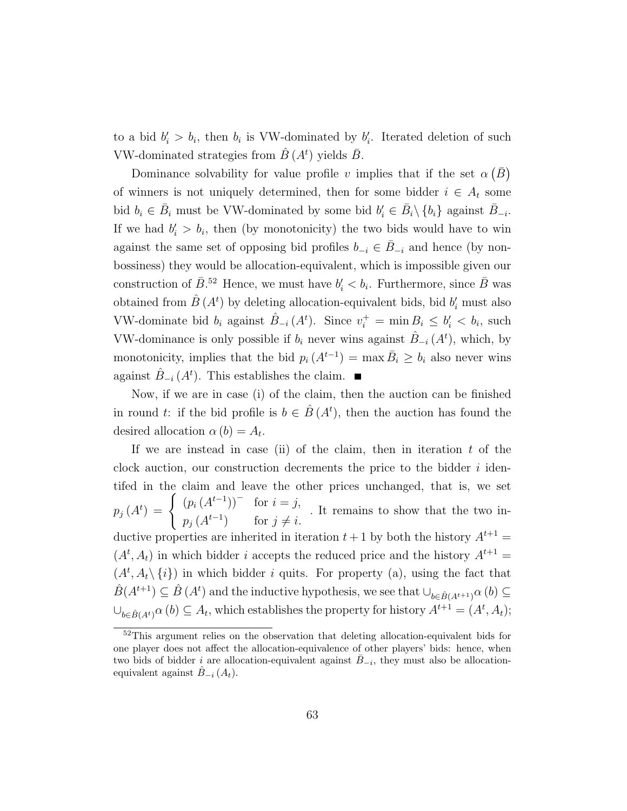to a bid  $b_i > b_i$ , then  $b_i$  is VW-dominated by  $b_i'$ . Iterated deletion of such VW-dominated strategies from  $\hat{B}(A<sup>t</sup>)$  yields  $\bar{B}$ .

Dominance solvability for value profile v implies that if the set  $\alpha(\bar{B})$ of winners is not uniquely determined, then for some bidder  $i \in A_t$  some bid  $b_i \in \overline{B}_i$  must be VW-dominated by some bid  $b'_i \in \overline{B}_i \setminus \{b_i\}$  against  $\overline{B}_{-i}$ . If we had  $b'_i > b_i$ , then (by monotonicity) the two bids would have to win against the same set of opposing bid profiles  $b_{-i} \in \overline{B}_{-i}$  and hence (by nonbossiness) they would be allocation-equivalent, which is impossible given our construction of  $\bar{B}$ .<sup>52</sup> Hence, we must have  $b_i' < b_i$ . Furthermore, since  $\bar{B}$  was obtained from  $\hat{B}(A^t)$  by deleting allocation-equivalent bids, bid  $b'_i$  must also VW-dominate bid  $b_i$  against  $\hat{B}_{-i}(A^t)$ . Since  $v_i^+ = \min B_i \leq b'_i < b_i$ , such VW-dominance is only possible if  $b_i$  never wins against  $\hat{B}_{-i}(A^t)$ , which, by monotonicity, implies that the bid  $p_i(A^{t-1}) = \max \overline{B}_i \geq b_i$  also never wins against  $\hat{B}_{-i}(A^t)$ . This establishes the claim.

Now, if we are in case (i) of the claim, then the auction can be finished in round t: if the bid profile is  $b \in \hat{B}(A^t)$ , then the auction has found the desired allocation  $\alpha(b) = A_t$ .

If we are instead in case (ii) of the claim, then in iteration  $t$  of the clock auction, our construction decrements the price to the bidder  $i$  identifed in the claim and leave the other prices unchanged, that is, we set  $p_j(A^t) = \begin{cases} (p_i(A^{t-1}))^- & \text{for } i = j, \ (A^{t-1})^- & \text{for } i = j. \end{cases}$  $p_j(A^{t-1})$  for  $j \neq i$ . . It remains to show that the two inductive properties are inherited in iteration  $t + 1$  by both the history  $A^{t+1} =$  $(A<sup>t</sup>, A<sub>t</sub>)$  in which bidder *i* accepts the reduced price and the history  $A<sup>t+1</sup>$  =  $(A^t, A_t \setminus \{i\})$  in which bidder i quits. For property (a), using the fact that  $\hat{B}(A^{t+1}) \subseteq \hat{B}(A^t)$  and the inductive hypothesis, we see that  $\cup_{b \in \hat{B}(A^{t+1})} \alpha(b) \subseteq$  $\cup_{b \in \hat{B}(A^t)} \alpha(b) \subseteq A_t$ , which establishes the property for history  $A^{t+1} = (A^t, A_t)$ ;

<sup>&</sup>lt;sup>52</sup>This argument relies on the observation that deleting allocation-equivalent bids for one player does not affect the allocation-equivalence of other players' bids: hence, when two bids of bidder i are allocation-equivalent against  $\bar{B}_{-i}$ , they must also be allocationequivalent against  $B_{-i}$   $(A_t)$ .